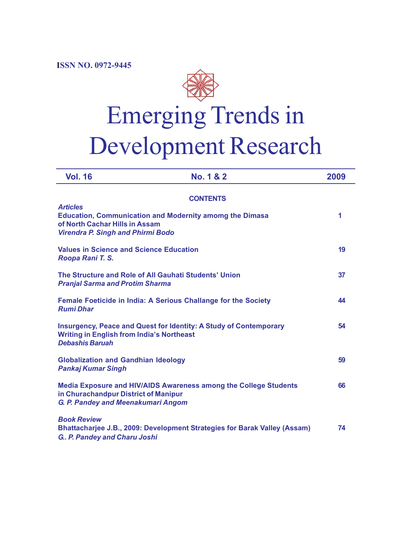**ISSN NO. 0972-9445**



| <b>Vol. 16</b>                                                                                  | No. 1 & 2                                                                 | 2009 |
|-------------------------------------------------------------------------------------------------|---------------------------------------------------------------------------|------|
|                                                                                                 | <b>CONTENTS</b>                                                           |      |
| <b>Articles</b><br>of North Cachar Hills in Assam<br><b>Virendra P. Singh and Phirmi Bodo</b>   | <b>Education, Communication and Modernity amomg the Dimasa</b>            | 1    |
| <b>Values in Science and Science Education</b><br>Roopa Rani T. S.                              |                                                                           | 19   |
| The Structure and Role of All Gauhati Students' Union<br><b>Pranjal Sarma and Protim Sharma</b> |                                                                           | 37   |
| <b>Rumi Dhar</b>                                                                                | Female Foeticide in India: A Serious Challange for the Society            | 44   |
| <b>Writing in English from India's Northeast</b><br><b>Debashis Baruah</b>                      | <b>Insurgency, Peace and Quest for Identity: A Study of Contemporary</b>  | 54   |
| <b>Globalization and Gandhian Ideology</b><br><b>Pankaj Kumar Singh</b>                         |                                                                           | 59   |
| in Churachandpur District of Manipur<br>G. P. Pandey and Meenakumari Angom                      | Media Exposure and HIV/AIDS Awareness among the College Students          | 66   |
| <b>Book Review</b><br>G. P. Pandey and Charu Joshi                                              | Bhattacharjee J.B., 2009: Development Strategies for Barak Valley (Assam) | 74   |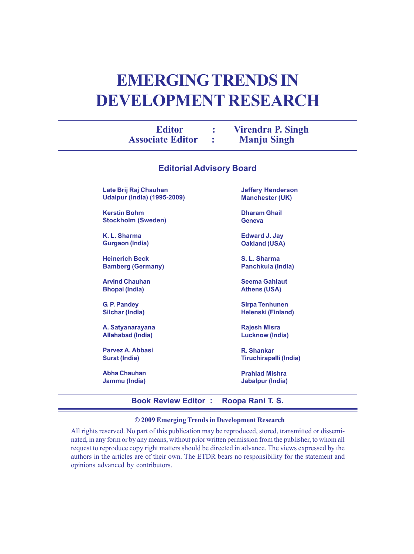# **EMERGING TRENDS IN DEVELOPMENT RESEARCH**

| <b>Editor</b><br><b>Associate Editor</b> | <b>Virendra P. Singh</b><br><b>Manju Singh</b> |  |
|------------------------------------------|------------------------------------------------|--|
|                                          |                                                |  |

| <b>Editorial Advisory Board</b>    |                           |  |  |  |  |  |
|------------------------------------|---------------------------|--|--|--|--|--|
| Late Brij Raj Chauhan              | <b>Jeffery Henderson</b>  |  |  |  |  |  |
| <b>Udaipur (India) (1995-2009)</b> | <b>Manchester (UK)</b>    |  |  |  |  |  |
| <b>Kerstin Bohm</b>                | <b>Dharam Ghail</b>       |  |  |  |  |  |
| <b>Stockholm (Sweden)</b>          | Geneva                    |  |  |  |  |  |
| K. L. Sharma                       | <b>Edward J. Jay</b>      |  |  |  |  |  |
| Gurgaon (India)                    | Oakland (USA)             |  |  |  |  |  |
| <b>Heinerich Beck</b>              | S. L. Sharma              |  |  |  |  |  |
| <b>Bamberg (Germany)</b>           | Panchkula (India)         |  |  |  |  |  |
| <b>Arvind Chauhan</b>              | <b>Seema Gahlaut</b>      |  |  |  |  |  |
| <b>Bhopal (India)</b>              | <b>Athens (USA)</b>       |  |  |  |  |  |
| G. P. Pandey                       | <b>Sirpa Tenhunen</b>     |  |  |  |  |  |
| Silchar (India)                    | <b>Helenski (Finland)</b> |  |  |  |  |  |
| A. Satyanarayana                   | <b>Rajesh Misra</b>       |  |  |  |  |  |
| Allahabad (India)                  | <b>Lucknow (India)</b>    |  |  |  |  |  |
| Parvez A. Abbasi                   | R. Shankar                |  |  |  |  |  |
| Surat (India)                      | Tiruchirapalli (India)    |  |  |  |  |  |
| <b>Abha Chauhan</b>                | <b>Prahlad Mishra</b>     |  |  |  |  |  |
| Jammu (India)                      | Jabalpur (India)          |  |  |  |  |  |

# **Book Review Editor : Roopa Rani T. S.**

# **© 2009 Emerging Trends in Development Research**

All rights reserved. No part of this publication may be reproduced, stored, transmitted or disseminated, in any form or by any means, without prior written permission from the publisher, to whom all request to reproduce copy right matters should be directed in advance. The views expressed by the authors in the articles are of their own. The ETDR bears no responsibility for the statement and opinions advanced by contributors.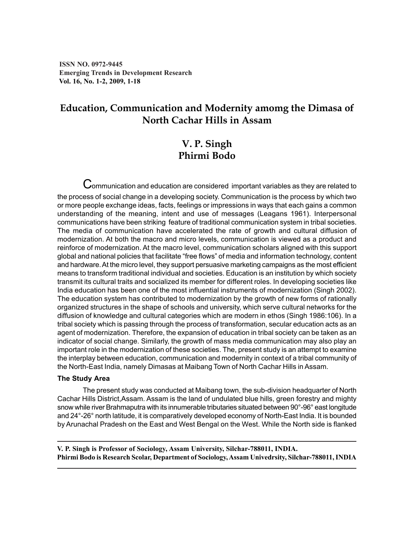**ISSN NO. 0972-9445 Emerging Trends in Development Research Vol. 16, No. 1-2, 2009, 1-18**

# **Education, Communication and Modernity amomg the Dimasa of North Cachar Hills in Assam**

# **V. P. Singh Phirmi Bodo**

 ${\mathbf C}$ ommunication and education are considered important variables as they are related to the process of social change in a developing society. Communication is the process by which two or more people exchange ideas, facts, feelings or impressions in ways that each gains a common understanding of the meaning, intent and use of messages (Leagans 1961). Interpersonal communications have been striking feature of traditional communication system in tribal societies. The media of communication have accelerated the rate of growth and cultural diffusion of modernization. At both the macro and micro levels, communication is viewed as a product and reinforce of modernization. At the macro level, communication scholars aligned with this support global and national policies that facilitate "free flows" of media and information technology, content and hardware. At the micro level, they support persuasive marketing campaigns as the most efficient means to transform traditional individual and societies. Education is an institution by which society transmit its cultural traits and socialized its member for different roles. In developing societies like India education has been one of the most influential instruments of modernization (Singh 2002). The education system has contributed to modernization by the growth of new forms of rationally organized structures in the shape of schools and university, which serve cultural networks for the diffusion of knowledge and cultural categories which are modern in ethos (Singh 1986:106). In a tribal society which is passing through the process of transformation, secular education acts as an agent of modernization. Therefore, the expansion of education in tribal society can be taken as an indicator of social change. Similarly, the growth of mass media communication may also play an important role in the modernization of these societies. The, present study is an attempt to examine the interplay between education, communication and modernity in context of a tribal community of the North-East India, namely Dimasas at Maibang Town of North Cachar Hills in Assam.

# **The Study Area**

The present study was conducted at Maibang town, the sub-division headquarter of North Cachar Hills District,Assam. Assam is the land of undulated blue hills, green forestry and mighty snow while river Brahmaputra with its innumerable tributaries situated between 90°-96° east longitude and 24°-26° north latitude, it is comparatively developed economy of North-East India. It is bounded by Arunachal Pradesh on the East and West Bengal on the West. While the North side is flanked

**V. P. Singh is Professor of Sociology, Assam University, Silchar-788011, INDIA. Phirmi Bodo is Research Scolar, Department of Sociology, Assam Univedrsity, Silchar-788011, INDIA**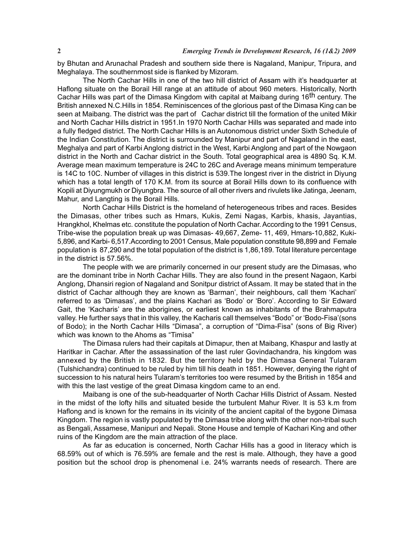by Bhutan and Arunachal Pradesh and southern side there is Nagaland, Manipur, Tripura, and Meghalaya. The southernmost side is flanked by Mizoram.

The North Cachar Hills in one of the two hill district of Assam with it's headquarter at Haflong situate on the Borail Hill range at an attitude of about 960 meters. Historically, North Cachar Hills was part of the Dimasa Kingdom with capital at Maibang during 16th century. The British annexed N.C.Hills in 1854. Reminiscences of the glorious past of the Dimasa King can be seen at Maibang. The district was the part of Cachar district till the formation of the united Mikir and North Cachar Hills district in 1951.In 1970 North Cachar Hills was separated and made into a fully fledged district. The North Cachar Hills is an Autonomous district under Sixth Schedule of the Indian Constitution. The district is surrounded by Manipur and part of Nagaland in the east, Meghalya and part of Karbi Anglong district in the West, Karbi Anglong and part of the Nowgaon district in the North and Cachar district in the South. Total geographical area is 4890 Sq. K.M. Average mean maximum temperature is 24C to 26C and Average means minimum temperature is 14C to 10C. Number of villages in this district is 539.The longest river in the district in Diyung which has a total length of 170 K.M. from its source at Borail Hills down to its confluence with Kopili at Diyungmukh or Diyungbra. The source of all other rivers and rivulets like Jatinga, Jeenam, Mahur, and Langting is the Borail Hills.

North Cachar Hills District is the homeland of heterogeneous tribes and races. Besides the Dimasas, other tribes such as Hmars, Kukis, Zemi Nagas, Karbis, khasis, Jayantias, Hrangkhol, Khelmas etc. constitute the population of North Cachar. According to the 1991 Census, Tribe-wise the population break up was Dimasas- 49,667, Zeme- 11, 469, Hmars-10,882, Kuki-5,896, and Karbi- 6,517.According to 2001 Census, Male population constitute 98,899 and Female population is 87,290 and the total population of the district is 1,86,189. Total literature percentage in the district is 57.56%.

The people with we are primarily concerned in our present study are the Dimasas, who are the dominant tribe in North Cachar Hills. They are also found in the present Nagaon, Karbi Anglong, Dhansiri region of Nagaland and Sonitpur district of Assam. It may be stated that in the district of Cachar although they are known as 'Barman', their neighbours, call them 'Kachari' referred to as 'Dimasas', and the plains Kachari as 'Bodo' or 'Boro'. According to Sir Edward Gait, the 'Kacharis' are the aborigines, or earliest known as inhabitants of the Brahmaputra valley. He further says that in this valley, the Kacharis call themselves "Bodo" or 'Bodo-Fisa'(sons of Bodo); in the North Cachar Hills "Dimasa", a corruption of "Dima-Fisa" (sons of Big River) which was known to the Ahoms as "Timisa"

The Dimasa rulers had their capitals at Dimapur, then at Maibang, Khaspur and lastly at Haritkar in Cachar. After the assassination of the last ruler Govindachandra, his kingdom was annexed by the British in 1832. But the territory held by the Dimasa General Tularam (Tulshichandra) continued to be ruled by him till his death in 1851. However, denying the right of succession to his natural heirs Tularam's territories too were resumed by the British in 1854 and with this the last vestige of the great Dimasa kingdom came to an end.

Maibang is one of the sub-headquarter of North Cachar Hills District of Assam. Nested in the midst of the lofty hills and situated beside the turbulent Mahur River. It is 53 k.m from Haflong and is known for the remains in its vicinity of the ancient capital of the bygone Dimasa Kingdom. The region is vastly populated by the Dimasa tribe along with the other non-tribal such as Bengali, Assamese, Manipuri and Nepali. Stone House and temple of Kachari King and other ruins of the Kingdom are the main attraction of the place.

As far as education is concerned, North Cachar Hills has a good in literacy which is 68.59% out of which is 76.59% are female and the rest is male. Although, they have a good position but the school drop is phenomenal i.e. 24% warrants needs of research. There are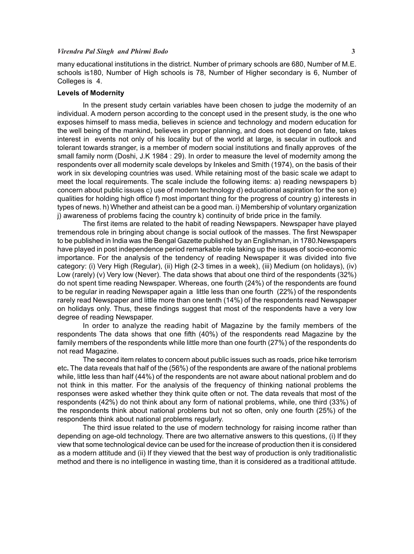### *Virendra Pal Singh and Phirmi Bodo* **3**

many educational institutions in the district. Number of primary schools are 680, Number of M.E. schools is180, Number of High schools is 78, Number of Higher secondary is 6, Number of Colleges is 4.

### **Levels of Modernity**

In the present study certain variables have been chosen to judge the modernity of an individual. A modern person according to the concept used in the present study, is the one who exposes himself to mass media, believes in science and technology and modern education for the well being of the mankind, believes in proper planning, and does not depend on fate, takes interest in events not only of his locality but of the world at large, is secular in outlook and tolerant towards stranger, is a member of modern social institutions and finally approves of the small family norm (Doshi, J.K 1984 : 29). In order to measure the level of modernity among the respondents over all modernity scale develops by Inkeles and Smith (1974), on the basis of their work in six developing countries was used. While retaining most of the basic scale we adapt to meet the local requirements. The scale include the following items: a) reading newspapers b) concern about public issues c) use of modern technology d) educational aspiration for the son e) qualities for holding high office f) most important thing for the progress of country g) interests in types of news. h) Whether and atheist can be a good man. i) Membership of voluntary organization j) awareness of problems facing the country k) continuity of bride price in the family.

The first items are related to the habit of reading Newspapers. Newspaper have played tremendous role in bringing about change is social outlook of the masses. The first Newspaper to be published in India was the Bengal Gazette published by an Englishman, in 1780.Newspapers have played in post independence period remarkable role taking up the issues of socio-economic importance. For the analysis of the tendency of reading Newspaper it was divided into five category: (i) Very High (Regular), (ii) High (2-3 times in a week), (iii) Medium (on holidays), (iv) Low (rarely) (v) Very low (Never). The data shows that about one third of the respondents (32%) do not spent time reading Newspaper. Whereas, one fourth (24%) of the respondents are found to be regular in reading Newspaper again a little less than one fourth (22%) of the respondents rarely read Newspaper and little more than one tenth (14%) of the respondents read Newspaper on holidays only. Thus, these findings suggest that most of the respondents have a very low degree of reading Newspaper.

In order to analyze the reading habit of Magazine by the family members of the respondents The data shows that one fifth (40%) of the respondents read Magazine by the family members of the respondents while little more than one fourth (27%) of the respondents do not read Magazine.

The second item relates to concern about public issues such as roads, price hike terrorism etc**.** The data reveals that half of the (56%) of the respondents are aware of the national problems while, little less than half (44%) of the respondents are not aware about national problem and do not think in this matter. For the analysis of the frequency of thinking national problems the responses were asked whether they think quite often or not. The data reveals that most of the respondents (42%) do not think about any form of national problems, while, one third (33%) of the respondents think about national problems but not so often, only one fourth (25%) of the respondents think about national problems regularly.

The third issue related to the use of modern technology for raising income rather than depending on age-old technology. There are two alternative answers to this questions, (i) If they view that some technological device can be used for the increase of production then it is considered as a modern attitude and (ii) If they viewed that the best way of production is only traditionalistic method and there is no intelligence in wasting time, than it is considered as a traditional attitude.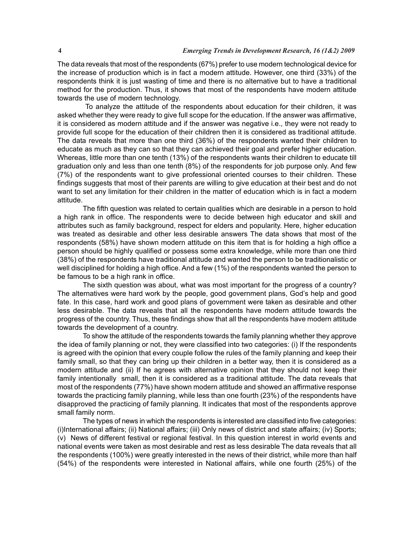The data reveals that most of the respondents (67%) prefer to use modern technological device for the increase of production which is in fact a modern attitude. However, one third (33%) of the respondents think it is just wasting of time and there is no alternative but to have a traditional method for the production. Thus, it shows that most of the respondents have modern attitude towards the use of modern technology.

 To analyze the attitude of the respondents about education for their children, it was asked whether they were ready to give full scope for the education. If the answer was affirmative, it is considered as modern attitude and if the answer was negative i.e., they were not ready to provide full scope for the education of their children then it is considered as traditional attitude. The data reveals that more than one third (36%) of the respondents wanted their children to educate as much as they can so that they can achieved their goal and prefer higher education. Whereas, little more than one tenth (13%) of the respondents wants their children to educate till graduation only and less than one tenth (8%) of the respondents for job purpose only. And few (7%) of the respondents want to give professional oriented courses to their children. These findings suggests that most of their parents are willing to give education at their best and do not want to set any limitation for their children in the matter of education which is in fact a modern attitude.

The fifth question was related to certain qualities which are desirable in a person to hold a high rank in office. The respondents were to decide between high educator and skill and attributes such as family background, respect for elders and popularity. Here, higher education was treated as desirable and other less desirable answers The data shows that most of the respondents (58%) have shown modern attitude on this item that is for holding a high office a person should be highly qualified or possess some extra knowledge, while more than one third (38%) of the respondents have traditional attitude and wanted the person to be traditionalistic or well disciplined for holding a high office. And a few (1%) of the respondents wanted the person to be famous to be a high rank in office.

The sixth question was about, what was most important for the progress of a country? The alternatives were hard work by the people, good government plans, God's help and good fate. In this case, hard work and good plans of government were taken as desirable and other less desirable. The data reveals that all the respondents have modern attitude towards the progress of the country. Thus, these findings show that all the respondents have modern attitude towards the development of a country.

To show the attitude of the respondents towards the family planning whether they approve the idea of family planning or not, they were classified into two categories: (i) If the respondents is agreed with the opinion that every couple follow the rules of the family planning and keep their family small, so that they can bring up their children in a better way, then it is considered as a modern attitude and (ii) If he agrees with alternative opinion that they should not keep their family intentionally small, then it is considered as a traditional attitude. The data reveals that most of the respondents (77%) have shown modern attitude and showed an affirmative response towards the practicing family planning, while less than one fourth (23%) of the respondents have disapproved the practicing of family planning. It indicates that most of the respondents approve small family norm.

The types of news in which the respondents is interested are classified into five categories: (i)International affairs; (ii) National affairs; (iii) Only news of district and state affairs; (iv) Sports; (v) News of different festival or regional festival. In this question interest in world events and national events were taken as most desirable and rest as less desirable The data reveals that all the respondents (100%) were greatly interested in the news of their district, while more than half (54%) of the respondents were interested in National affairs, while one fourth (25%) of the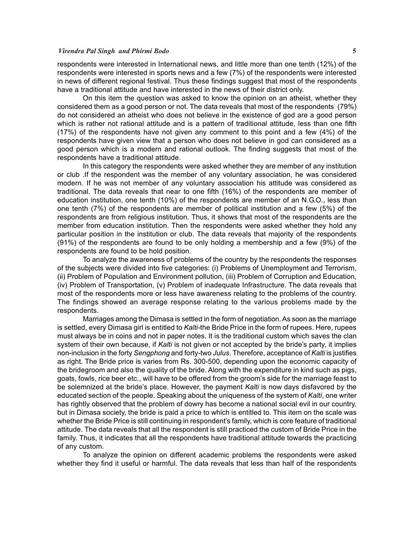### *Virendra Pal Singh and Phirmi Bodo* **5**

respondents were interested in International news, and little more than one tenth (12%) of the respondents were interested in sports news and a few (7%) of the respondents were interested in news of different regional festival. Thus these findings suggest that most of the respondents have a traditional attitude and have interested in the news of their district only.

On this item the question was asked to know the opinion on an atheist, whether they considered them as a good person or not. The data reveals that most of the respondents (79%) do not considered an atheist who does not believe in the existence of god are a good person which is rather not rational attitude and is a pattern of traditional attitude, less than one fifth (17%) of the respondents have not given any comment to this point and a few (4%) of the respondents have given view that a person who does not believe in god can considered as a good person which is a modern and rational outlook. The finding suggests that most of the respondents have a traditional attitude.

In this category the respondents were asked whether they are member of any institution or club .If the respondent was the member of any voluntary association, he was considered modern. If he was not member of any voluntary association his attitude was considered as traditional. The data reveals that near to one fifth (16%) of the respondents are member of education institution, one tenth (10%) of the respondents are member of an N.G.O., less than one tenth (7%) of the respondents are member of political institution and a few (5%) of the respondents are from religious institution. Thus, it shows that most of the respondents are the member from education institution. Then the respondents were asked whether they hold any particular position in the institution or club. The data reveals that majority of the respondents (91%) of the respondents are found to be only holding a membership and a few (9%) of the respondents are found to be hold position.

To analyze the awareness of problems of the country by the respondents the responses of the subjects were divided into five categories: (i) Problems of Unemployment and Terrorism, (ii) Problem of Population and Environment pollution, (iii) Problem of Corruption and Education, (iv) Problem of Transportation, (v) Problem of inadequate Infrastructure. The data reveals that most of the respondents more or less have awareness relating to the problems of the country. The findings showed an average response relating to the various problems made by the respondents.

Marriages among the Dimasa is settled in the form of negotiation. As soon as the marriage is settled, every Dimasa girl is entitled to *Kalti-*the Bride Price in the form of rupees. Here, rupees must always be in coins and not in paper notes. It is the traditional custom which saves the clan system of their own because, if *Kalti* is not given or not accepted by the bride's party, it implies non-inclusion in the forty *Sengphong* and forty-two *Julus*. Therefore, acceptance of *Kalti* is justifies as right. The Bride price is varies from Rs. 300-500, depending upon the economic capacity of the bridegroom and also the quality of the bride. Along with the expenditure in kind such as pigs, goats, fowls, rice beer etc., will have to be offered from the groom's side for the marriage feast to be solemnized at the bride's place. However, the payment *Kalti* is now days disfavored by the educated section of the people. Speaking about the uniqueness of the system of *Kalti*, one writer has rightly observed that the problem of dowry has become a national social evil in our country, but in Dimasa society, the bride is paid a price to which is entitled to. This item on the scale was whether the Bride Price is still continuing in respondent's family, which is core feature of traditional attitude. The data reveals that all the respondent is still practiced the custom of Bride Price in the family. Thus, it indicates that all the respondents have traditional attitude towards the practicing of any custom.

To analyze the opinion on different academic problems the respondents were asked whether they find it useful or harmful. The data reveals that less than half of the respondents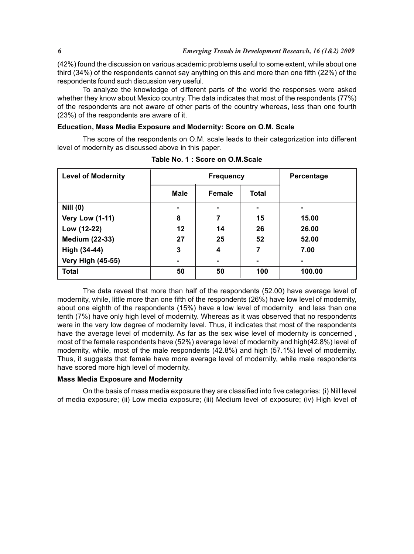(42%) found the discussion on various academic problems useful to some extent, while about one third (34%) of the respondents cannot say anything on this and more than one fifth (22%) of the respondents found such discussion very useful.

To analyze the knowledge of different parts of the world the responses were asked whether they know about Mexico country. The data indicates that most of the respondents (77%) of the respondents are not aware of other parts of the country whereas, less than one fourth (23%) of the respondents are aware of it.

### **Education, Mass Media Exposure and Modernity: Score on O.M. Scale**

The score of the respondents on O.M. scale leads to their categorization into different level of modernity as discussed above in this paper.

| <b>Level of Modernity</b> |             | <b>Frequency</b> | Percentage   |        |
|---------------------------|-------------|------------------|--------------|--------|
|                           | <b>Male</b> | <b>Female</b>    | <b>Total</b> |        |
| <b>Nill (0)</b>           | ۰           |                  |              |        |
| <b>Very Low (1-11)</b>    | 8           | 7                | 15           | 15.00  |
| Low (12-22)               | 12          | 14               | 26           | 26.00  |
| <b>Medium (22-33)</b>     | 27          | 25               | 52           | 52.00  |
| High (34-44)              | 3           | 4                | 7            | 7.00   |
| <b>Very High (45-55)</b>  |             |                  |              |        |
| <b>Total</b>              | 50          | 50               | 100          | 100.00 |

**Table No. 1 : Score on O.M.Scale**

The data reveal that more than half of the respondents (52.00) have average level of modernity, while, little more than one fifth of the respondents (26%) have low level of modernity, about one eighth of the respondents (15%) have a low level of modernity and less than one tenth (7%) have only high level of modernity. Whereas as it was observed that no respondents were in the very low degree of modernity level. Thus, it indicates that most of the respondents have the average level of modernity. As far as the sex wise level of modernity is concerned , most of the female respondents have (52%) average level of modernity and high(42.8%) level of modernity, while, most of the male respondents (42.8%) and high (57.1%) level of modernity. Thus, it suggests that female have more average level of modernity, while male respondents have scored more high level of modernity.

#### **Mass Media Exposure and Modernity**

On the basis of mass media exposure they are classified into five categories: (i) Nill level of media exposure; (ii) Low media exposure; (iii) Medium level of exposure; (iv) High level of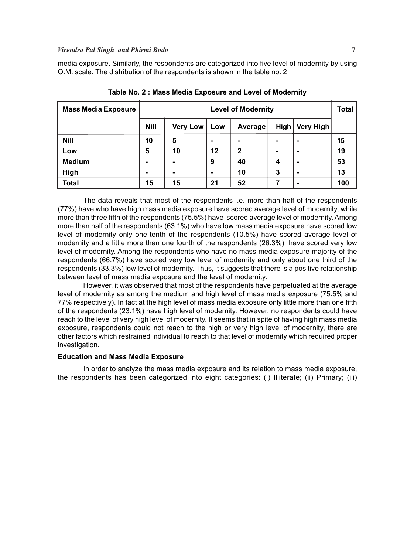# *Virendra Pal Singh and Phirmi Bodo* **7**

media exposure. Similarly, the respondents are categorized into five level of modernity by using O.M. scale. The distribution of the respondents is shown in the table no: 2

| <b>Mass Media Exposure</b> |             | <b>Level of Modernity</b> |         |              |      |                  | <b>Total</b> |
|----------------------------|-------------|---------------------------|---------|--------------|------|------------------|--------------|
|                            | <b>Nill</b> | <b>Very Low</b>           | Low     | Average      | High | <b>Very High</b> |              |
| <b>Nill</b>                | 10          | 5                         | -       | -            |      |                  | 15           |
| Low                        | 5           | 10                        | $12 \,$ | $\mathbf{2}$ |      |                  | 19           |
| <b>Medium</b>              |             |                           | 9       | 40           | 4    |                  | 53           |
| High                       | ۰           |                           |         | 10           | 3    |                  | 13           |
| <b>Total</b>               | 15          | 15                        | 21      | 52           |      |                  | 100          |

**Table No. 2 : Mass Media Exposure and Level of Modernity**

The data reveals that most of the respondents i.e. more than half of the respondents (77%) have who have high mass media exposure have scored average level of modernity, while more than three fifth of the respondents (75.5%) have scored average level of modernity. Among more than half of the respondents (63.1%) who have low mass media exposure have scored low level of modernity only one-tenth of the respondents (10.5%) have scored average level of modernity and a little more than one fourth of the respondents (26.3%) have scored very low level of modernity. Among the respondents who have no mass media exposure majority of the respondents (66.7%) have scored very low level of modernity and only about one third of the respondents (33.3%) low level of modernity. Thus, it suggests that there is a positive relationship between level of mass media exposure and the level of modernity.

However, it was observed that most of the respondents have perpetuated at the average level of modernity as among the medium and high level of mass media exposure (75.5% and 77% respectively). In fact at the high level of mass media exposure only little more than one fifth of the respondents (23.1%) have high level of modernity. However, no respondents could have reach to the level of very high level of modernity. It seems that in spite of having high mass media exposure, respondents could not reach to the high or very high level of modernity, there are other factors which restrained individual to reach to that level of modernity which required proper investigation.

# **Education and Mass Media Exposure**

In order to analyze the mass media exposure and its relation to mass media exposure, the respondents has been categorized into eight categories: (i) Illiterate; (ii) Primary; (iii)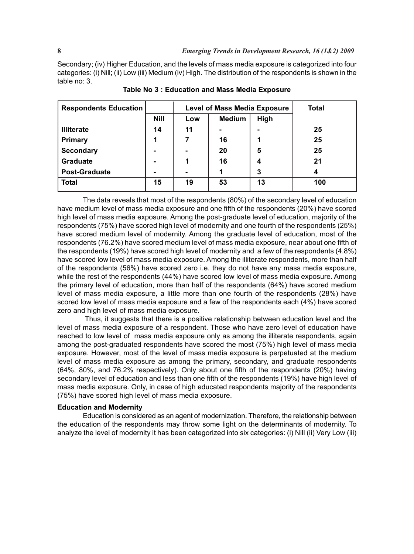Secondary; (iv) Higher Education, and the levels of mass media exposure is categorized into four categories: (i) Nill; (ii) Low (iii) Medium (iv) High. The distribution of the respondents is shown in the table no: 3.

| <b>Respondents Education</b> |             | <b>Level of Mass Media Exposure</b> | <b>Total</b>  |      |     |
|------------------------------|-------------|-------------------------------------|---------------|------|-----|
|                              | <b>Nill</b> | Low                                 | <b>Medium</b> | High |     |
| <b>Illiterate</b>            | 14          | 11                                  |               |      | 25  |
| <b>Primary</b>               | 1           | 7                                   | 16            |      | 25  |
| <b>Secondary</b>             | ۰           |                                     | 20            | 5    | 25  |
| <b>Graduate</b>              | ۰           | 1                                   | 16            | 4    | 21  |
| <b>Post-Graduate</b>         | ۰           |                                     |               | 3    | 4   |
| <b>Total</b>                 | 15          | 19                                  | 53            | 13   | 100 |

**Table No 3 : Education and Mass Media Exposure**

The data reveals that most of the respondents (80%) of the secondary level of education have medium level of mass media exposure and one fifth of the respondents (20%) have scored high level of mass media exposure. Among the post-graduate level of education, majority of the respondents (75%) have scored high level of modernity and one fourth of the respondents (25%) have scored medium level of modernity. Among the graduate level of education, most of the respondents (76.2%) have scored medium level of mass media exposure, near about one fifth of the respondents (19%) have scored high level of modernity and a few of the respondents (4.8%) have scored low level of mass media exposure. Among the illiterate respondents, more than half of the respondents (56%) have scored zero i.e. they do not have any mass media exposure, while the rest of the respondents (44%) have scored low level of mass media exposure. Among the primary level of education, more than half of the respondents (64%) have scored medium level of mass media exposure, a little more than one fourth of the respondents (28%) have scored low level of mass media exposure and a few of the respondents each (4%) have scored zero and high level of mass media exposure.

 Thus, it suggests that there is a positive relationship between education level and the level of mass media exposure of a respondent. Those who have zero level of education have reached to low level of mass media exposure only as among the illiterate respondents, again among the post-graduated respondents have scored the most (75%) high level of mass media exposure. However, most of the level of mass media exposure is perpetuated at the medium level of mass media exposure as among the primary, secondary, and graduate respondents (64%, 80%, and 76.2% respectively). Only about one fifth of the respondents (20%) having secondary level of education and less than one fifth of the respondents (19%) have high level of mass media exposure. Only, in case of high educated respondents majority of the respondents (75%) have scored high level of mass media exposure.

# **Education and Modernity**

Education is considered as an agent of modernization. Therefore, the relationship between the education of the respondents may throw some light on the determinants of modernity. To analyze the level of modernity it has been categorized into six categories: (i) Nill (ii) Very Low (iii)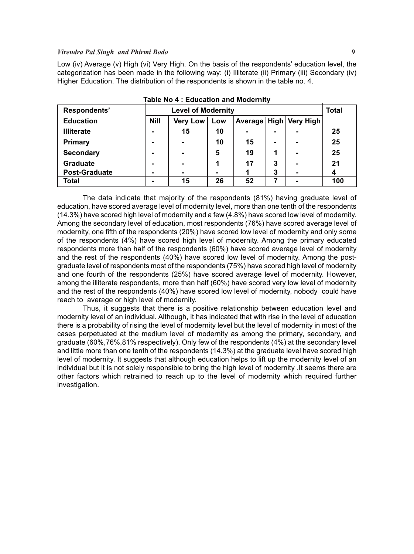### *Virendra Pal Singh and Phirmi Bodo* **9**

Low (iv) Average (v) High (vi) Very High. On the basis of the respondents' education level, the categorization has been made in the following way: (i) Illiterate (ii) Primary (iii) Secondary (iv) Higher Education. The distribution of the respondents is shown in the table no. 4.

| Respondents'         | <b>Level of Modernity</b> |                          |     |    |                |                            | <b>Total</b> |
|----------------------|---------------------------|--------------------------|-----|----|----------------|----------------------------|--------------|
| <b>Education</b>     | <b>Nill</b>               | <b>Very Low</b>          | Low |    |                | Average   High   Very High |              |
| <b>Illiterate</b>    |                           | 15                       | 10  | ۰  | $\blacksquare$ |                            | 25           |
| <b>Primary</b>       |                           | $\overline{\phantom{0}}$ | 10  | 15 | $\blacksquare$ |                            | 25           |
| <b>Secondary</b>     |                           | $\overline{\phantom{0}}$ | 5   | 19 |                | -                          | 25           |
| <b>Graduate</b>      |                           | $\overline{\phantom{0}}$ |     | 17 | 3              | -                          | 21           |
| <b>Post-Graduate</b> |                           | $\blacksquare$           |     |    | 3              |                            |              |
| Total                |                           | 15                       | 26  | 52 | 7              |                            | 100          |

**Table No 4 : Education and Modernity**

The data indicate that majority of the respondents (81%) having graduate level of education, have scored average level of modernity level, more than one tenth of the respondents (14.3%) have scored high level of modernity and a few (4.8%) have scored low level of modernity. Among the secondary level of education, most respondents (76%) have scored average level of modernity, one fifth of the respondents (20%) have scored low level of modernity and only some of the respondents (4%) have scored high level of modernity. Among the primary educated respondents more than half of the respondents (60%) have scored average level of modernity and the rest of the respondents (40%) have scored low level of modernity. Among the postgraduate level of respondents most of the respondents (75%) have scored high level of modernity and one fourth of the respondents (25%) have scored average level of modernity. However, among the illiterate respondents, more than half (60%) have scored very low level of modernity and the rest of the respondents (40%) have scored low level of modernity, nobody could have reach to average or high level of modernity.

Thus, it suggests that there is a positive relationship between education level and modernity level of an individual. Although, it has indicated that with rise in the level of education there is a probability of rising the level of modernity level but the level of modernity in most of the cases perpetuated at the medium level of modernity as among the primary, secondary, and graduate (60%,76%,81% respectively). Only few of the respondents (4%) at the secondary level and little more than one tenth of the respondents (14.3%) at the graduate level have scored high level of modernity. It suggests that although education helps to lift up the modernity level of an individual but it is not solely responsible to bring the high level of modernity .It seems there are other factors which retrained to reach up to the level of modernity which required further investigation.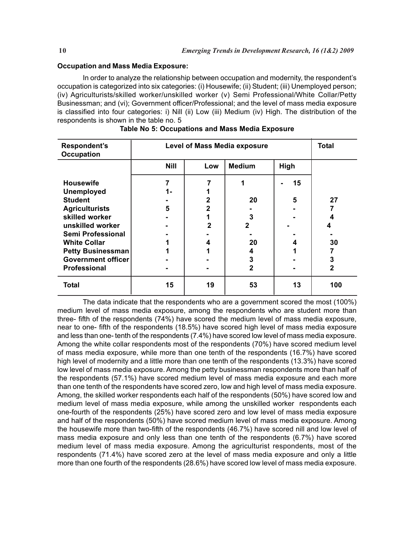### **Occupation and Mass Media Exposure:**

In order to analyze the relationship between occupation and modernity, the respondent's occupation is categorized into six categories: (i) Housewife; (ii) Student; (iii) Unemployed person; (iv) Agriculturists/skilled worker/unskilled worker (v) Semi Professional/White Collar/Petty Businessman; and (vi); Government officer/Professional; and the level of mass media exposure is classified into four categories: i) Nill (ii) Low (iii) Medium (iv) High. The distribution of the respondents is shown in the table no. 5

| Respondent's<br><b>Occupation</b>     | Level of Mass Media exposure | <b>Total</b> |               |      |                |
|---------------------------------------|------------------------------|--------------|---------------|------|----------------|
|                                       | <b>Nill</b>                  | Low          | <b>Medium</b> | High |                |
| <b>Housewife</b><br><b>Unemployed</b> | 7<br>1-                      |              |               | 15   |                |
| <b>Student</b>                        |                              | $\mathbf{2}$ | 20            | 5    | 27             |
| <b>Agriculturists</b>                 | 5                            | $\mathbf{2}$ |               |      |                |
| skilled worker                        |                              |              | 3             |      | 4              |
| unskilled worker                      |                              | $\mathbf{2}$ | 2             |      | 4              |
| Semi Professional                     |                              |              |               |      |                |
| <b>White Collar</b>                   |                              | 4            | 20            | 4    | 30             |
| <b>Petty Businessman</b>              |                              |              | 4             |      |                |
| <b>Government officer</b>             |                              |              | 3             |      | 3              |
| Professional                          |                              |              | $\mathbf{2}$  |      | $\overline{2}$ |
| <b>Total</b>                          | 15                           | 19           | 53            | 13   | 100            |

|  |  | Table No 5: Occupations and Mass Media Exposure |  |  |  |
|--|--|-------------------------------------------------|--|--|--|
|--|--|-------------------------------------------------|--|--|--|

The data indicate that the respondents who are a government scored the most (100%) medium level of mass media exposure, among the respondents who are student more than three- fifth of the respondents (74%) have scored the medium level of mass media exposure, near to one- fifth of the respondents (18.5%) have scored high level of mass media exposure and less than one- tenth of the respondents (7.4%) have scored low level of mass media exposure. Among the white collar respondents most of the respondents (70%) have scored medium level of mass media exposure, while more than one tenth of the respondents (16.7%) have scored high level of modernity and a little more than one tenth of the respondents (13.3%) have scored low level of mass media exposure. Among the petty businessman respondents more than half of the respondents (57.1%) have scored medium level of mass media exposure and each more than one tenth of the respondents have scored zero, low and high level of mass media exposure. Among, the skilled worker respondents each half of the respondents (50%) have scored low and medium level of mass media exposure, while among the unskilled worker respondents each one-fourth of the respondents (25%) have scored zero and low level of mass media exposure and half of the respondents (50%) have scored medium level of mass media exposure. Among the housewife more than two-fifth of the respondents (46.7%) have scored nill and low level of mass media exposure and only less than one tenth of the respondents (6.7%) have scored medium level of mass media exposure. Among the agriculturist respondents, most of the respondents (71.4%) have scored zero at the level of mass media exposure and only a little more than one fourth of the respondents (28.6%) have scored low level of mass media exposure.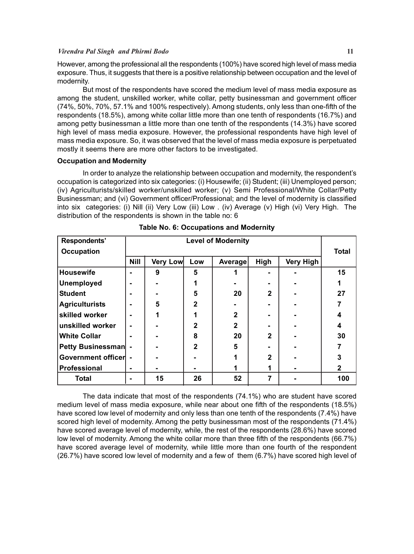# *Virendra Pal Singh and Phirmi Bodo* **11**

However, among the professional all the respondents (100%) have scored high level of mass media exposure. Thus, it suggests that there is a positive relationship between occupation and the level of modernity.

But most of the respondents have scored the medium level of mass media exposure as among the student, unskilled worker, white collar, petty businessman and government officer (74%, 50%, 70%, 57.1% and 100% respectively). Among students, only less than one-fifth of the respondents (18.5%), among white collar little more than one tenth of respondents (16.7%) and among petty businessman a little more than one tenth of the respondents (14.3%) have scored high level of mass media exposure. However, the professional respondents have high level of mass media exposure. So, it was observed that the level of mass media exposure is perpetuated mostly it seems there are more other factors to be investigated.

# **Occupation and Modernity**

In order to analyze the relationship between occupation and modernity, the respondent's occupation is categorized into six categories: (i) Housewife; (ii) Student; (iii) Unemployed person; (iv) Agriculturists/skilled worker/unskilled worker; (v) Semi Professional/White Collar/Petty Businessman; and (vi) Government officer/Professional; and the level of modernity is classified into six categories: (i) Nill (ii) Very Low (iii) Low . (iv) Average (v) High (vi) Very High. The distribution of the respondents is shown in the table no: 6

| Respondents'          |                | <b>Level of Modernity</b> |                |              |              |                  |              |
|-----------------------|----------------|---------------------------|----------------|--------------|--------------|------------------|--------------|
| <b>Occupation</b>     |                |                           |                |              |              |                  | <b>Total</b> |
|                       | <b>Nill</b>    | Very Low                  | Low            | Average      | High         | <b>Very High</b> |              |
| <b>Housewife</b>      | $\blacksquare$ | 9                         | 5              |              |              |                  | 15           |
| <b>Unemployed</b>     | $\blacksquare$ |                           | 1              |              |              |                  |              |
| <b>Student</b>        | -              |                           | 5              | 20           | $\mathbf{2}$ |                  | 27           |
| <b>Agriculturists</b> | -              | 5                         | $\overline{2}$ |              |              |                  |              |
| skilled worker        | -              |                           | 1              | $\mathbf{2}$ |              |                  | 4            |
| unskilled worker      | $\blacksquare$ |                           | $\mathbf{2}$   | $\mathbf{2}$ |              |                  | 4            |
| <b>White Collar</b>   | -              |                           | 8              | 20           | $\mathbf{2}$ |                  | 30           |
| Petty Businessman -   |                |                           | $\overline{2}$ | 5            |              |                  |              |
| Government officer -  |                |                           |                |              | $\mathbf{2}$ |                  | 3            |
| Professional          | $\blacksquare$ |                           |                | 1            | 1            |                  | $\mathbf{2}$ |
| <b>Total</b>          | $\blacksquare$ | 15                        | 26             | 52           |              |                  | 100          |

|  |  |  | Table No. 6: Occupations and Modernity |
|--|--|--|----------------------------------------|
|--|--|--|----------------------------------------|

The data indicate that most of the respondents (74.1%) who are student have scored medium level of mass media exposure, while near about one fifth of the respondents (18.5%) have scored low level of modernity and only less than one tenth of the respondents (7.4%) have scored high level of modernity. Among the petty businessman most of the respondents (71.4%) have scored average level of modernity, while, the rest of the respondents (28.6%) have scored low level of modernity. Among the white collar more than three fifth of the respondents (66.7%) have scored average level of modernity, while little more than one fourth of the respondent (26.7%) have scored low level of modernity and a few of them (6.7%) have scored high level of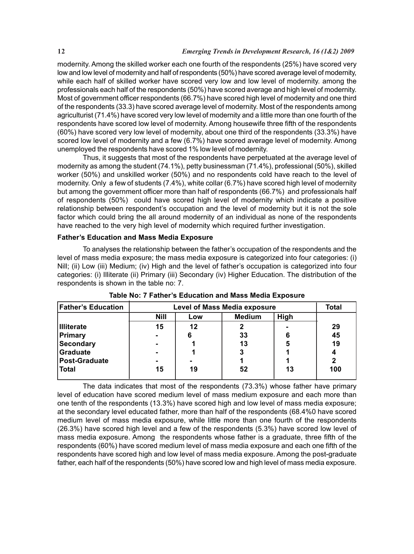modernity. Among the skilled worker each one fourth of the respondents (25%) have scored very low and low level of modernity and half of respondents (50%) have scored average level of modernity, while each half of skilled worker have scored very low and low level of modernity. among the professionals each half of the respondents (50%) have scored average and high level of modernity. Most of government officer respondents (66.7%) have scored high level of modernity and one third of the respondents (33.3) have scored average level of modernity. Most of the respondents among agriculturist (71.4%) have scored very low level of modernity and a little more than one fourth of the respondents have scored low level of modernity. Among housewife three fifth of the respondents (60%) have scored very low level of modernity, about one third of the respondents (33.3%) have scored low level of modernity and a few (6.7%) have scored average level of modernity. Among unemployed the respondents have scored 1% low level of modernity.

Thus, it suggests that most of the respondents have perpetuated at the average level of modernity as among the student (74.1%), petty businessman (71.4%), professional (50%), skilled worker (50%) and unskilled worker (50%) and no respondents cold have reach to the level of modernity. Only a few of students (7.4%), white collar (6.7%) have scored high level of modernity but among the government officer more than half of respondents (66.7%) and professionals half of respondents (50%) could have scored high level of modernity which indicate a positive relationship between respondent's occupation and the level of modernity but it is not the sole factor which could bring the all around modernity of an individual as none of the respondents have reached to the very high level of modernity which required further investigation.

# **Father's Education and Mass Media Exposure**

To analyses the relationship between the father's occupation of the respondents and the level of mass media exposure; the mass media exposure is categorized into four categories: (i) Nill; (ii) Low (iii) Medium; (iv) High and the level of father's occupation is categorized into four categories: (i) Illiterate (ii) Primary (iii) Secondary (iv) Higher Education. The distribution of the respondents is shown in the table no: 7.

| <b>Father's Education</b> | <b>Level of Mass Media exposure</b> | <b>Total</b> |    |    |     |
|---------------------------|-------------------------------------|--------------|----|----|-----|
|                           | <b>Nill</b>                         |              |    |    |     |
| <b>Illiterate</b>         | 15                                  | 12           |    |    | 29  |
| Primary                   |                                     |              | 33 |    | 45  |
| Secondary                 |                                     |              | 13 | 5  | 19  |
| Graduate                  |                                     |              |    |    |     |
| Post-Graduate             |                                     |              |    |    |     |
| Total                     | 15                                  | 19           | 52 | 13 | 100 |

**Table No: 7 Father's Education and Mass Media Exposure**

The data indicates that most of the respondents (73.3%) whose father have primary level of education have scored medium level of mass medium exposure and each more than one tenth of the respondents (13.3%) have scored high and low level of mass media exposure; at the secondary level educated father, more than half of the respondents (68.4%0 have scored medium level of mass media exposure, while little more than one fourth of the respondents (26.3%) have scored high level and a few of the respondents (5.3%) have scored low level of mass media exposure. Among the respondents whose father is a graduate, three fifth of the respondents (60%) have scored medium level of mass media exposure and each one fifth of the respondents have scored high and low level of mass media exposure. Among the post-graduate father, each half of the respondents (50%) have scored low and high level of mass media exposure.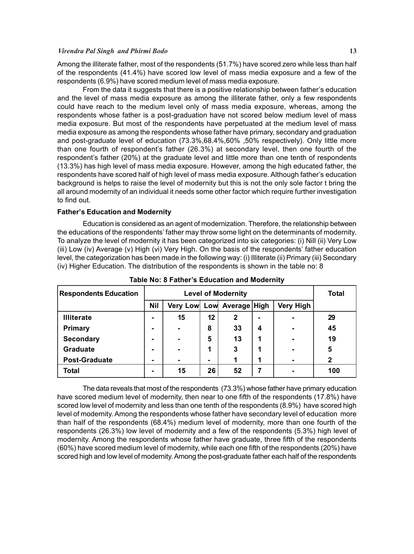#### *Virendra Pal Singh and Phirmi Bodo* **13**

Among the illiterate father, most of the respondents (51.7%) have scored zero while less than half of the respondents (41.4%) have scored low level of mass media exposure and a few of the respondents (6.9%) have scored medium level of mass media exposure.

From the data it suggests that there is a positive relationship between father's education and the level of mass media exposure as among the illiterate father, only a few respondents could have reach to the medium level only of mass media exposure, whereas, among the respondents whose father is a post-graduation have not scored below medium level of mass media exposure. But most of the respondents have perpetuated at the medium level of mass media exposure as among the respondents whose father have primary, secondary and graduation and post-graduate level of education (73.3%,68.4%,60% ,50% respectively). Only little more than one fourth of respondent's father (26.3%) at secondary level, then one fourth of the respondent's father (20%) at the graduate level and little more than one tenth of respondents (13.3%) has high level of mass media exposure. However, among the high educated father, the respondents have scored half of high level of mass media exposure. Although father's education background is helps to raise the level of modernity but this is not the only sole factor t bring the all around modernity of an individual it needs some other factor which require further investigation to find out.

# **Father's Education and Modernity**

Education is considered as an agent of modernization. Therefore, the relationship between the educations of the respondents' father may throw some light on the determinants of modernity. To analyze the level of modernity it has been categorized into six categories: (i) Nill (ii) Very Low (iii) Low (iv) Average (v) High (vi) Very High. On the basis of the respondents' father education level, the categorization has been made in the following way: (i) Illiterate (ii) Primary (iii) Secondary (iv) Higher Education. The distribution of the respondents is shown in the table no: 8

| <b>Respondents Education</b> |            | Total                     |    |              |   |                  |              |
|------------------------------|------------|---------------------------|----|--------------|---|------------------|--------------|
|                              | <b>Nil</b> | Very Low Low Average High |    |              |   | <b>Very High</b> |              |
| <b>Illiterate</b>            |            | 15                        | 12 | $\mathbf{2}$ |   |                  | 29           |
| Primary                      |            |                           | 8  | 33           | 4 |                  | 45           |
| <b>Secondary</b>             | -          | $\blacksquare$            | 5  | 13           | 1 |                  | 19           |
| <b>Graduate</b>              |            | $\blacksquare$            | 4  | 3            | 1 |                  | 5            |
| <b>Post-Graduate</b>         |            | ۰                         |    |              |   |                  | $\mathbf{2}$ |
| Total                        |            | 15                        | 26 | 52           |   |                  | 100          |

**Table No: 8 Father's Education and Modernity**

The data reveals that most of the respondents (73.3%) whose father have primary education have scored medium level of modernity, then near to one fifth of the respondents (17.8%) have scored low level of modernity and less than one tenth of the respondents (8.9%) have scored high level of modernity. Among the respondents whose father have secondary level of education more than half of the respondents (68.4%) medium level of modernity, more than one fourth of the respondents (26.3%) low level of modernity and a few of the respondents (5.3%) high level of modernity. Among the respondents whose father have graduate, three fifth of the respondents (60%) have scored medium level of modernity, while each one fifth of the respondents (20%) have scored high and low level of modernity. Among the post-graduate father each half of the respondents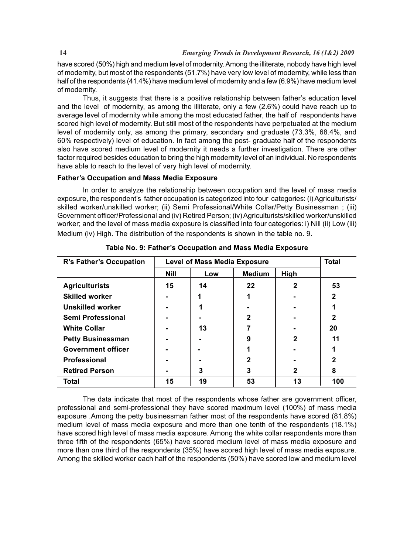have scored (50%) high and medium level of modernity. Among the illiterate, nobody have high level of modernity, but most of the respondents (51.7%) have very low level of modernity, while less than half of the respondents (41.4%) have medium level of modernity and a few (6.9%) have medium level of modernity.

Thus, it suggests that there is a positive relationship between father's education level and the level of modernity, as among the illiterate, only a few (2.6%) could have reach up to average level of modernity while among the most educated father, the half of respondents have scored high level of modernity. But still most of the respondents have perpetuated at the medium level of modernity only, as among the primary, secondary and graduate (73.3%, 68.4%, and 60% respectively) level of education. In fact among the post- graduate half of the respondents also have scored medium level of modernity it needs a further investigation. There are other factor required besides education to bring the high modernity level of an individual. No respondents have able to reach to the level of very high level of modernity.

# **Father's Occupation and Mass Media Exposure**

In order to analyze the relationship between occupation and the level of mass media exposure, the respondent's father occupation is categorized into four categories: (i) Agriculturists/ skilled worker/unskilled worker; (ii) Semi Professional/White Collar/Petty Businessman ; (iii) Government officer/Professional and (iv) Retired Person; (iv) Agriculturists/skilled worker/unskilled worker; and the level of mass media exposure is classified into four categories: i) Nill (ii) Low (iii) Medium (iv) High. The distribution of the respondents is shown in the table no. 9.

| R's Father's Occupation   | <b>Level of Mass Media Exposure</b> |     | <b>Total</b>  |              |              |
|---------------------------|-------------------------------------|-----|---------------|--------------|--------------|
|                           | <b>Nill</b>                         | Low | <b>Medium</b> | High         |              |
| <b>Agriculturists</b>     | 15                                  | 14  | 22            | $\mathbf{2}$ | 53           |
| <b>Skilled worker</b>     |                                     |     |               |              | $\mathbf{2}$ |
| Unskilled worker          |                                     |     |               |              |              |
| Semi Professional         |                                     |     | $\mathbf{2}$  |              | 2            |
| <b>White Collar</b>       |                                     | 13  | 7             |              | 20           |
| <b>Petty Businessman</b>  |                                     |     | 9             | $\mathbf{2}$ | 11           |
| <b>Government officer</b> |                                     |     |               |              |              |
| <b>Professional</b>       |                                     |     | $\mathbf{2}$  |              | 2            |
| <b>Retired Person</b>     |                                     | 3   | 3             | 2            | 8            |
| <b>Total</b>              | 15                                  | 19  | 53            | 13           | 100          |

**Table No. 9: Father's Occupation and Mass Media Exposure**

The data indicate that most of the respondents whose father are government officer, professional and semi-professional they have scored maximum level (100%) of mass media exposure .Among the petty businessman father most of the respondents have scored (81.8%) medium level of mass media exposure and more than one tenth of the respondents (18.1%) have scored high level of mass media exposure. Among the white collar respondents more than three fifth of the respondents (65%) have scored medium level of mass media exposure and more than one third of the respondents (35%) have scored high level of mass media exposure. Among the skilled worker each half of the respondents (50%) have scored low and medium level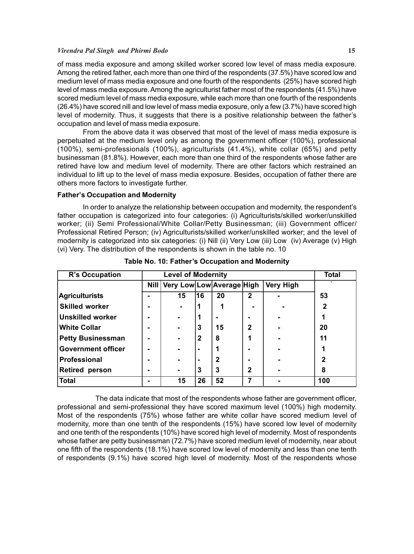### *Virendra Pal Singh and Phirmi Bodo* **15**

of mass media exposure and among skilled worker scored low level of mass media exposure. Among the retired father, each more than one third of the respondents (37.5%) have scored low and medium level of mass media exposure and one fourth of the respondents (25%) have scored high level of mass media exposure. Among the agriculturist father most of the respondents (41.5%) have scored medium level of mass media exposure, while each more than one fourth of the respondents (26.4%) have scored nill and low level of mass media exposure, only a few (3.7%) have scored high level of modernity. Thus, it suggests that there is a positive relationship between the father's occupation and level of mass media exposure.

From the above data it was observed that most of the level of mass media exposure is perpetuated at the medium level only as among the government officer (100%), professional (100%), semi-professionals (100%), agriculturists (41.4%), white collar (65%) and petty businessman (81.8%). However, each more than one third of the respondents whose father are retired have low and medium level of modernity. There are other factors which restrained an individual to lift up to the level of mass media exposure. Besides, occupation of father there are others more factors to investigate further.

### **Father's Occupation and Modernity**

In order to analyze the relationship between occupation and modernity, the respondent's father occupation is categorized into four categories: (i) Agriculturists/skilled worker/unskilled worker; (ii) Semi Professional/White Collar/Petty Businessman; (iii) Government officer/ Professional Retired Person; (iv) Agriculturists/skilled worker/unskilled worker; and the level of modernity is categorized into six categories: (i) Nill (ii) Very Low (iii) Low (iv) Average (v) High (vi) Very. The distribution of the respondents is shown in the table no. 10

| R's Occupation            | <b>Level of Modernity</b> |                                |                |    |              |                  | <b>Total</b> |
|---------------------------|---------------------------|--------------------------------|----------------|----|--------------|------------------|--------------|
|                           |                           | Nill Very Low Low Average High |                |    |              | <b>Very High</b> |              |
| <b>Agriculturists</b>     |                           | 15                             | 16             | 20 | $\mathbf{2}$ |                  | 53           |
| <b>Skilled worker</b>     |                           |                                |                |    |              |                  | $\mathbf 2$  |
| <b>Unskilled worker</b>   |                           | $\blacksquare$                 |                |    |              |                  |              |
| White Collar              |                           | $\blacksquare$                 | 3              | 15 | $\mathbf{2}$ |                  | 20           |
| <b>Petty Businessman</b>  |                           | $\blacksquare$                 | $\mathbf{2}$   | 8  | 1            |                  | 11           |
| <b>Government officer</b> |                           | -                              | $\blacksquare$ |    |              |                  |              |
| Professional              |                           |                                |                | 2  |              |                  | 2            |
| <b>Retired person</b>     |                           | ۰.                             | 3              | 3  | $\mathbf{2}$ |                  | 8            |
| Total                     |                           | 15                             | 26             | 52 |              |                  | 100          |

**Table No. 10: Father's Occupation and Modernity**

The data indicate that most of the respondents whose father are government officer, professional and semi-professional they have scored maximum level (100%) high modernity. Most of the respondents (75%) whose father are white collar have scored medium level of modernity, more than one tenth of the respondents (15%) have scored low level of modernity and one tenth of the respondents (10%) have scored high level of modernity. Most of respondents whose father are petty businessman (72.7%) have scored medium level of modernity, near about one fifth of the respondents (18.1%) have scored low level of modernity and less than one tenth of respondents (9.1%) have scored high level of modernity. Most of the respondents whose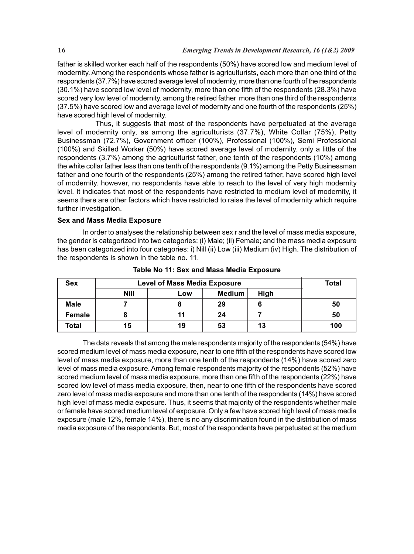father is skilled worker each half of the respondents (50%) have scored low and medium level of modernity. Among the respondents whose father is agriculturists, each more than one third of the respondents (37.7%) have scored average level of modernity, more than one fourth of the respondents (30.1%) have scored low level of modernity, more than one fifth of the respondents (28.3%) have scored very low level of modernity. among the retired father more than one third of the respondents (37.5%) have scored low and average level of modernity and one fourth of the respondents (25%) have scored high level of modernity.

Thus, it suggests that most of the respondents have perpetuated at the average level of modernity only, as among the agriculturists (37.7%), White Collar (75%), Petty Businessman (72.7%), Government officer (100%), Professional (100%), Semi Professional (100%) and Skilled Worker (50%) have scored average level of modernity. only a little of the respondents (3.7%) among the agriculturist father, one tenth of the respondents (10%) among the white collar father less than one tenth of the respondents (9.1%) among the Petty Businessman father and one fourth of the respondents (25%) among the retired father, have scored high level of modernity. however, no respondents have able to reach to the level of very high modernity level. It indicates that most of the respondents have restricted to medium level of modernity, it seems there are other factors which have restricted to raise the level of modernity which require further investigation.

# **Sex and Mass Media Exposure**

In order to analyses the relationship between sex r and the level of mass media exposure, the gender is categorized into two categories: (i) Male; (ii) Female; and the mass media exposure has been categorized into four categories: i) Nill (ii) Low (iii) Medium (iv) High. The distribution of the respondents is shown in the table no. 11.

| <b>Sex</b>  | <b>Level of Mass Media Exposure</b> | Total         |    |      |     |
|-------------|-------------------------------------|---------------|----|------|-----|
|             | <b>Nill</b>                         | Medium<br>LOW |    | High |     |
| <b>Male</b> |                                     |               | 29 | 6    | 50  |
| Female      |                                     | 11            | 24 |      | 50  |
| Total       | 15                                  | 19            | 53 | 13   | 100 |

**Table No 11: Sex and Mass Media Exposure**

The data reveals that among the male respondents majority of the respondents (54%) have scored medium level of mass media exposure, near to one fifth of the respondents have scored low level of mass media exposure, more than one tenth of the respondents (14%) have scored zero level of mass media exposure. Among female respondents majority of the respondents (52%) have scored medium level of mass media exposure, more than one fifth of the respondents (22%) have scored low level of mass media exposure, then, near to one fifth of the respondents have scored zero level of mass media exposure and more than one tenth of the respondents (14%) have scored high level of mass media exposure. Thus, it seems that majority of the respondents whether male or female have scored medium level of exposure. Only a few have scored high level of mass media exposure (male 12%, female 14%), there is no any discrimination found in the distribution of mass media exposure of the respondents. But, most of the respondents have perpetuated at the medium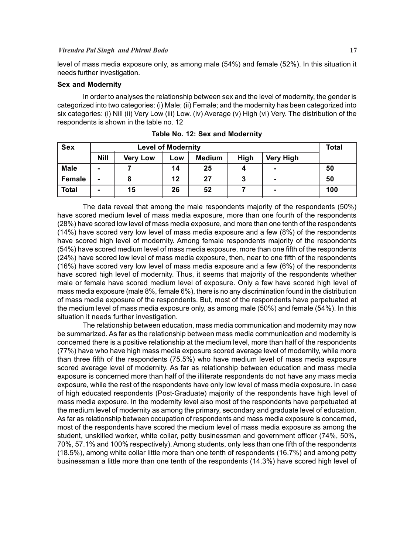level of mass media exposure only, as among male (54%) and female (52%). In this situation it needs further investigation.

# **Sex and Modernity**

In order to analyses the relationship between sex and the level of modernity, the gender is categorized into two categories: (i) Male; (ii) Female; and the modernity has been categorized into six categories: (i) Nill (ii) Very Low (iii) Low. (iv) Average (v) High (vi) Very. The distribution of the respondents is shown in the table no. 12

| <b>Sex</b>   | <b>Level of Modernity</b> |                 |     |               |      |                  | Total |
|--------------|---------------------------|-----------------|-----|---------------|------|------------------|-------|
|              | <b>Nill</b>               | <b>Very Low</b> | LOW | <b>Medium</b> | High | <b>Very High</b> |       |
| <b>Male</b>  | $\blacksquare$            |                 | 14  | 25            | 4    | $\blacksquare$   | 50    |
| Female       | ٠                         |                 | 12  | 27            | 3    | $\blacksquare$   | 50    |
| <b>Total</b> | $\blacksquare$            | 15              | 26  | 52            |      | $\blacksquare$   | 100   |

**Table No. 12: Sex and Modernity**

The data reveal that among the male respondents majority of the respondents (50%) have scored medium level of mass media exposure, more than one fourth of the respondents (28%) have scored low level of mass media exposure, and more than one tenth of the respondents (14%) have scored very low level of mass media exposure and a few (8%) of the respondents have scored high level of modernity. Among female respondents majority of the respondents (54%) have scored medium level of mass media exposure, more than one fifth of the respondents (24%) have scored low level of mass media exposure, then, near to one fifth of the respondents (16%) have scored very low level of mass media exposure and a few (6%) of the respondents have scored high level of modernity. Thus, it seems that majority of the respondents whether male or female have scored medium level of exposure. Only a few have scored high level of mass media exposure (male 8%, female 6%), there is no any discrimination found in the distribution of mass media exposure of the respondents. But, most of the respondents have perpetuated at the medium level of mass media exposure only, as among male (50%) and female (54%). In this situation it needs further investigation.

The relationship between education, mass media communication and modernity may now be summarized. As far as the relationship between mass media communication and modernity is concerned there is a positive relationship at the medium level, more than half of the respondents (77%) have who have high mass media exposure scored average level of modernity, while more than three fifth of the respondents (75.5%) who have medium level of mass media exposure scored average level of modernity. As far as relationship between education and mass media exposure is concerned more than half of the illiterate respondents do not have any mass media exposure, while the rest of the respondents have only low level of mass media exposure. In case of high educated respondents (Post-Graduate) majority of the respondents have high level of mass media exposure. In the modernity level also most of the respondents have perpetuated at the medium level of modernity as among the primary, secondary and graduate level of education. As far as relationship between occupation of respondents and mass media exposure is concerned, most of the respondents have scored the medium level of mass media exposure as among the student, unskilled worker, white collar, petty businessman and government officer (74%, 50%, 70%, 57.1% and 100% respectively). Among students, only less than one fifth of the respondents (18.5%), among white collar little more than one tenth of respondents (16.7%) and among petty businessman a little more than one tenth of the respondents (14.3%) have scored high level of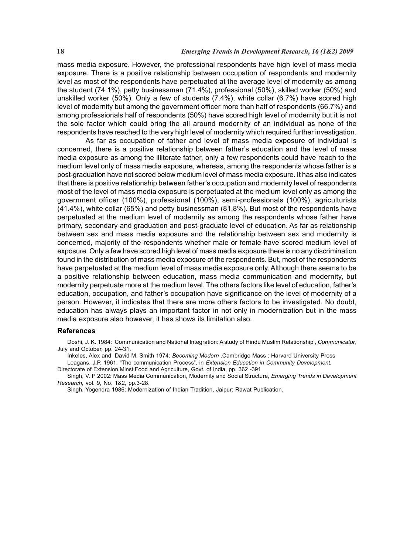mass media exposure. However, the professional respondents have high level of mass media exposure. There is a positive relationship between occupation of respondents and modernity level as most of the respondents have perpetuated at the average level of modernity as among the student (74.1%), petty businessman (71.4%), professional (50%), skilled worker (50%) and unskilled worker (50%). Only a few of students (7.4%), white collar (6.7%) have scored high level of modernity but among the government officer more than half of respondents (66.7%) and among professionals half of respondents (50%) have scored high level of modernity but it is not the sole factor which could bring the all around modernity of an individual as none of the respondents have reached to the very high level of modernity which required further investigation.

 As far as occupation of father and level of mass media exposure of individual is concerned, there is a positive relationship between father's education and the level of mass media exposure as among the illiterate father, only a few respondents could have reach to the medium level only of mass media exposure, whereas, among the respondents whose father is a post-graduation have not scored below medium level of mass media exposure. It has also indicates that there is positive relationship between father's occupation and modernity level of respondents most of the level of mass media exposure is perpetuated at the medium level only as among the government officer (100%), professional (100%), semi-professionals (100%), agriculturists (41.4%), white collar (65%) and petty businessman (81.8%). But most of the respondents have perpetuated at the medium level of modernity as among the respondents whose father have primary, secondary and graduation and post-graduate level of education. As far as relationship between sex and mass media exposure and the relationship between sex and modernity is concerned, majority of the respondents whether male or female have scored medium level of exposure. Only a few have scored high level of mass media exposure there is no any discrimination found in the distribution of mass media exposure of the respondents. But, most of the respondents have perpetuated at the medium level of mass media exposure only. Although there seems to be a positive relationship between education, mass media communication and modernity, but modernity perpetuate more at the medium level. The others factors like level of education, father's education, occupation, and father's occupation have significance on the level of modernity of a person. However, it indicates that there are more others factors to be investigated. No doubt, education has always plays an important factor in not only in modernization but in the mass media exposure also however, it has shows its limitation also.

### **References**

Doshi, J. K. 1984: 'Communication and National Integration: A study of Hindu Muslim Relationship', *Communicator*, July and October, pp. 24-31.

Inkeles, Alex and David M. Smith 1974: *Becoming Modern ,*Cambridge Mass : Harvard University Press Leagans, J.P. 1961: "The communication Process", in *Extension Education in Community Development.*

Directorate of Extension,Minst.Food and Agriculture, Govt. of India, pp. 362 -391

Singh, V. P 2002: Mass Media Communication, Modernity and Social Structure, *Emerging Trends in Development Research,* vol. 9, No. 1&2, pp.3-28.

Singh, Yogendra 1986: Modernization of Indian Tradition, Jaipur: Rawat Publication.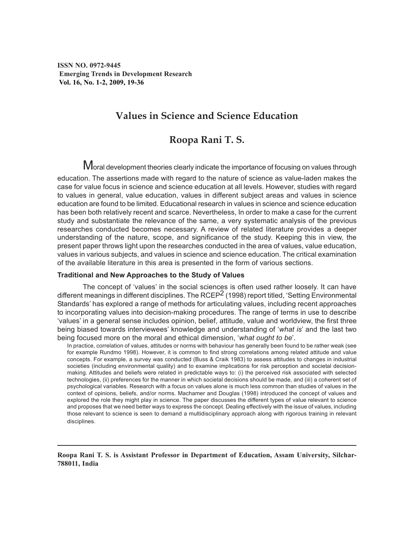**ISSN NO. 0972-9445 Emerging Trends in Development Research Vol. 16, No. 1-2, 2009, 19-36**

# **Values in Science and Science Education**

# **Roopa Rani T. S.**

Moral development theories clearly indicate the importance of focusing on values through education. The assertions made with regard to the nature of science as value-laden makes the case for value focus in science and science education at all levels. However, studies with regard to values in general, value education, values in different subject areas and values in science education are found to be limited. Educational research in values in science and science education has been both relatively recent and scarce. Nevertheless, In order to make a case for the current study and substantiate the relevance of the same, a very systematic analysis of the previous researches conducted becomes necessary. A review of related literature provides a deeper understanding of the nature, scope, and significance of the study. Keeping this in view, the present paper throws light upon the researches conducted in the area of values, value education, values in various subjects, and values in science and science education. The critical examination of the available literature in this area is presented in the form of various sections.

# **Traditional and New Approaches to the Study of Values**

The concept of 'values' in the social sciences is often used rather loosely. It can have different meanings in different disciplines. The RCEP<sup>2</sup> (1998) report titled, 'Setting Environmental Standards' has explored a range of methods for articulating values, including recent approaches to incorporating values into decision-making procedures. The range of terms in use to describe 'values' in a general sense includes opinion, belief, attitude, value and worldview, the first three being biased towards interviewees' knowledge and understanding of '*what is*' and the last two being focused more on the moral and ethical dimension, '*what ought to be*'.

In practice, correlation of values, attitudes or norms with behaviour has generally been found to be rather weak (see for example Rundmo 1998). However, it is common to find strong correlations among related attitude and value concepts. For example, a survey was conducted (Buss & Craik 1983) to assess attitudes to changes in industrial societies (including environmental quality) and to examine implications for risk perception and societal decisionmaking. Attitudes and beliefs were related in predictable ways to: (i) the perceived risk associated with selected technologies, (ii) preferences for the manner in which societal decisions should be made, and (iii) a coherent set of psychological variables. Research with a focus on values alone is much less common than studies of values in the context of opinions, beliefs, and/or norms. Machamer and Douglas (1998) introduced the concept of values and explored the role they might play in science. The paper discusses the different types of value relevant to science and proposes that we need better ways to express the concept. Dealing effectively with the issue of values, including those relevant to science is seen to demand a multidisciplinary approach along with rigorous training in relevant disciplines.

**Roopa Rani T. S. is Assistant Professor in Department of Education, Assam University, Silchar-788011, India**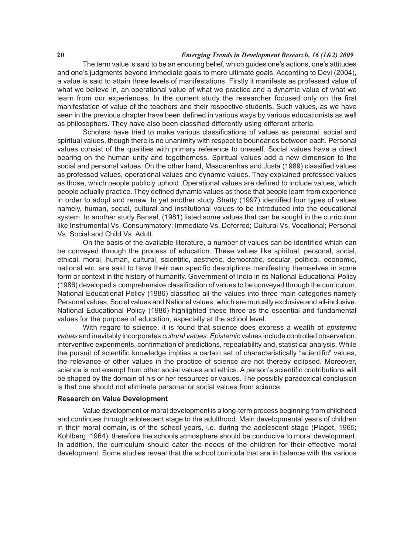# **20** *Emerging Trends in Development Research, 16 (1&2) 2009*

The term value is said to be an enduring belief, which guides one's actions, one's attitudes and one's judgments beyond immediate goals to more ultimate goals. According to Devi (2004), a value is said to attain three levels of manifestations. Firstly it manifests as professed value of what we believe in, an operational value of what we practice and a dynamic value of what we learn from our experiences. In the current study the researcher focused only on the first manifestation of value of the teachers and their respective students. Such values, as we have seen in the previous chapter have been defined in various ways by various educationists as well as philosophers. They have also been classified differently using different criteria.

Scholars have tried to make various classifications of values as personal, social and spiritual values, though there is no unanimity with respect to boundaries between each. Personal values consist of the qualities with primary reference to oneself. Social values have a direct bearing on the human unity and togetherness. Spiritual values add a new dimension to the social and personal values. On the other hand, Mascarenhas and Justa (1989) classified values as professed values, operational values and dynamic values. They explained professed values as those, which people publicly uphold. Operational values are defined to include values, which people actually practice. They defined dynamic values as those that people learn from experience in order to adopt and renew. In yet another study Shetty (1997) identified four types of values namely, human, social, cultural and institutional values to be introduced into the educational system. In another study Bansal, (1981) listed some values that can be sought in the curriculum like Instrumental Vs. Consummatory; Immediate Vs. Deferred; Cultural Vs. Vocational; Personal Vs. Social and Child Vs. Adult.

On the basis of the available literature, a number of values can be identified which can be conveyed through the process of education. These values like spiritual, personal, social, ethical, moral, human, cultural, scientific, aesthetic, democratic, secular, political, economic, national etc. are said to have their own specific descriptions manifesting themselves in some form or context in the history of humanity. Government of India in its National Educational Policy (1986) developed a comprehensive classification of values to be conveyed through the curriculum. National Educational Policy (1986) classified all the values into three main categories namely Personal values, Social values and National values, which are mutually exclusive and all-inclusive. National Educational Policy (1986) highlighted these three as the essential and fundamental values for the purpose of education, especially at the school level.

With regard to science, it is found that science does express a wealth of *epistemic values* and inevitably incorporates *cultural values. Epistemic* values include controlled observation, interventive experiments, confirmation of predictions, repeatability and, statistical analysis. While the pursuit of scientific knowledge implies a certain set of characteristically "scientific" values, the relevance of other values in the practice of science are not thereby eclipsed. Moreover, science is not exempt from other social values and ethics. A person's scientific contributions will be shaped by the domain of his or her resources or values. The possibly paradoxical conclusion is that one should not eliminate personal or social values from science.

### **Research on Value Development**

Value development or moral development is a long-term process beginning from childhood and continues through adolescent stage to the adulthood. Main developmental years of children in their moral domain, is of the school years, i.e. during the adolescent stage (Piaget, 1965; Kohlberg, 1964), therefore the schools atmosphere should be conducive to moral development. In addition, the curriculum should cater the needs of the children for their effective moral development. Some studies reveal that the school curricula that are in balance with the various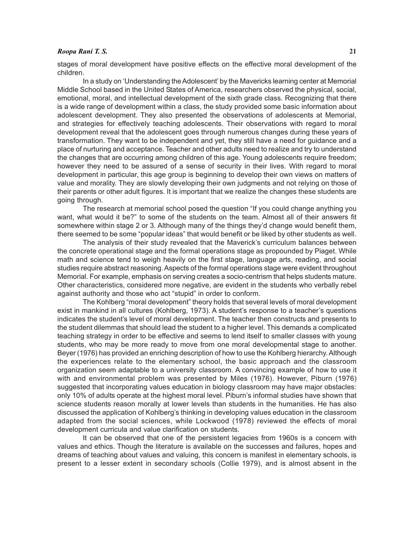### *Roopa Rani T. S.* **21**

stages of moral development have positive effects on the effective moral development of the children.

In a study on 'Understanding the Adolescent' by the Mavericks learning center at Memorial Middle School based in the United States of America, researchers observed the physical, social, emotional, moral, and intellectual development of the sixth grade class. Recognizing that there is a wide range of development within a class, the study provided some basic information about adolescent development. They also presented the observations of adolescents at Memorial, and strategies for effectively teaching adolescents. Their observations with regard to moral development reveal that the adolescent goes through numerous changes during these years of transformation. They want to be independent and yet, they still have a need for guidance and a place of nurturing and acceptance. Teacher and other adults need to realize and try to understand the changes that are occurring among children of this age. Young adolescents require freedom; however they need to be assured of a sense of security in their lives. With regard to moral development in particular, this age group is beginning to develop their own views on matters of value and morality. They are slowly developing their own judgments and not relying on those of their parents or other adult figures. It is important that we realize the changes these students are going through.

The research at memorial school posed the question "If you could change anything you want, what would it be?" to some of the students on the team. Almost all of their answers fit somewhere within stage 2 or 3. Although many of the things they'd change would benefit them, there seemed to be some "popular ideas" that would benefit or be liked by other students as well.

The analysis of their study revealed that the Maverick's curriculum balances between the concrete operational stage and the formal operations stage as propounded by Piaget. While math and science tend to weigh heavily on the first stage, language arts, reading, and social studies require abstract reasoning. Aspects of the formal operations stage were evident throughout Memorial. For example, emphasis on serving creates a socio-centrism that helps students mature. Other characteristics, considered more negative, are evident in the students who verbally rebel against authority and those who act "stupid" in order to conform.

The Kohlberg "moral development" theory holds that several levels of moral development exist in mankind in all cultures (Kohlberg, 1973). A student's response to a teacher's questions indicates the student's level of moral development. The teacher then constructs and presents to the student dilemmas that should lead the student to a higher level. This demands a complicated teaching strategy in order to be effective and seems to lend itself to smaller classes with young students, who may be more ready to move from one moral developmental stage to another. Beyer (1976) has provided an enriching description of how to use the Kohlberg hierarchy. Although the experiences relate to the elementary school, the basic approach and the classroom organization seem adaptable to a university classroom. A convincing example of how to use it with and environmental problem was presented by Miles (1976). However, Piburn (1976) suggested that incorporating values education in biology classroom may have major obstacles: only 10% of adults operate at the highest moral level. Piburn's informal studies have shown that science students reason morally at lower levels than students in the humanities. He has also discussed the application of Kohlberg's thinking in developing values education in the classroom adapted from the social sciences, while Lockwood (1978) reviewed the effects of moral development curricula and value clarification on students.

It can be observed that one of the persistent legacies from 1960s is a concern with values and ethics. Though the literature is available on the successes and failures, hopes and dreams of teaching about values and valuing, this concern is manifest in elementary schools, is present to a lesser extent in secondary schools (Collie 1979), and is almost absent in the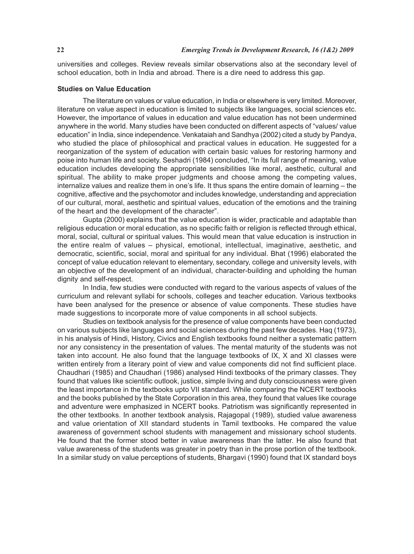universities and colleges. Review reveals similar observations also at the secondary level of school education, both in India and abroad. There is a dire need to address this gap.

### **Studies on Value Education**

The literature on values or value education, in India or elsewhere is very limited. Moreover, literature on value aspect in education is limited to subjects like languages, social sciences etc. However, the importance of values in education and value education has not been undermined anywhere in the world. Many studies have been conducted on different aspects of "values/ value education" in India, since independence. Venkataiah and Sandhya (2002) cited a study by Pandya, who studied the place of philosophical and practical values in education. He suggested for a reorganization of the system of education with certain basic values for restoring harmony and poise into human life and society. Seshadri (1984) concluded, "In its full range of meaning, value education includes developing the appropriate sensibilities like moral, aesthetic, cultural and spiritual. The ability to make proper judgments and choose among the competing values, internalize values and realize them in one's life. It thus spans the entire domain of learning – the cognitive, affective and the psychomotor and includes knowledge, understanding and appreciation of our cultural, moral, aesthetic and spiritual values, education of the emotions and the training of the heart and the development of the character".

Gupta (2000) explains that the value education is wider, practicable and adaptable than religious education or moral education, as no specific faith or religion is reflected through ethical, moral, social, cultural or spiritual values. This would mean that value education is instruction in the entire realm of values – physical, emotional, intellectual, imaginative, aesthetic, and democratic, scientific, social, moral and spiritual for any individual. Bhat (1996) elaborated the concept of value education relevant to elementary, secondary, college and university levels, with an objective of the development of an individual, character-building and upholding the human dignity and self-respect.

In India, few studies were conducted with regard to the various aspects of values of the curriculum and relevant syllabi for schools, colleges and teacher education. Various textbooks have been analysed for the presence or absence of value components. These studies have made suggestions to incorporate more of value components in all school subjects.

Studies on textbook analysis for the presence of value components have been conducted on various subjects like languages and social sciences during the past few decades. Haq (1973), in his analysis of Hindi, History, Civics and English textbooks found neither a systematic pattern nor any consistency in the presentation of values. The mental maturity of the students was not taken into account. He also found that the language textbooks of IX, X and XI classes were written entirely from a literary point of view and value components did not find sufficient place. Chaudhari (1985) and Chaudhari (1986) analysed Hindi textbooks of the primary classes. They found that values like scientific outlook, justice, simple living and duty consciousness were given the least importance in the textbooks upto VII standard. While comparing the NCERT textbooks and the books published by the State Corporation in this area, they found that values like courage and adventure were emphasized in NCERT books. Patriotism was significantly represented in the other textbooks. In another textbook analysis, Rajagopal (1989), studied value awareness and value orientation of XII standard students in Tamil textbooks. He compared the value awareness of government school students with management and missionary school students. He found that the former stood better in value awareness than the latter. He also found that value awareness of the students was greater in poetry than in the prose portion of the textbook. In a similar study on value perceptions of students, Bhargavi (1990) found that IX standard boys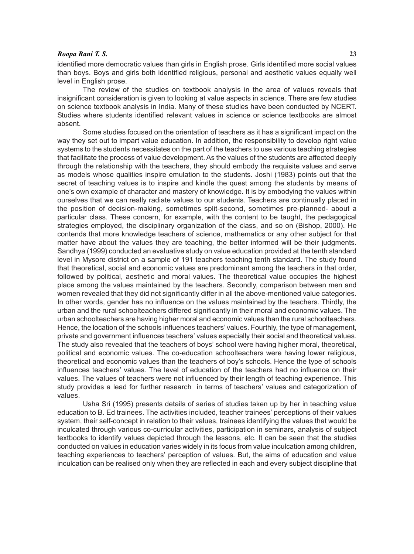# *Roopa Rani T. S.* **23**

identified more democratic values than girls in English prose. Girls identified more social values than boys. Boys and girls both identified religious, personal and aesthetic values equally well level in English prose.

The review of the studies on textbook analysis in the area of values reveals that insignificant consideration is given to looking at value aspects in science. There are few studies on science textbook analysis in India. Many of these studies have been conducted by NCERT. Studies where students identified relevant values in science or science textbooks are almost absent.

Some studies focused on the orientation of teachers as it has a significant impact on the way they set out to impart value education. In addition, the responsibility to develop right value systems to the students necessitates on the part of the teachers to use various teaching strategies that facilitate the process of value development. As the values of the students are affected deeply through the relationship with the teachers, they should embody the requisite values and serve as models whose qualities inspire emulation to the students. Joshi (1983) points out that the secret of teaching values is to inspire and kindle the quest among the students by means of one's own example of character and mastery of knowledge. It is by embodying the values within ourselves that we can really radiate values to our students. Teachers are continually placed in the position of decision-making, sometimes split-second, sometimes pre-planned- about a particular class. These concern, for example, with the content to be taught, the pedagogical strategies employed, the disciplinary organization of the class, and so on (Bishop, 2000). He contends that more knowledge teachers of science, mathematics or any other subject for that matter have about the values they are teaching, the better informed will be their judgments. Sandhya (1999) conducted an evaluative study on value education provided at the tenth standard level in Mysore district on a sample of 191 teachers teaching tenth standard. The study found that theoretical, social and economic values are predominant among the teachers in that order, followed by political, aesthetic and moral values. The theoretical value occupies the highest place among the values maintained by the teachers. Secondly, comparison between men and women revealed that they did not significantly differ in all the above-mentioned value categories. In other words, gender has no influence on the values maintained by the teachers. Thirdly, the urban and the rural schoolteachers differed significantly in their moral and economic values. The urban schoolteachers are having higher moral and economic values than the rural schoolteachers. Hence, the location of the schools influences teachers' values. Fourthly, the type of management, private and government influences teachers' values especially their social and theoretical values. The study also revealed that the teachers of boys' school were having higher moral, theoretical, political and economic values. The co-education schoolteachers were having lower religious, theoretical and economic values than the teachers of boy's schools. Hence the type of schools influences teachers' values. The level of education of the teachers had no influence on their values. The values of teachers were not influenced by their length of teaching experience. This study provides a lead for further research in terms of teachers' values and categorization of values.

Usha Sri (1995) presents details of series of studies taken up by her in teaching value education to B. Ed trainees. The activities included, teacher trainees' perceptions of their values system, their self-concept in relation to their values, trainees identifying the values that would be inculcated through various co-curricular activities, participation in seminars, analysis of subject textbooks to identify values depicted through the lessons, etc. It can be seen that the studies conducted on values in education varies widely in its focus from value inculcation among children, teaching experiences to teachers' perception of values. But, the aims of education and value inculcation can be realised only when they are reflected in each and every subject discipline that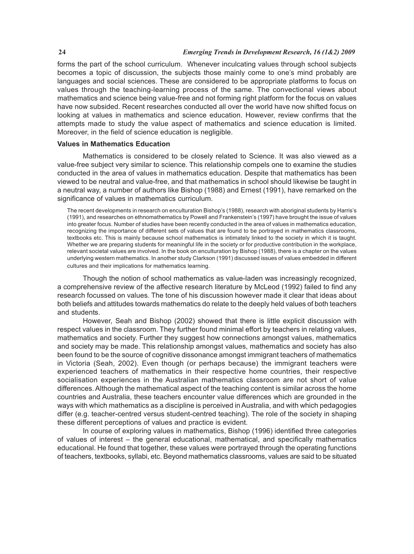forms the part of the school curriculum. Whenever inculcating values through school subjects becomes a topic of discussion, the subjects those mainly come to one's mind probably are languages and social sciences. These are considered to be appropriate platforms to focus on values through the teaching-learning process of the same. The convectional views about mathematics and science being value-free and not forming right platform for the focus on values have now subsided. Recent researches conducted all over the world have now shifted focus on looking at values in mathematics and science education. However, review confirms that the attempts made to study the value aspect of mathematics and science education is limited. Moreover, in the field of science education is negligible.

# **Values in Mathematics Education**

Mathematics is considered to be closely related to Science. It was also viewed as a value-free subject very similar to science. This relationship compels one to examine the studies conducted in the area of values in mathematics education. Despite that mathematics has been viewed to be neutral and value-free, and that mathematics in school should likewise be taught in a neutral way, a number of authors like Bishop (1988) and Ernest (1991), have remarked on the significance of values in mathematics curriculum.

The recent developments in research on enculturation Bishop's (1988), research with aboriginal students by Harris's (1991), and researches on ethnomathematics by Powell and Frankenstein's (1997) have brought the issue of values into greater focus. Number of studies have been recently conducted in the area of values in mathematics education, recognizing the importance of different sets of values that are found to be portrayed in mathematics classrooms, textbooks etc. This is mainly because school mathematics is intimately linked to the society in which it is taught. Whether we are preparing students for meaningful life in the society or for productive contribution in the workplace, relevant societal values are involved. In the book on enculturation by Bishop (1988), there is a chapter on the values underlying western mathematics. In another study Clarkson (1991) discussed issues of values embedded in different cultures and their implications for mathematics learning.

Though the notion of school mathematics as value-laden was increasingly recognized, a comprehensive review of the affective research literature by McLeod (1992) failed to find any research focussed on values. The tone of his discussion however made it clear that ideas about both beliefs and attitudes towards mathematics do relate to the deeply held values of both teachers and students.

However, Seah and Bishop (2002) showed that there is little explicit discussion with respect values in the classroom. They further found minimal effort by teachers in relating values, mathematics and society. Further they suggest how connections amongst values, mathematics and society may be made. This relationship amongst values, mathematics and society has also been found to be the source of cognitive dissonance amongst immigrant teachers of mathematics in Victoria (Seah, 2002). Even though (or perhaps because) the immigrant teachers were experienced teachers of mathematics in their respective home countries, their respective socialisation experiences in the Australian mathematics classroom are not short of value differences. Although the mathematical aspect of the teaching content is similar across the home countries and Australia, these teachers encounter value differences which are grounded in the ways with which mathematics as a discipline is perceived in Australia, and with which pedagogies differ (e.g. teacher-centred versus student-centred teaching). The role of the society in shaping these different perceptions of values and practice is evident.

In course of exploring values in mathematics, Bishop (1996) identified three categories of values of interest – the general educational, mathematical, and specifically mathematics educational. He found that together, these values were portrayed through the operating functions of teachers, textbooks, syllabi, etc. Beyond mathematics classrooms, values are said to be situated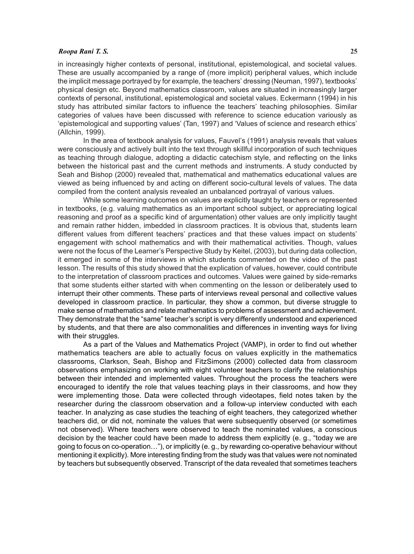#### *Roopa Rani T. S.* **25**

in increasingly higher contexts of personal, institutional, epistemological, and societal values. These are usually accompanied by a range of (more implicit) peripheral values, which include the implicit message portrayed by for example, the teachers' dressing (Neuman, 1997), textbooks' physical design etc. Beyond mathematics classroom, values are situated in increasingly larger contexts of personal, institutional, epistemological and societal values. Eckermann (1994) in his study has attributed similar factors to influence the teachers' teaching philosophies. Similar categories of values have been discussed with reference to science education variously as 'epistemological and supporting values' (Tan, 1997) and 'Values of science and research ethics' (Allchin, 1999).

In the area of textbook analysis for values, Fauvel's (1991) analysis reveals that values were consciously and actively built into the text through skillful incorporation of such techniques as teaching through dialogue, adopting a didactic catechism style, and reflecting on the links between the historical past and the current methods and instruments. A study conducted by Seah and Bishop (2000) revealed that, mathematical and mathematics educational values are viewed as being influenced by and acting on different socio-cultural levels of values. The data compiled from the content analysis revealed an unbalanced portrayal of various values.

While some learning outcomes on values are explicitly taught by teachers or represented in textbooks, (e.g. valuing mathematics as an important school subject, or appreciating logical reasoning and proof as a specific kind of argumentation) other values are only implicitly taught and remain rather hidden, imbedded in classroom practices. It is obvious that, students learn different values from different teachers' practices and that these values impact on students' engagement with school mathematics and with their mathematical activities. Though, values were not the focus of the Learner's Perspective Study by Keitel, (2003), but during data collection, it emerged in some of the interviews in which students commented on the video of the past lesson. The results of this study showed that the explication of values, however, could contribute to the interpretation of classroom practices and outcomes. Values were gained by side-remarks that some students either started with when commenting on the lesson or deliberately used to interrupt their other comments. These parts of interviews reveal personal and collective values developed in classroom practice. In particular, they show a common, but diverse struggle to make sense of mathematics and relate mathematics to problems of assessment and achievement. They demonstrate that the "same" teacher's script is very differently understood and experienced by students, and that there are also commonalities and differences in inventing ways for living with their struggles.

As a part of the Values and Mathematics Project (VAMP), in order to find out whether mathematics teachers are able to actually focus on values explicitly in the mathematics classrooms, Clarkson, Seah, Bishop and FitzSimons (2000) collected data from classroom observations emphasizing on working with eight volunteer teachers to clarify the relationships between their intended and implemented values. Throughout the process the teachers were encouraged to identify the role that values teaching plays in their classrooms, and how they were implementing those. Data were collected through videotapes, field notes taken by the researcher during the classroom observation and a follow-up interview conducted with each teacher. In analyzing as case studies the teaching of eight teachers, they categorized whether teachers did, or did not, nominate the values that were subsequently observed (or sometimes not observed). Where teachers were observed to teach the nominated values, a conscious decision by the teacher could have been made to address them explicitly (e. g., "today we are going to focus on co-operation…"), or implicitly (e. g., by rewarding co-operative behaviour without mentioning it explicitly). More interesting finding from the study was that values were not nominated by teachers but subsequently observed. Transcript of the data revealed that sometimes teachers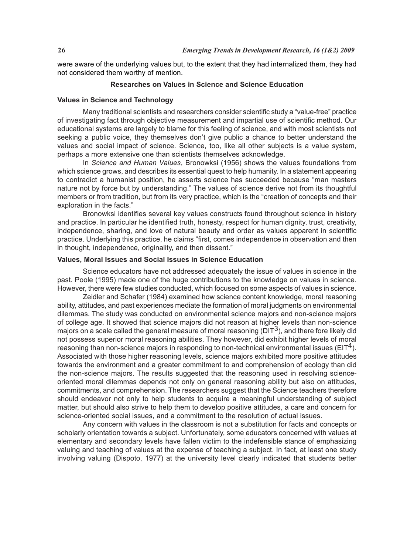were aware of the underlying values but, to the extent that they had internalized them, they had not considered them worthy of mention.

# **Researches on Values in Science and Science Education**

### **Values in Science and Technology**

Many traditional scientists and researchers consider scientific study a "value-free" practice of investigating fact through objective measurement and impartial use of scientific method. Our educational systems are largely to blame for this feeling of science, and with most scientists not seeking a public voice, they themselves don't give public a chance to better understand the values and social impact of science. Science, too, like all other subjects is a value system, perhaps a more extensive one than scientists themselves acknowledge.

In *Science and Human Values*, Bronowksi (1956) shows the values foundations from which science grows, and describes its essential quest to help humanity. In a statement appearing to contradict a humanist position, he asserts science has succeeded because "man masters nature not by force but by understanding." The values of science derive not from its thoughtful members or from tradition, but from its very practice, which is the "creation of concepts and their exploration in the facts."

Bronowksi identifies several key values constructs found throughout science in history and practice. In particular he identified truth, honesty, respect for human dignity, trust, creativity, independence, sharing, and love of natural beauty and order as values apparent in scientific practice. Underlying this practice, he claims "first, comes independence in observation and then in thought, independence, originality, and then dissent."

# **Values, Moral Issues and Social Issues in Science Education**

Science educators have not addressed adequately the issue of values in science in the past. Poole (1995) made one of the huge contributions to the knowledge on values in science. However, there were few studies conducted, which focused on some aspects of values in science.

Zeidler and Schafer (1984) examined how science content knowledge, moral reasoning ability, attitudes, and past experiences mediate the formation of moral judgments on environmental dilemmas. The study was conducted on environmental science majors and non-science majors of college age. It showed that science majors did not reason at higher levels than non-science majors on a scale called the general measure of moral reasoning ( $DIT<sup>3</sup>$ ), and there fore likely did not possess superior moral reasoning abilities. They however, did exhibit higher levels of moral reasoning than non-science majors in responding to non-technical environmental issues ( $EIT<sup>4</sup>$ ). Associated with those higher reasoning levels, science majors exhibited more positive attitudes towards the environment and a greater commitment to and comprehension of ecology than did the non-science majors. The results suggested that the reasoning used in resolving scienceoriented moral dilemmas depends not only on general reasoning ability but also on attitudes, commitments, and comprehension. The researchers suggest that the Science teachers therefore should endeavor not only to help students to acquire a meaningful understanding of subject matter, but should also strive to help them to develop positive attitudes, a care and concern for science-oriented social issues, and a commitment to the resolution of actual issues.

Any concern with values in the classroom is not a substitution for facts and concepts or scholarly orientation towards a subject. Unfortunately, some educators concerned with values at elementary and secondary levels have fallen victim to the indefensible stance of emphasizing valuing and teaching of values at the expense of teaching a subject. In fact, at least one study involving valuing (Dispoto, 1977) at the university level clearly indicated that students better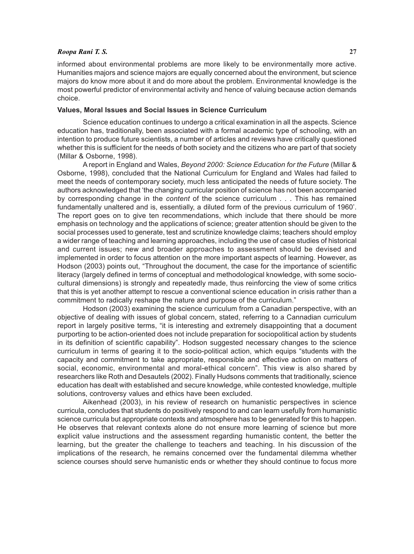### *Roopa Rani T. S.* **27**

informed about environmental problems are more likely to be environmentally more active. Humanities majors and science majors are equally concerned about the environment, but science majors do know more about it and do more about the problem. Environmental knowledge is the most powerful predictor of environmental activity and hence of valuing because action demands choice.

# **Values, Moral Issues and Social Issues in Science Curriculum**

Science education continues to undergo a critical examination in all the aspects. Science education has, traditionally, been associated with a formal academic type of schooling, with an intention to produce future scientists, a number of articles and reviews have critically questioned whether this is sufficient for the needs of both society and the citizens who are part of that society (Millar & Osborne, 1998).

A report in England and Wales, *Beyond 2000: Science Education for the Future* (Millar & Osborne, 1998), concluded that the National Curriculum for England and Wales had failed to meet the needs of contemporary society, much less anticipated the needs of future society. The authors acknowledged that 'the changing curricular position of science has not been accompanied by corresponding change in the *content* of the science curriculum . . . This has remained fundamentally unaltered and is, essentially, a diluted form of the previous curriculum of 1960'. The report goes on to give ten recommendations, which include that there should be more emphasis on technology and the applications of science; greater attention should be given to the social processes used to generate, test and scrutinize knowledge claims; teachers should employ a wider range of teaching and learning approaches, including the use of case studies of historical and current issues; new and broader approaches to assessment should be devised and implemented in order to focus attention on the more important aspects of learning. However, as Hodson (2003) points out, "Throughout the document, the case for the importance of scientific literacy (largely defined in terms of conceptual and methodological knowledge, with some sociocultural dimensions) is strongly and repeatedly made, thus reinforcing the view of some critics that this is yet another attempt to rescue a conventional science education in crisis rather than a commitment to radically reshape the nature and purpose of the curriculum."

Hodson (2003) examining the science curriculum from a Canadian perspective, with an objective of dealing with issues of global concern, stated, referring to a Cannadian curriculum report in largely positive terms, "it is interesting and extremely disappointing that a document purporting to be action-oriented does not include preparation for sociopolitical action by students in its definition of scientific capability". Hodson suggested necessary changes to the science curriculum in terms of gearing it to the socio-political action, which equips "students with the capacity and commitment to take appropriate, responsible and effective action on matters of social, economic, environmental and moral-ethical concern". This view is also shared by researchers like Roth and Desautels (2002). Finally Hudsons comments that traditionally, science education has dealt with established and secure knowledge, while contested knowledge, multiple solutions, controversy values and ethics have been excluded.

Aikenhead (2003), in his review of research on humanistic perspectives in science curricula, concludes that students do positively respond to and can learn usefully from humanistic science curricula but appropriate contexts and atmosphere has to be generated for this to happen. He observes that relevant contexts alone do not ensure more learning of science but more explicit value instructions and the assessment regarding humanistic content, the better the learning, but the greater the challenge to teachers and teaching. In his discussion of the implications of the research, he remains concerned over the fundamental dilemma whether science courses should serve humanistic ends or whether they should continue to focus more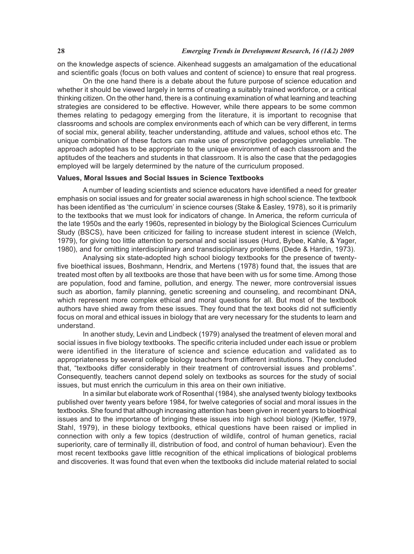on the knowledge aspects of science. Aikenhead suggests an amalgamation of the educational and scientific goals (focus on both values and content of science) to ensure that real progress.

On the one hand there is a debate about the future purpose of science education and whether it should be viewed largely in terms of creating a suitably trained workforce, or a critical thinking citizen. On the other hand, there is a continuing examination of what learning and teaching strategies are considered to be effective. However, while there appears to be some common themes relating to pedagogy emerging from the literature, it is important to recognise that classrooms and schools are complex environments each of which can be very different, in terms of social mix, general ability, teacher understanding, attitude and values, school ethos etc. The unique combination of these factors can make use of prescriptive pedagogies unreliable. The approach adopted has to be appropriate to the unique environment of each classroom and the aptitudes of the teachers and students in that classroom. It is also the case that the pedagogies employed will be largely determined by the nature of the curriculum proposed.

# **Values, Moral Issues and Social Issues in Science Textbooks**

A number of leading scientists and science educators have identified a need for greater emphasis on social issues and for greater social awareness in high school science. The textbook has been identified as 'the curriculum' in science courses (Stake & Easley, 1978), so it is primarily to the textbooks that we must look for indicators of change. In America, the reform curricula of the late 1950s and the early 1960s, represented in biology by the Biological Sciences Curriculum Study (BSCS), have been criticized for failing to increase student interest in science (Welch, 1979), for giving too little attention to personal and social issues (Hurd, Bybee, Kahle, & Yager, 1980), and for omitting interdisciplinary and transdisciplinary problems (Dede & Hardin, 1973).

Analysing six state-adopted high school biology textbooks for the presence of twentyfive bioethical issues, Boshmann, Hendrix, and Mertens (1978) found that, the issues that are treated most often by all textbooks are those that have been with us for some time. Among those are population, food and famine, pollution, and energy. The newer, more controversial issues such as abortion, family planning, genetic screening and counseling, and recombinant DNA, which represent more complex ethical and moral questions for all. But most of the textbook authors have shied away from these issues. They found that the text books did not sufficiently focus on moral and ethical issues in biology that are very necessary for the students to learn and understand.

In another study, Levin and Lindbeck (1979) analysed the treatment of eleven moral and social issues in five biology textbooks. The specific criteria included under each issue or problem were identified in the literature of science and science education and validated as to appropriateness by several college biology teachers from different institutions. They concluded that, "textbooks differ considerably in their treatment of controversial issues and problems". Consequently, teachers cannot depend solely on textbooks as sources for the study of social issues, but must enrich the curriculum in this area on their own initiative.

In a similar but elaborate work of Rosenthal (1984), she analysed twenty biology textbooks published over twenty years before 1984, for twelve categories of social and moral issues in the textbooks. She found that although increasing attention has been given in recent years to bioethical issues and to the importance of bringing these issues into high school biology (Kieffer, 1979, Stahl, 1979), in these biology textbooks, ethical questions have been raised or implied in connection with only a few topics (destruction of wildlife, control of human genetics, racial superiority, care of terminally ill, distribution of food, and control of human behaviour). Even the most recent textbooks gave little recognition of the ethical implications of biological problems and discoveries. It was found that even when the textbooks did include material related to social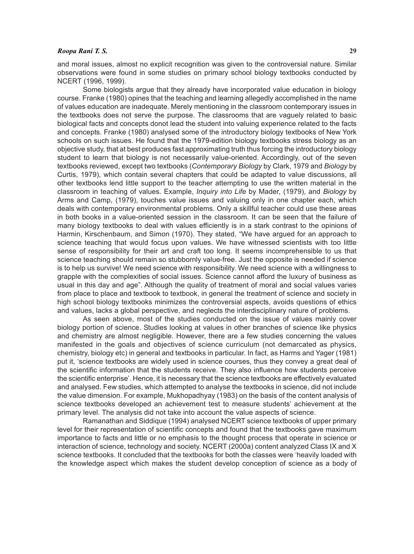# *Roopa Rani T. S.* **29**

and moral issues, almost no explicit recognition was given to the controversial nature. Similar observations were found in some studies on primary school biology textbooks conducted by NCERT (1996, 1999).

Some biologists argue that they already have incorporated value education in biology course. Franke (1980) opines that the teaching and learning allegedly accomplished in the name of values education are inadequate. Merely mentioning in the classroom contemporary issues in the textbooks does not serve the purpose. The classrooms that are vaguely related to basic biological facts and concepts donot lead the student into valuing experience related to the facts and concepts. Franke (1980) analysed some of the introductory biology textbooks of New York schools on such issues. He found that the 1979-edition biology textbooks stress biology as an objective study, that at best produces fast approximating truth thus forcing the introductory biology student to learn that biology is not necessarily value-oriented. Accordingly, out of the seven textbooks reviewed, except two textbooks (*Contemporary Biology* by Clark, 1979 and *Biology* by Curtis, 1979), which contain several chapters that could be adapted to value discussions, all other textbooks lend little support to the teacher attempting to use the written material in the classroom in teaching of values. Example, *Inquiry into Life* by Mader, (1979), and *Biology* by Arms and Camp, (1979), touches value issues and valuing only in one chapter each, which deals with contemporary environmental problems. Only a skillful teacher could use these areas in both books in a value-oriented session in the classroom. It can be seen that the failure of many biology textbooks to deal with values efficiently is in a stark contrast to the opinions of Harmin, Kirschenbaum, and Simon (1970). They stated, "We have argued for an approach to science teaching that would focus upon values. We have witnessed scientists with too little sense of responsibility for their art and craft too long. It seems incomprehensible to us that science teaching should remain so stubbornly value-free. Just the opposite is needed if science is to help us survive! We need science with responsibility. We need science with a willingness to grapple with the complexities of social issues. Science cannot afford the luxury of business as usual in this day and age". Although the quality of treatment of moral and social values varies from place to place and textbook to textbook, in general the treatment of science and society in high school biology textbooks minimizes the controversial aspects, avoids questions of ethics and values, lacks a global perspective, and neglects the interdisciplinary nature of problems.

As seen above, most of the studies conducted on the issue of values mainly cover biology portion of science. Studies looking at values in other branches of science like physics and chemistry are almost negligible. However, there are a few studies concerning the values manifested in the goals and objectives of science curriculum (not demarcated as physics, chemistry, biology etc) in general and textbooks in particular. In fact, as Harms and Yager (1981) put it, 'science textbooks are widely used in science courses, thus they convey a great deal of the scientific information that the students receive. They also influence how students perceive the scientific enterprise'. Hence, it is necessary that the science textbooks are effectively evaluated and analysed. Few studies, which attempted to analyse the textbooks in science, did not include the value dimension. For example, Mukhopadhyay (1983) on the basis of the content analysis of science textbooks developed an achievement test to measure students' achievement at the primary level. The analysis did not take into account the value aspects of science.

Ramanathan and Siddique (1994) analysed NCERT science textbooks of upper primary level for their representation of scientific concepts and found that the textbooks gave maximum importance to facts and little or no emphasis to the thought process that operate in science or interaction of science, technology and society. NCERT (2000a) content analyzed Class IX and X science textbooks. It concluded that the textbooks for both the classes were 'heavily loaded with the knowledge aspect which makes the student develop conception of science as a body of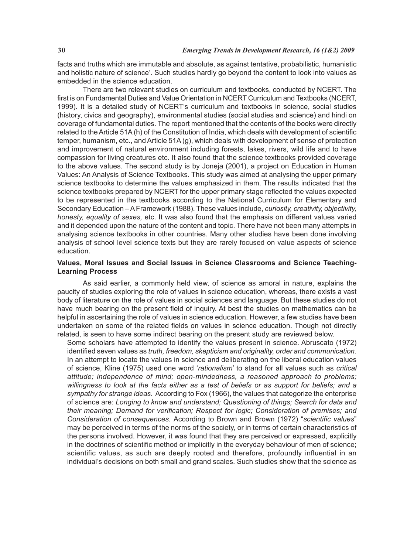facts and truths which are immutable and absolute, as against tentative, probabilistic, humanistic and holistic nature of science'. Such studies hardly go beyond the content to look into values as embedded in the science education.

There are two relevant studies on curriculum and textbooks, conducted by NCERT. The first is on Fundamental Duties and Value Orientation in NCERT Curriculum and Textbooks (NCERT, 1999). It is a detailed study of NCERT's curriculum and textbooks in science, social studies (history, civics and geography), environmental studies (social studies and science) and hindi on coverage of fundamental duties. The report mentioned that the contents of the books were directly related to the Article 51A (h) of the Constitution of India, which deals with development of scientific temper, humanism, etc., and Article 51A (g), which deals with development of sense of protection and improvement of natural environment including forests, lakes, rivers, wild life and to have compassion for living creatures etc. It also found that the science textbooks provided coverage to the above values. The second study is by Joneja (2001), a project on Education in Human Values: An Analysis of Science Textbooks. This study was aimed at analysing the upper primary science textbooks to determine the values emphasized in them. The results indicated that the science textbooks prepared by NCERT for the upper primary stage reflected the values expected to be represented in the textbooks according to the National Curriculum for Elementary and Secondary Education – A Framework (1988). These values include, *curiosity, creativity, objectivity, honesty, equality of sexes,* etc. It was also found that the emphasis on different values varied and it depended upon the nature of the content and topic. There have not been many attempts in analysing science textbooks in other countries. Many other studies have been done involving analysis of school level science texts but they are rarely focused on value aspects of science education.

# **Values, Moral Issues and Social Issues in Science Classrooms and Science Teaching-Learning Process**

As said earlier, a commonly held view, of science as amoral in nature, explains the paucity of studies exploring the role of values in science education, whereas, there exists a vast body of literature on the role of values in social sciences and language. But these studies do not have much bearing on the present field of inquiry. At best the studies on mathematics can be helpful in ascertaining the role of values in science education. However, a few studies have been undertaken on some of the related fields on values in science education. Though not directly related, is seen to have some indirect bearing on the present study are reviewed below.

Some scholars have attempted to identify the values present in science. Abruscato (1972) identified seven values as *truth, freedom, skepticism and originality, order and communication*. In an attempt to locate the values in science and deliberating on the liberal education values of science, Kline (1975) used one word '*rationalism*' to stand for all values such as *critical attitude; independence of mind; open-mindedness, a reasoned approach to problems; willingness to look at the facts either as a test of beliefs or as support for beliefs; and a sympathy for strange ideas*. According to Fox (1966), the values that categorize the enterprise of science are: *Longing to know and understand; Questioning of things; Search for data and their meaning; Demand for verification; Respect for logic; Consideration of premises; and Consideration of consequences.* According to Brown and Brown (1972) "*scientific values*" may be perceived in terms of the norms of the society, or in terms of certain characteristics of the persons involved. However, it was found that they are perceived or expressed, explicitly in the doctrines of scientific method or implicitly in the everyday behaviour of men of science; scientific values, as such are deeply rooted and therefore, profoundly influential in an individual's decisions on both small and grand scales. Such studies show that the science as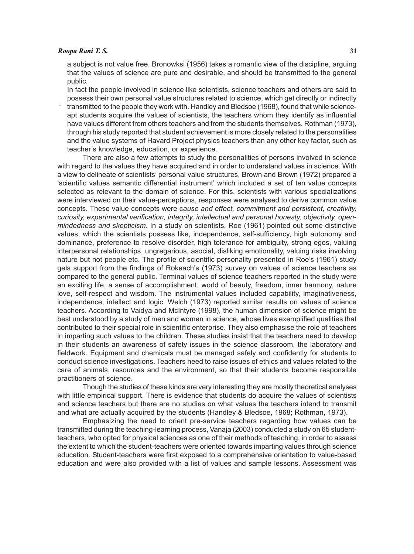### *Roopa Rani T. S.* **31**

a subject is not value free. Bronowksi (1956) takes a romantic view of the discipline, arguing that the values of science are pure and desirable, and should be transmitted to the general public.

 . In fact the people involved in science like scientists, science teachers and others are said to possess their own personal value structures related to science, which get directly or indirectly transmitted to the people they work with. Handley and Bledsoe (1968), found that while scienceapt students acquire the values of scientists, the teachers whom they identify as influential have values different from others teachers and from the students themselves. Rothman (1973), through his study reported that student achievement is more closely related to the personalities and the value systems of Havard Project physics teachers than any other key factor, such as teacher's knowledge, education, or experience.

There are also a few attempts to study the personalities of persons involved in science with regard to the values they have acquired and in order to understand values in science. With a view to delineate of scientists' personal value structures, Brown and Brown (1972) prepared a 'scientific values semantic differential instrument' which included a set of ten value concepts selected as relevant to the domain of science. For this, scientists with various specializations were interviewed on their value-perceptions, responses were analysed to derive common value concepts. These value concepts were c*ause and effect, commitment and persistent, creativity, curiosity, experimental verification, integrity, intellectual and personal honesty, objectivity, openmindedness and skepticism*. In a study on scientists, Roe (1961) pointed out some distinctive values, which the scientists possess like, independence, self-sufficiency, high autonomy and dominance, preference to resolve disorder, high tolerance for ambiguity, strong egos, valuing interpersonal relationships, ungregarious, asocial, disliking emotionality, valuing risks involving nature but not people etc. The profile of scientific personality presented in Roe's (1961) study gets support from the findings of Rokeach's (1973) survey on values of science teachers as compared to the general public. Terminal values of science teachers reported in the study were an exciting life, a sense of accomplishment, world of beauty, freedom, inner harmony, nature love, self-respect and wisdom. The instrumental values included capability, imaginativeness, independence, intellect and logic. Welch (1973) reported similar results on values of science teachers. According to Vaidya and McIntyre (1998), the human dimension of science might be best understood by a study of men and women in science, whose lives exemplified qualities that contributed to their special role in scientific enterprise. They also emphasise the role of teachers in imparting such values to the children. These studies insist that the teachers need to develop in their students an awareness of safety issues in the science classroom, the laboratory and fieldwork. Equipment and chemicals must be managed safely and confidently for students to conduct science investigations. Teachers need to raise issues of ethics and values related to the care of animals, resources and the environment, so that their students become responsible practitioners of science.

Though the studies of these kinds are very interesting they are mostly theoretical analyses with little empirical support. There is evidence that students do acquire the values of scientists and science teachers but there are no studies on what values the teachers intend to transmit and what are actually acquired by the students (Handley & Bledsoe, 1968; Rothman, 1973).

Emphasizing the need to orient pre-service teachers regarding how values can be transmitted during the teaching-learning process, Vanaja (2003) conducted a study on 65 studentteachers, who opted for physical sciences as one of their methods of teaching, in order to assess the extent to which the student-teachers were oriented towards imparting values through science education. Student-teachers were first exposed to a comprehensive orientation to value-based education and were also provided with a list of values and sample lessons. Assessment was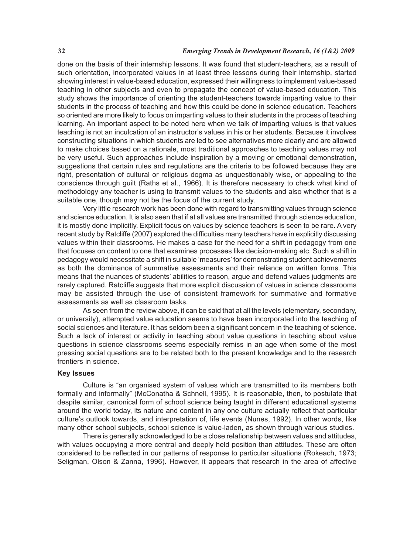# **32** *Emerging Trends in Development Research, 16 (1&2) 2009*

done on the basis of their internship lessons. It was found that student-teachers, as a result of such orientation, incorporated values in at least three lessons during their internship, started showing interest in value-based education, expressed their willingness to implement value-based teaching in other subjects and even to propagate the concept of value-based education. This study shows the importance of orienting the student-teachers towards imparting value to their students in the process of teaching and how this could be done in science education. Teachers so oriented are more likely to focus on imparting values to their students in the process of teaching learning. An important aspect to be noted here when we talk of imparting values is that values teaching is not an inculcation of an instructor's values in his or her students. Because it involves constructing situations in which students are led to see alternatives more clearly and are allowed to make choices based on a rationale, most traditional approaches to teaching values may not be very useful. Such approaches include inspiration by a moving or emotional demonstration, suggestions that certain rules and regulations are the criteria to be followed because they are right, presentation of cultural or religious dogma as unquestionably wise, or appealing to the conscience through guilt (Raths et al., 1966). It is therefore necessary to check what kind of methodology any teacher is using to transmit values to the students and also whether that is a suitable one, though may not be the focus of the current study.

Very little research work has been done with regard to transmitting values through science and science education. It is also seen that if at all values are transmitted through science education, it is mostly done implicitly. Explicit focus on values by science teachers is seen to be rare. A very recent study by Ratcliffe (2007) explored the difficulties many teachers have in explicitly discussing values within their classrooms. He makes a case for the need for a shift in pedagogy from one that focuses on content to one that examines processes like decision-making etc. Such a shift in pedagogy would necessitate a shift in suitable 'measures' for demonstrating student achievements as both the dominance of summative assessments and their reliance on written forms. This means that the nuances of students' abilities to reason, argue and defend values judgments are rarely captured. Ratcliffe suggests that more explicit discussion of values in science classrooms may be assisted through the use of consistent framework for summative and formative assessments as well as classroom tasks.

As seen from the review above, it can be said that at all the levels (elementary, secondary, or university), attempted value education seems to have been incorporated into the teaching of social sciences and literature. It has seldom been a significant concern in the teaching of science. Such a lack of interest or activity in teaching about value questions in teaching about value questions in science classrooms seems especially remiss in an age when some of the most pressing social questions are to be related both to the present knowledge and to the research frontiers in science.

### **Key Issues**

Culture is "an organised system of values which are transmitted to its members both formally and informally" (McConatha & Schnell, 1995). It is reasonable, then, to postulate that despite similar, canonical form of school science being taught in different educational systems around the world today, its nature and content in any one culture actually reflect that particular culture's outlook towards, and interpretation of, life events (Nunes, 1992). In other words, like many other school subjects, school science is value-laden, as shown through various studies.

There is generally acknowledged to be a close relationship between values and attitudes, with values occupying a more central and deeply held position than attitudes. These are often considered to be reflected in our patterns of response to particular situations (Rokeach, 1973; Seligman, Olson & Zanna, 1996). However, it appears that research in the area of affective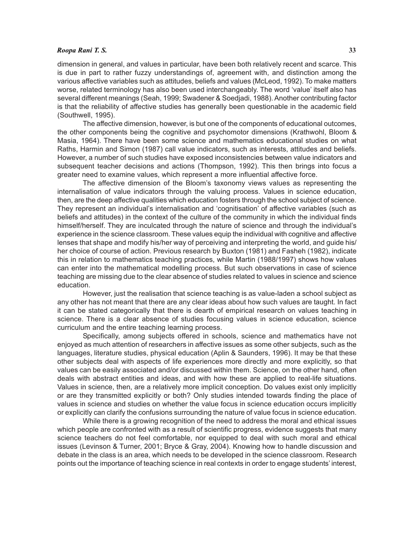# *Roopa Rani T. S.* **33**

dimension in general, and values in particular, have been both relatively recent and scarce. This is due in part to rather fuzzy understandings of, agreement with, and distinction among the various affective variables such as attitudes, beliefs and values (McLeod, 1992). To make matters worse, related terminology has also been used interchangeably. The word 'value' itself also has several different meanings (Seah, 1999; Swadener & Soedjadi, 1988). Another contributing factor is that the reliability of affective studies has generally been questionable in the academic field (Southwell, 1995).

The affective dimension, however, is but one of the components of educational outcomes, the other components being the cognitive and psychomotor dimensions (Krathwohl, Bloom & Masia, 1964). There have been some science and mathematics educational studies on what Raths, Harmin and Simon (1987) call value indicators, such as interests, attitudes and beliefs. However, a number of such studies have exposed inconsistencies between value indicators and subsequent teacher decisions and actions (Thompson, 1992). This then brings into focus a greater need to examine values, which represent a more influential affective force.

The affective dimension of the Bloom's taxonomy views values as representing the internalisation of value indicators through the valuing process. Values in science education, then, are the deep affective qualities which education fosters through the school subject of science. They represent an individual's internalisation and 'cognitisation' of affective variables (such as beliefs and attitudes) in the context of the culture of the community in which the individual finds himself/herself. They are inculcated through the nature of science and through the individual's experience in the science classroom. These values equip the individual with cognitive and affective lenses that shape and modify his/her way of perceiving and interpreting the world, and guide his/ her choice of course of action. Previous research by Buxton (1981) and Fasheh (1982), indicate this in relation to mathematics teaching practices, while Martin (1988/1997) shows how values can enter into the mathematical modelling process. But such observations in case of science teaching are missing due to the clear absence of studies related to values in science and science education.

However, just the realisation that science teaching is as value-laden a school subject as any other has not meant that there are any clear ideas about how such values are taught. In fact it can be stated categorically that there is dearth of empirical research on values teaching in science. There is a clear absence of studies focusing values in science education, science curriculum and the entire teaching learning process.

Specifically, among subjects offered in schools, science and mathematics have not enjoyed as much attention of researchers in affective issues as some other subjects, such as the languages, literature studies, physical education (Aplin & Saunders, 1996). It may be that these other subjects deal with aspects of life experiences more directly and more explicitly, so that values can be easily associated and/or discussed within them. Science, on the other hand, often deals with abstract entities and ideas, and with how these are applied to real-life situations. Values in science, then, are a relatively more implicit conception. Do values exist only implicitly or are they transmitted explicitly or both? Only studies intended towards finding the place of values in science and studies on whether the value focus in science education occurs implicitly or explicitly can clarify the confusions surrounding the nature of value focus in science education.

While there is a growing recognition of the need to address the moral and ethical issues which people are confronted with as a result of scientific progress, evidence suggests that many science teachers do not feel comfortable, nor equipped to deal with such moral and ethical issues (Levinson & Turner, 2001; Bryce & Gray, 2004). Knowing how to handle discussion and debate in the class is an area, which needs to be developed in the science classroom. Research points out the importance of teaching science in real contexts in order to engage students' interest,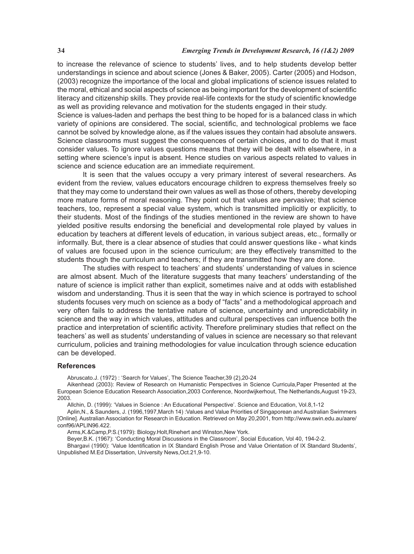# **34** *Emerging Trends in Development Research, 16 (1&2) 2009*

to increase the relevance of science to students' lives, and to help students develop better understandings in science and about science (Jones & Baker, 2005). Carter (2005) and Hodson, (2003) recognize the importance of the local and global implications of science issues related to the moral, ethical and social aspects of science as being important for the development of scientific literacy and citizenship skills. They provide real-life contexts for the study of scientific knowledge as well as providing relevance and motivation for the students engaged in their study.

Science is values-laden and perhaps the best thing to be hoped for is a balanced class in which variety of opinions are considered. The social, scientific, and technological problems we face cannot be solved by knowledge alone, as if the values issues they contain had absolute answers. Science classrooms must suggest the consequences of certain choices, and to do that it must consider values. To ignore values questions means that they will be dealt with elsewhere, in a setting where science's input is absent. Hence studies on various aspects related to values in science and science education are an immediate requirement.

It is seen that the values occupy a very primary interest of several researchers. As evident from the review, values educators encourage children to express themselves freely so that they may come to understand their own values as well as those of others, thereby developing more mature forms of moral reasoning. They point out that values are pervasive; that science teachers, too, represent a special value system, which is transmitted implicitly or explicitly, to their students. Most of the findings of the studies mentioned in the review are shown to have yielded positive results endorsing the beneficial and developmental role played by values in education by teachers at different levels of education, in various subject areas, etc., formally or informally. But, there is a clear absence of studies that could answer questions like - what kinds of values are focused upon in the science curriculum; are they effectively transmitted to the students though the curriculum and teachers; if they are transmitted how they are done.

The studies with respect to teachers' and students' understanding of values in science are almost absent. Much of the literature suggests that many teachers' understanding of the nature of science is implicit rather than explicit, sometimes naive and at odds with established wisdom and understanding. Thus it is seen that the way in which science is portrayed to school students focuses very much on science as a body of "facts" and a methodological approach and very often fails to address the tentative nature of science, uncertainty and unpredictability in science and the way in which values, attitudes and cultural perspectives can influence both the practice and interpretation of scientific activity. Therefore preliminary studies that reflect on the teachers' as well as students' understanding of values in science are necessary so that relevant curriculum, policies and training methodologies for value inculcation through science education can be developed.

# **References**

Abruscato.J. (1972) : 'Search for Values', The Science Teacher,39 (2),20-24

Aikenhead (2003): Review of Research on Humanistic Perspectives in Science Curricula,Paper Presented at the European Science Education Research Association,2003 Conference, Noordwijkerhout, The Netherlands,August 19-23, 2003.

Allchin, D. (1999): 'Values in Science : An Educational Perspective'. Science and Education, Vol.8,1-12

Aplin,N., & Saunders, J. (1996,1997,March 14) :Values and Value Priorities of Singaporean and Australian Swimmers [Online]. Australian Association for Research in Education. Retrieved on May 20,2001, from http://www.swin.edu.au/aare/ conf96/APLIN96.422.

Arms,K.&Camp,P.S.(1979): Biology.Holt,Rinehert and Winston,New York.

Beyer,B.K. (1967): 'Conducting Moral Discussions in the Classroom', Social Education, Vol 40, 194-2-2.

Bhargavi (1990): 'Value Identification in IX Standard English Prose and Value Orientation of IX Standard Students', Unpublished M.Ed Dissertation, University News,Oct.21,9-10.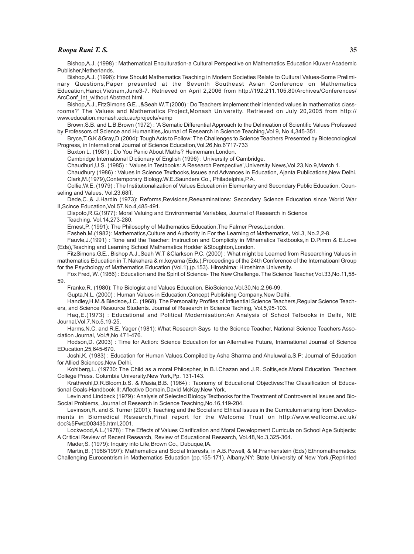#### *Roopa Rani T. S.* **35**

Bishop,A.J. (1998) : Mathematical Enculturation-a Cultural Perspective on Mathematics Education Kluwer Academic Publisher, Netherlands.

Bishop,A.J. (1996): How Should Mathematics Teaching in Modern Societies Relate to Cultural Values-Some Preliminary Questions,Paper presented at the Seventh Southeast Asian Conference on Mathematics Education,Hanoi,Vietnam,June3-7. Retrieved on April 2,2006 from http://192.211.105.80/Archives/Conferences/ ArcConf. Int. without Abstract.html.

Bishop,A.J.,FitzSimons G.E..,&Seah W.T.(2000) : Do Teachers implement their intended values in mathematics classrooms?' The Values and Mathematics Project,Monash University. Retrieved on July 20,2005 from http:// www.education.monash.edu.au/projects/vamp

Brown,S.B. and L.B.Brown (1972) : 'A Sematic Differential Approach to the Delineation of Scientific Values Professed by Professors of Science and Humanities,Journal of Research in Science Teaching,Vol 9, No 4,345-351.

Bryce,T.G.K &Gray,D.(2004): Tough Acts to Follow: The Challenges to Science Teachers Presented by Biotecnological Progress, in International Journal of Science Education,Vol.26,No.6'717-733

Buxton L. (1981) : Do You Panic About Maths? Heinemann,London.

Cambridge International Dictionary of English (1996) : University of Cambridge.

Chaudhuri,U.S. (1985) : 'Values in Testbooks: A Research Perspective',University News,Vol.23,No.9,March 1.

Chaudhury (1986) : Values in Science Textbooks,Issues and Advances in Education, Ajanta Publications,New Delhi. Clark,M.(1979),Contemporary Biology.W.E.Saunders Co., Philadelphia,P.A.

Collie,W.E. (1979) : The Institutionalization of Values Education in Elementary and Secondary Public Education. Counseling and Values. Vol.23.68ff.

Dede,C.,& J.Hardin (1973): Reforms,Revisions,Reexaminations: Secondary Science Education since World War II,Scince Education,Vol.57,No.4,485-491.

Dispoto,R.G.(1977): Moral Valuing and Environmental Variables, Journal of Research in Science Teaching. Vol.14,273-280.

Ernest,P. (1991): The Philosophy of Mathematics Education,The Falmer Press,London.

Fasheh,M.(1982): Mathematics,Culture and Authority in For the Learning of Mathematics, Vol.3, No.2,2-8.

Fauvle,J.(1991) : Tone and the Teacher: Instruction and Complicity in Mthematics Textbooks,in D.Pimm & E.Love (Eds),Teaching and Learning School Mathematics Hodder &Stoughton,London.

FitzSimons,G.E., Bishop A.J.,Seah W.T &Clarkson P.C. (2000) : What might be Learned from Researching Values in mathematics Education in T. Nakahara & m.koyama (Eds.),Proceedings of the 24th Conference of the Internatioanl Group for the Psychology of Mathematics Education (Vol.1),(p.153). Hiroshima: Hiroshima University.

Fox Fred, W. (1966) : Education and the Spirit of Science- The New Challenge. The Science Teacher,Vol.33,No.11,58-

59.

Franke,R. (1980): The Biologist and Values Education. BioScience,Vol.30,No.2,96-99.

Gupta,N.L. (2000) : Human Values in Education,Concept Publishing Company,New Delhi.

Handley,H.M.& Bledsoe,J.C. (1968). The Personality Profiles of Influential Science Teachers,Regular Science Teachers, and Science Resource Students. Journal of Research in Science Taching, Vol.5,95-103.

Haq,E.(1973) : Educational and Political Modernisation:An Analysis of School Tetbooks in Delhi, NIE Journal,Vol.7,No.5,19-25.

Harms,N.C. and R.E. Yager (1981): What Research Says to the Science Teacher, National Science Teachers Association Journal, Vol.#,No 471-476.

Hodson,D. (2003) : Time for Action: Science Education for an Alternative Future, International Journal of Science EDucation,25,645-670.

Joshi,K. (1983) : Education for Human Values,Compiled by Asha Sharma and Ahuluwalia,S.P: Journal of Education for Allied Sciences,New Delhi.

Kohlberg,L. (19730: The Child as a moral Philospher, in B.I.Chazan and J.R. Soltis,eds.Moral Education. Teachers College Press. Columbia University.New York,Pp. 131-143.

Krathwohl,D.R.Bloom,b.S. & Masia,B.B. (1964) : Taonomy of Educational Objectives:The Classification of Educational Goals-Handbook II: Affective Domain,David McKay,New York.

Levin and Lindbeck (1979) : Analysis of Selected Biology Textbooks for the Treatment of Controversial Issues and Bio-Social Problems, Journal of Research in Science Teaching,No.16,119-204.

Levinson,R. and S. Turner (2001): Teaching and the Social and Ethical issues in the Curriculum arising from Developments in Biomedical Research,Final report for the Welcome Trust on http://www.wellcome.ac.uk/ doc%5Fwtd003435.html,2001.

Lockwood,A.L.(1978) : The Effects of Values Clarification and Moral Development Curricula on School Age Subjects: A Critical Review of Recent Research, Review of Educational Research, Vol.48,No.3,325-364.

Mader,S. (1979): Inquiry into Life,Brown Co., Dubuque,IA.

Martin,B. (1988/1997): Mathematics and Social Interests, in A.B.Powell, & M.Frankenstein (Eds) Ethnomathematics: Challenging Eurocentrism in Mathematics Education (pp.155-171). Albany,NY: State University of New York.(Reprinted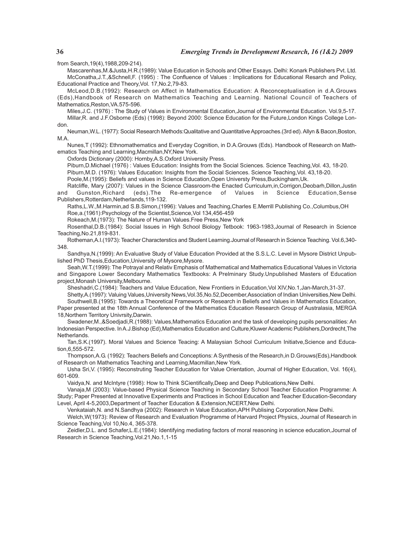from Search,19(4),1988,209-214).

Mascarenhas,M.&Justa,H.R.(1989): Value Education in Schools and Other Essays. Delhi: Konark Publishers Pvt. Ltd. McConatha,J.T.,&Schnell,F. (1995) : The Confluence of Values : Implications for Educational Resarch and Policy, Educational Practice and Theory,Vol. 17,No.2,79-83.

McLeod,D.B.(1992): Research on Affect in Mathematics Education: A Reconceptualisation in d.A.Grouws (Eds),Handbook of Research on Mathematics Teaching and Learning. National Council of Teachers of Mathematics,Reston,VA.575-596.

Miles,J.C. (1976) : The Study of Values in Environmental Education,Journal of Environmental Education. Vol.9,5-17. Millar,R. and J.F.Osborne (Eds) (1998): Beyond 2000: Science Education for the Future,London Kings College London.

Neuman,W.L. (1977): Social Research Methods:Qualitative and Quantitative Approaches.(3rd ed). Allyn & Bacon,Boston, M.A.

Nunes,T (1992): Ethnomathematics and Everyday Cognition, in D.A.Grouws (Eds). Handbook of Research on Mathematics Teaching and Learning,Macmillan,NY,New York.

Oxfords Dictionary (2000): Hornby,A.S.Oxford University Press.

Piburn,D.Michael (1976) : Values Education: Insights from the Social Sciences. Science Teaching,Vol. 43, 18-20.

Piburn, M.D. (1976): Values Education: Insights from the Social Sciences. Science Teaching, Vol. 43, 18-20.

Poole,M.(1995): Beliefs and values in Science Education,Open Universty Press,Buckingham,Uk.

Ratcliffe, Mary (2007): Values in the Science Classroom-the Enacted Curriculum,in,Corrigon,Deobarh,Dillon,Justin and Gunston,Richard (eds).The Re-emergence of Values in Science Education,Sense Publishers,Rotterdam,Netherlands,119-132.

Raths,L.W.,M.Harmin,ad S.B.Simon,(1996): Values and Teaching,Charles E.Merrill Publishing Co.,Columbus,OH Roe,a.(1961):Psychology of the Scientist,Science,Vol 134,456-459

Rokeach,M.(1973): The Nature of Human Values.Free Press,New York

Rosenthal,D.B.(1984): Social Issues in High School Biology Tetbook: 1963-1983,Journal of Research in Science Teaching,No.21,819-831.

Rotheman,A.I.(1973): Teacher Characterstics and Student Learning.Journal of Research in Science Teaching. Vol.6,340- 348.

Sandhya,N.(1999): An Evaluative Study of Value Education Provided at the S.S.L.C. Level in Mysore District Unpublished PhD Thesis. Education, University of Mysore, Mysore.

Seah,W.T.(1999): The Potrayal and Relativ Emphasis of Mathematical and Mathematics Educational Values in Victoria and Singapore Lower Secondary Mathematics Textbooks: A Prelminary Study.Unpublished Masters of Education project,Monash University,Melbourne.

Sheshadri,C.(1984): Teachers and Value Education, New Frontiers in Education,Vol XIV,No.1,Jan-March,31-37.

Shetty,A.(1997): Valuing Values,University News,Vol.35,No.52,December,Association of Indian Universities,New Delhi. Southwell,B.(1995): Towards a Theoretical Framework or Research in Beliefs and Values in Mathematics Education, Paper presented at the 18th Annual Conference of the Mathematics Education Research Group of Australasia, MERGA 18,Northern Territory Univrsity,Darwin.

Swadener,M.,&Soedjadi,R.(1988): Values,Mathematics Education and the task of developing pupils personalities: An Indonesian Perspective. In A.J.Bishop (Ed),Mathematics Education and Culture,Kluwer Academic Publishers,Dordrecht,The **Netherlands** 

Tan,S.K.(1997). Moral Values and Science Teacing: A Malaysian School Curriculum Initiatve,Science and Education,6,555-572.

Thompson,A.G. (1992): Teachers Beliefs and Conceptions: A Synthesis of the Research,in D.Grouws(Eds),Handbook of Research on Mathematics Teaching and Learning,Macmillan,New York.

Usha Sri,V. (1995): Reconstruting Teacher Education for Value Orientation, Journal of Higher Education, Vol. 16(4), 601-609.

Vaidya,N. and McIntyre (1998): How to Think SCientifically,Deep and Deep Publications,New Delhi.

Vanaja,M (2003): Value-based Physical Science Teaching in Secondary School Teacher Education Programme: A Study; Paper Presented at Innovative Experiments and Practices in School Education and Teacher Education-Secondary Level, April 4-5,2003,Department of Teacher Education & Extension, NCERT, New Delhi.

Venkataiah,N. and N.Sandhya (2002): Research in Value Education,APH Publising Corporation,New Delhi.

Welch,W(1973): Review of Research and Evaluation Programme of Harvard Project Physics, Journal of Research in Science Teaching,Vol 10,No.4, 365-378.

Zeidler,D.L. and Schafer,L.E.(1984): Identifying mediating factors of moral reasoning in science education,Journal of Research in Science Teaching,Vol.21,No.1,1-15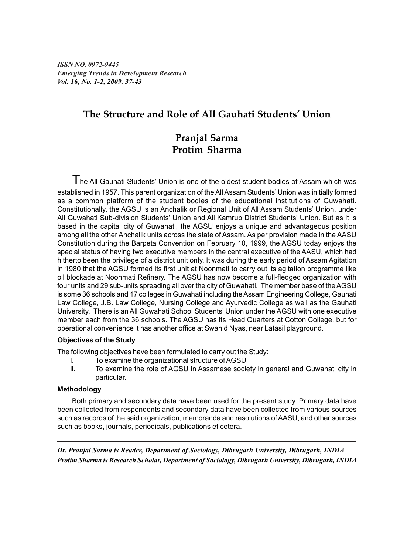*ISSN NO. 0972-9445 Emerging Trends in Development Research Vol. 16, No. 1-2, 2009, 37-43*

# **The Structure and Role of All Gauhati Students' Union**

# **Pranjal Sarma Protim Sharma**

 $T$ he All Gauhati Students' Union is one of the oldest student bodies of Assam which was established in 1957. This parent organization of the All Assam Students' Union was initially formed as a common platform of the student bodies of the educational institutions of Guwahati. Constitutionally, the AGSU is an Anchalik or Regional Unit of All Assam Students' Union, under All Guwahati Sub-division Students' Union and All Kamrup District Students' Union. But as it is based in the capital city of Guwahati, the AGSU enjoys a unique and advantageous position among all the other Anchalik units across the state of Assam. As per provision made in the AASU Constitution during the Barpeta Convention on February 10, 1999, the AGSU today enjoys the special status of having two executive members in the central executive of the AASU, which had hitherto been the privilege of a district unit only. It was during the early period of Assam Agitation in 1980 that the AGSU formed its first unit at Noonmati to carry out its agitation programme like oil blockade at Noonmati Refinery. The AGSU has now become a full-fledged organization with four units and 29 sub-units spreading all over the city of Guwahati. The member base of the AGSU is some 36 schools and 17 colleges in Guwahati including the Assam Engineering College, Gauhati Law College, J.B. Law College, Nursing College and Ayurvedic College as well as the Gauhati University. There is an All Guwahati School Students' Union under the AGSU with one executive member each from the 36 schools. The AGSU has its Head Quarters at Cotton College, but for operational convenience it has another office at Swahid Nyas, near Latasil playground.

# **Objectives of the Study**

The following objectives have been formulated to carry out the Study:

- I. To examine the organizational structure of AGSU
- II. To examine the role of AGSU in Assamese society in general and Guwahati city in particular.

# **Methodology**

 Both primary and secondary data have been used for the present study. Primary data have been collected from respondents and secondary data have been collected from various sources such as records of the said organization, memoranda and resolutions of AASU, and other sources such as books, journals, periodicals, publications et cetera.

*Dr. Pranjal Sarma is Reader, Department of Sociology, Dibrugarh University, Dibrugarh, INDIA Protim Sharma is Research Scholar, Department of Sociology, Dibrugarh University, Dibrugarh, INDIA*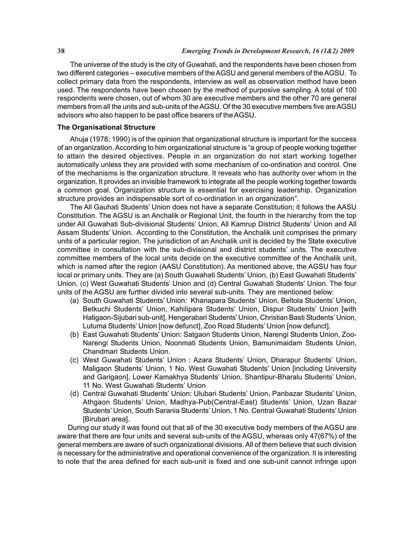The universe of the study is the city of Guwahati, and the respondents have been chosen from two different categories – executive members of the AGSU and general members of the AGSU. To collect primary data from the respondents, interview as well as observation method have been used. The respondents have been chosen by the method of purposive sampling. A total of 100 respondents were chosen, out of whom 30 are executive members and the other 70 are general members from all the units and sub-units of the AGSU. Of the 30 executive members five are AGSU advisors who also happen to be past office bearers of the AGSU.

#### **The Organisational Structure**

Ahuja (1978; 1990) is of the opinion that organizational structure is important for the success of an organization. According to him organizational structure is "a group of people working together to attain the desired objectives. People in an organization do not start working together automatically unless they are provided with some mechanism of co-ordination and control. One of the mechanisms is the organization structure. It reveals who has authority over whom in the organization. It provides an invisible framework to integrate all the people working together towards a common goal. Organization structure is essential for exercising leadership. Organization structure provides an indispensable sort of co-ordination in an organization".

The All Gauhati Students' Union does not have a separate Constitution; it follows the AASU Constitution. The AGSU is an Anchalik or Regional Unit, the fourth in the hierarchy from the top under All Guwahati Sub-divisional Students' Union, All Kamrup District Students' Union and All Assam Students' Union. According to the Constitution, the Anchalik unit comprises the primary units of a particular region. The jurisdiction of an Anchalik unit is decided by the State executive committee in consultation with the sub-divisional and district students' units. The executive committee members of the local units decide on the executive committee of the Anchalik unit, which is named after the region (AASU Constitution). As mentioned above, the AGSU has four local or primary units. They are (a) South Guwahati Students' Union, (b) East Guwahati Students' Union, (c) West Guwahati Students' Union and (d) Central Guwahati Students' Union. The four units of the AGSU are further divided into several sub-units. They are mentioned below:

- (a) South Guwahati Students' Union: Khanapara Students' Union, Beltola Students' Union, Betkuchi Students' Union, Kahilipara Students' Union, Dispur Students' Union [with Hatigaon-Sijubari sub-unit], Hengerabari Students' Union, Christian Basti Students' Union, Lutuma Students' Union [now defunct], Zoo Road Students' Union [now defunct].
- (b) East Guwahati Students' Union: Satgaon Students Union, Narengi Students Union, Zoo-Narengi Students Union, Noonmati Students Union, Bamunimaidam Students Union, Chandmari Students Union.
- (c) West Guwahati Students' Union : Azara Students' Union, Dharapur Students' Union, Maligaon Students' Union, 1 No. West Guwahati Students' Union [including University and Garigaon], Lower Kamakhya Students' Union, Shantipur-Bharalu Students' Union, 11 No. West Guwahati Students' Union
- (d) Central Guwahati Students' Union: Ulubari Students' Union, Panbazar Students' Union, Athgaon Students' Union, Madhya-Pub(Central-East) Students' Union, Uzan Bazar Students' Union, South Sarania Students' Union, 1 No. Central Guwahati Students' Union [Birubari area].

 During our study it was found out that all of the 30 executive body members of the AGSU are aware that there are four units and several sub-units of the AGSU, whereas only 47(67%) of the general members are aware of such organizational divisions. All of them believe that such division is necessary for the administrative and operational convenience of the organization. It is interesting to note that the area defined for each sub-unit is fixed and one sub-unit cannot infringe upon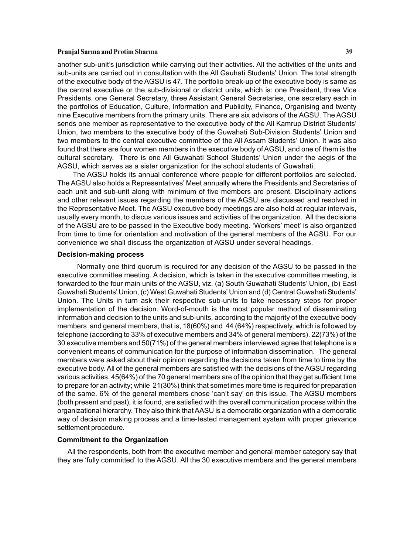# **Pranjal Sarma and Protim Sharma 39**

another sub-unit's jurisdiction while carrying out their activities. All the activities of the units and sub-units are carried out in consultation with the All Gauhati Students' Union. The total strength of the executive body of the AGSU is 47. The portfolio break-up of the executive body is same as the central executive or the sub-divisional or district units, which is: one President, three Vice Presidents, one General Secretary, three Assistant General Secretaries, one secretary each in the portfolios of Education, Culture, Information and Publicity, Finance, Organising and twenty nine Executive members from the primary units. There are six advisors of the AGSU. The AGSU sends one member as representative to the executive body of the All Kamrup District Students' Union, two members to the executive body of the Guwahati Sub-Division Students' Union and two members to the central executive committee of the All Assam Students' Union. It was also found that there are four women members in the executive body of AGSU, and one of them is the cultural secretary. There is one All Guwahati School Students' Union under the aegis of the AGSU, which serves as a sister organization for the school students of Guwahati.

The AGSU holds its annual conference where people for different portfolios are selected. The AGSU also holds a Representatives' Meet annually where the Presidents and Secretaries of each unit and sub-unit along with minimum of five members are present. Disciplinary actions and other relevant issues regarding the members of the AGSU are discussed and resolved in the Representative Meet. The AGSU executive body meetings are also held at regular intervals, usually every month, to discus various issues and activities of the organization. All the decisions of the AGSU are to be passed in the Executive body meeting. 'Workers' meet' is also organized from time to time for orientation and motivation of the general members of the AGSU. For our convenience we shall discuss the organization of AGSU under several headings.

#### **Decision-making process**

Normally one third quorum is required for any decision of the AGSU to be passed in the executive committee meeting. A decision, which is taken in the executive committee meeting, is forwarded to the four main units of the AGSU, viz. (a) South Guwahati Students' Union, (b) East Guwahati Students' Union, (c) West Guwahati Students' Union and (d) Central Guwahati Students' Union. The Units in turn ask their respective sub-units to take necessary steps for proper implementation of the decision. Word-of-mouth is the most popular method of disseminating information and decision to the units and sub-units, according to the majority of the executive body members and general members, that is, 18(60%) and 44 (64%) respectively, which is followed by telephone (according to 33% of executive members and 34% of general members). 22(73%) of the 30 executive members and 50(71%) of the general members interviewed agree that telephone is a convenient means of communication for the purpose of information dissemination. The general members were asked about their opinion regarding the decisions taken from time to time by the executive body. All of the general members are satisfied with the decisions of the AGSU regarding various activities. 45(64%) of the 70 general members are of the opinion that they get sufficient time to prepare for an activity; while 21(30%) think that sometimes more time is required for preparation of the same. 6% of the general members chose 'can't say' on this issue. The AGSU members (both present and past), it is found, are satisfied with the overall communication process within the organizational hierarchy. They also think that AASU is a democratic organization with a democratic way of decision making process and a time-tested management system with proper grievance settlement procedure.

#### **Commitment to the Organization**

 All the respondents, both from the executive member and general member category say that they are 'fully committed' to the AGSU. All the 30 executive members and the general members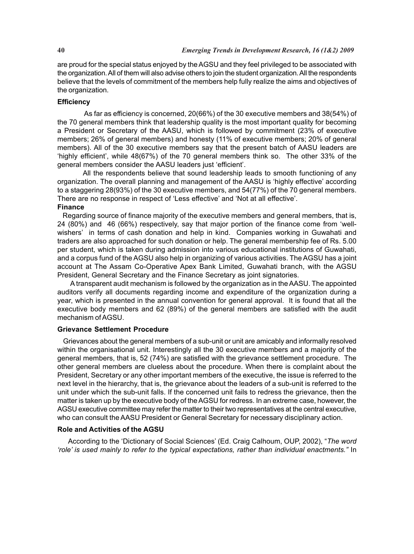are proud for the special status enjoyed by the AGSU and they feel privileged to be associated with the organization. All of them will also advise others to join the student organization. All the respondents believe that the levels of commitment of the members help fully realize the aims and objectives of the organization.

# **Efficiency**

 As far as efficiency is concerned, 20(66%) of the 30 executive members and 38(54%) of the 70 general members think that leadership quality is the most important quality for becoming a President or Secretary of the AASU, which is followed by commitment (23% of executive members; 26% of general members) and honesty (11% of executive members; 20% of general members). All of the 30 executive members say that the present batch of AASU leaders are 'highly efficient', while 48(67%) of the 70 general members think so. The other 33% of the general members consider the AASU leaders just 'efficient'.

All the respondents believe that sound leadership leads to smooth functioning of any organization. The overall planning and management of the AASU is 'highly effective' according to a staggering 28(93%) of the 30 executive members, and 54(77%) of the 70 general members. There are no response in respect of 'Less effective' and 'Not at all effective'. **Finance**

# Regarding source of finance majority of the executive members and general members, that is, 24 (80%) and 46 (66%) respectively, say that major portion of the finance come from 'wellwishers' in terms of cash donation and help in kind. Companies working in Guwahati and traders are also approached for such donation or help. The general membership fee of Rs. 5.00 per student, which is taken during admission into various educational institutions of Guwahati, and a corpus fund of the AGSU also help in organizing of various activities. The AGSU has a joint account at The Assam Co-Operative Apex Bank Limited, Guwahati branch, with the AGSU President, General Secretary and the Finance Secretary as joint signatories.

 A transparent audit mechanism is followed by the organization as in the AASU. The appointed auditors verify all documents regarding income and expenditure of the organization during a year, which is presented in the annual convention for general approval. It is found that all the executive body members and 62 (89%) of the general members are satisfied with the audit mechanism of AGSU.

# **Grievance Settlement Procedure**

 Grievances about the general members of a sub-unit or unit are amicably and informally resolved within the organisational unit. Interestingly all the 30 executive members and a majority of the general members, that is, 52 (74%) are satisfied with the grievance settlement procedure. The other general members are clueless about the procedure. When there is complaint about the President, Secretary or any other important members of the executive, the issue is referred to the next level in the hierarchy, that is, the grievance about the leaders of a sub-unit is referred to the unit under which the sub-unit falls. If the concerned unit fails to redress the grievance, then the matter is taken up by the executive body of the AGSU for redress. In an extreme case, however, the AGSU executive committee may refer the matter to their two representatives at the central executive, who can consult the AASU President or General Secretary for necessary disciplinary action.

# **Role and Activities of the AGSU**

 According to the 'Dictionary of Social Sciences' (Ed. Craig Calhoum, OUP, 2002), "*The word 'role' is used mainly to refer to the typical expectations, rather than individual enactments."* In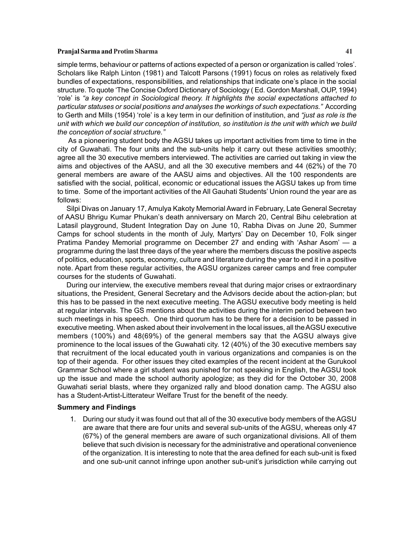#### **Pranjal Sarma and Protim Sharma 41**

simple terms, behaviour or patterns of actions expected of a person or organization is called 'roles'. Scholars like Ralph Linton (1981) and Talcott Parsons (1991) focus on roles as relatively fixed bundles of expectations, responsibilities, and relationships that indicate one's place in the social structure. To quote 'The Concise Oxford Dictionary of Sociology ( Ed. Gordon Marshall, OUP, 1994) 'role' is *"a key concept in Sociological theory. It highlights the social expectations attached to particular statuses or social positions and analyses the workings of such expectations."* According to Gerth and Mills (1954) 'role' is a key term in our definition of institution, and *"just as role is the unit with which we build our conception of institution, so institution is the unit with which we build the conception of social structure."*

As a pioneering student body the AGSU takes up important activities from time to time in the city of Guwahati. The four units and the sub-units help it carry out these activities smoothly; agree all the 30 executive members interviewed. The activities are carried out taking in view the aims and objectives of the AASU, and all the 30 executive members and 44 (62%) of the 70 general members are aware of the AASU aims and objectives. All the 100 respondents are satisfied with the social, political, economic or educational issues the AGSU takes up from time to time. Some of the important activities of the All Gauhati Students' Union round the year are as follows:

Silpi Divas on January 17, Amulya Kakoty Memorial Award in February, Late General Secretay of AASU Bhrigu Kumar Phukan's death anniversary on March 20, Central Bihu celebration at Latasil playground, Student Integration Day on June 10, Rabha Divas on June 20, Summer Camps for school students in the month of July, Martyrs' Day on December 10, Folk singer Pratima Pandey Memorial programme on December 27 and ending with 'Ashar Asom' — a programme during the last three days of the year where the members discuss the positive aspects of politics, education, sports, economy, culture and literature during the year to end it in a positive note. Apart from these regular activities, the AGSU organizes career camps and free computer courses for the students of Guwahati.

During our interview, the executive members reveal that during major crises or extraordinary situations, the President, General Secretary and the Advisors decide about the action-plan; but this has to be passed in the next executive meeting. The AGSU executive body meeting is held at regular intervals. The GS mentions about the activities during the interim period between two such meetings in his speech. One third quorum has to be there for a decision to be passed in executive meeting. When asked about their involvement in the local issues, all the AGSU executive members (100%) and 48(69%) of the general members say that the AGSU always give prominence to the local issues of the Guwahati city. 12 (40%) of the 30 executive members say that recruitment of the local educated youth in various organizations and companies is on the top of their agenda. For other issues they cited examples of the recent incident at the Gurukool Grammar School where a girl student was punished for not speaking in English, the AGSU took up the issue and made the school authority apologize; as they did for the October 30, 2008 Guwahati serial blasts, where they organized rally and blood donation camp. The AGSU also has a Student-Artist-Litterateur Welfare Trust for the benefit of the needy.

# **Summery and Findings**

1. During our study it was found out that all of the 30 executive body members of the AGSU are aware that there are four units and several sub-units of the AGSU, whereas only 47 (67%) of the general members are aware of such organizational divisions. All of them believe that such division is necessary for the administrative and operational convenience of the organization. It is interesting to note that the area defined for each sub-unit is fixed and one sub-unit cannot infringe upon another sub-unit's jurisdiction while carrying out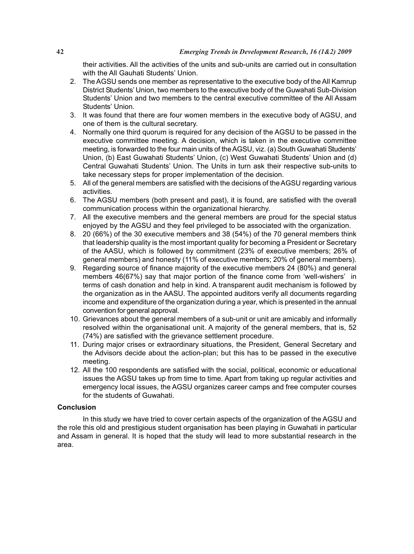their activities. All the activities of the units and sub-units are carried out in consultation with the All Gauhati Students' Union.

- 2. The AGSU sends one member as representative to the executive body of the All Kamrup District Students' Union, two members to the executive body of the Guwahati Sub-Division Students' Union and two members to the central executive committee of the All Assam Students' Union.
- 3. It was found that there are four women members in the executive body of AGSU, and one of them is the cultural secretary.
- 4. Normally one third quorum is required for any decision of the AGSU to be passed in the executive committee meeting. A decision, which is taken in the executive committee meeting, is forwarded to the four main units of the AGSU, viz. (a) South Guwahati Students' Union, (b) East Guwahati Students' Union, (c) West Guwahati Students' Union and (d) Central Guwahati Students' Union. The Units in turn ask their respective sub-units to take necessary steps for proper implementation of the decision.
- 5. All of the general members are satisfied with the decisions of the AGSU regarding various activities.
- 6. The AGSU members (both present and past), it is found, are satisfied with the overall communication process within the organizational hierarchy.
- 7. All the executive members and the general members are proud for the special status enjoyed by the AGSU and they feel privileged to be associated with the organization.
- 8. 20 (66%) of the 30 executive members and 38 (54%) of the 70 general members think that leadership quality is the most important quality for becoming a President or Secretary of the AASU, which is followed by commitment (23% of executive members; 26% of general members) and honesty (11% of executive members; 20% of general members).
- 9. Regarding source of finance majority of the executive members 24 (80%) and general members 46(67%) say that major portion of the finance come from 'well-wishers' in terms of cash donation and help in kind. A transparent audit mechanism is followed by the organization as in the AASU. The appointed auditors verify all documents regarding income and expenditure of the organization during a year, which is presented in the annual convention for general approval.
- 10. Grievances about the general members of a sub-unit or unit are amicably and informally resolved within the organisational unit. A majority of the general members, that is, 52 (74%) are satisfied with the grievance settlement procedure.
- 11. During major crises or extraordinary situations, the President, General Secretary and the Advisors decide about the action-plan; but this has to be passed in the executive meeting.
- 12. All the 100 respondents are satisfied with the social, political, economic or educational issues the AGSU takes up from time to time. Apart from taking up regular activities and emergency local issues, the AGSU organizes career camps and free computer courses for the students of Guwahati.

# **Conclusion**

In this study we have tried to cover certain aspects of the organization of the AGSU and the role this old and prestigious student organisation has been playing in Guwahati in particular and Assam in general. It is hoped that the study will lead to more substantial research in the area.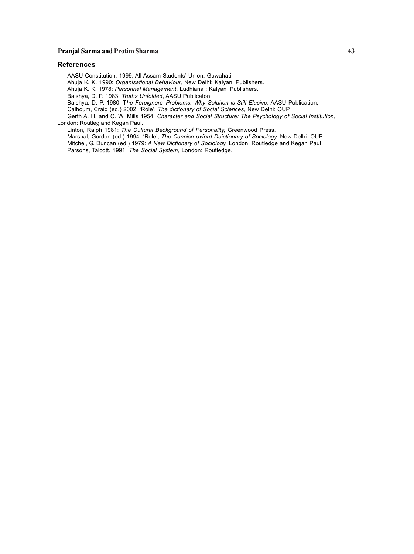# **Pranjal Sarma and Protim Sharma 43**

#### **References**

AASU Constitution, 1999, All Assam Students' Union, Guwahati.

Ahuja K. K. 1990: *Organisational Behaviour,* New Delhi: Kalyani Publishers.

Ahuja K. K. 1978: *Personnel Management*, Ludhiana : Kalyani Publishers.

Baishya, D. P. 1983: *Truths Unfolded*, AASU Publicaton,

Baishya, D. P. 1980: T*he Foreigners' Problems: Why Solution is Still Elusive*, AASU Publication,

Calhoum, Craig (ed.) 2002: 'Role', *The dictionary of Social Sciences*, New Delhi: OUP.

Gerth A. H. and C. W. Mills 1954: *Character and Social Structure: The Psychology of Social Institution*, London: Routleg and Kegan Paul.

Linton, Ralph 1981: *The Cultural Background of Personality,* Greenwood Press.

Marshal, Gordon (ed.) 1994: 'Role', *The Concise oxford Deictionary of Sociology,* New Delhi: OUP. Mitchel, G. Duncan (ed.) 1979: *A New Dictionary of Sociology,* London: Routledge and Kegan Paul Parsons, Talcott. 1991: *The Social System*, London: Routledge.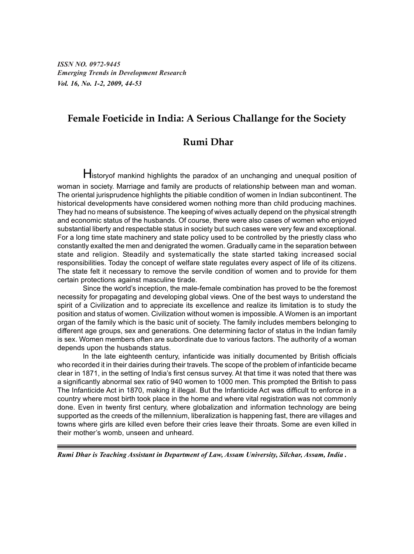*ISSN NO. 0972-9445 Emerging Trends in Development Research Vol. 16, No. 1-2, 2009, 44-53*

# **Female Foeticide in India: A Serious Challange for the Society**

# **Rumi Dhar**

Historyof mankind highlights the paradox of an unchanging and unequal position of woman in society. Marriage and family are products of relationship between man and woman. The oriental jurisprudence highlights the pitiable condition of women in Indian subcontinent. The historical developments have considered women nothing more than child producing machines. They had no means of subsistence. The keeping of wives actually depend on the physical strength and economic status of the husbands. Of course, there were also cases of women who enjoyed substantial liberty and respectable status in society but such cases were very few and exceptional. For a long time state machinery and state policy used to be controlled by the priestly class who constantly exalted the men and denigrated the women. Gradually came in the separation between state and religion. Steadily and systematically the state started taking increased social responsibilities. Today the concept of welfare state regulates every aspect of life of its citizens. The state felt it necessary to remove the servile condition of women and to provide for them certain protections against masculine tirade.

Since the world's inception, the male-female combination has proved to be the foremost necessity for propagating and developing global views. One of the best ways to understand the spirit of a Civilization and to appreciate its excellence and realize its limitation is to study the position and status of women. Civilization without women is impossible. A Women is an important organ of the family which is the basic unit of society. The family includes members belonging to different age groups, sex and generations. One determining factor of status in the Indian family is sex. Women members often are subordinate due to various factors. The authority of a woman depends upon the husbands status.

In the late eighteenth century, infanticide was initially documented by British officials who recorded it in their dairies during their travels. The scope of the problem of infanticide became clear in 1871, in the setting of India's first census survey. At that time it was noted that there was a significantly abnormal sex ratio of 940 women to 1000 men. This prompted the British to pass The Infanticide Act in 1870, making it illegal. But the Infanticide Act was difficult to enforce in a country where most birth took place in the home and where vital registration was not commonly done. Even in twenty first century, where globalization and information technology are being supported as the creeds of the millennium, liberalization is happening fast, there are villages and towns where girls are killed even before their cries leave their throats. Some are even killed in their mother's womb, unseen and unheard.

*Rumi Dhar is Teaching Assistant in Department of Law, Assam University, Silchar, Assam, India .*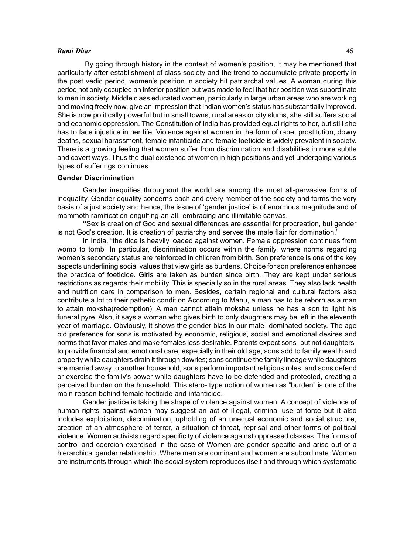#### *Rumi Dhar* **45**

 By going through history in the context of women's position, it may be mentioned that particularly after establishment of class society and the trend to accumulate private property in the post vedic period, women's position in society hit patriarchal values. A woman during this period not only occupied an inferior position but was made to feel that her position was subordinate to men in society. Middle class educated women, particularly in large urban areas who are working and moving freely now, give an impression that Indian women's status has substantially improved. She is now politically powerful but in small towns, rural areas or city slums, she still suffers social and economic oppression. The Constitution of India has provided equal rights to her, but still she has to face injustice in her life. Violence against women in the form of rape, prostitution, dowry deaths, sexual harassment, female infanticide and female foeticide is widely prevalent in society. There is a growing feeling that women suffer from discrimination and disabilities in more subtle and covert ways. Thus the dual existence of women in high positions and yet undergoing various types of sufferings continues.

# **Gender Discrimination**

Gender inequities throughout the world are among the most all-pervasive forms of inequality. Gender equality concerns each and every member of the society and forms the very basis of a just society and hence, the issue of 'gender justice' is of enormous magnitude and of mammoth ramification engulfing an all- embracing and illimitable canvas.

**"**Sex is creation of God and sexual differences are essential for procreation, but gender is not God's creation. It is creation of patriarchy and serves the male flair for domination."

In India, "the dice is heavily loaded against women. Female oppression continues from womb to tomb" In particular, discrimination occurs within the family, where norms regarding women's secondary status are reinforced in children from birth. Son preference is one of the key aspects underlining social values that view girls as burdens. Choice for son preference enhances the practice of foeticide. Girls are taken as burden since birth. They are kept under serious restrictions as regards their mobility. This is specially so in the rural areas. They also lack health and nutrition care in comparison to men. Besides, certain regional and cultural factors also contribute a lot to their pathetic condition.According to Manu, a man has to be reborn as a man to attain moksha(redemption). A man cannot attain moksha unless he has a son to light his funeral pyre. Also, it says a woman who gives birth to only daughters may be left in the eleventh year of marriage. Obviously, it shows the gender bias in our male- dominated society. The age old preference for sons is motivated by economic, religious, social and emotional desires and norms that favor males and make females less desirable. Parents expect sons- but not daughtersto provide financial and emotional care, especially in their old age; sons add to family wealth and property while daughters drain it through dowries; sons continue the family lineage while daughters are married away to another household; sons perform important religious roles; and sons defend or exercise the family's power while daughters have to be defended and protected, creating a perceived burden on the household. This stero- type notion of women as "burden" is one of the main reason behind female foeticide and infanticide.

Gender justice is taking the shape of violence against women. A concept of violence of human rights against women may suggest an act of illegal, criminal use of force but it also includes exploitation, discrimination, upholding of an unequal economic and social structure, creation of an atmosphere of terror, a situation of threat, reprisal and other forms of political violence. Women activists regard specificity of violence against oppressed classes. The forms of control and coercion exercised in the case of Women are gender specific and arise out of a hierarchical gender relationship. Where men are dominant and women are subordinate. Women are instruments through which the social system reproduces itself and through which systematic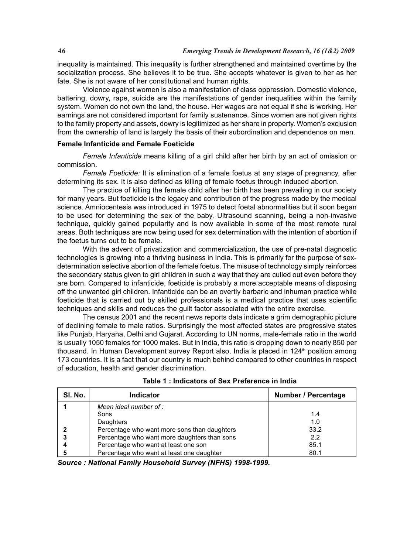inequality is maintained. This inequality is further strengthened and maintained overtime by the socialization process. She believes it to be true. She accepts whatever is given to her as her fate. She is not aware of her constitutional and human rights.

Violence against women is also a manifestation of class oppression. Domestic violence, battering, dowry, rape, suicide are the manifestations of gender inequalities within the family system. Women do not own the land, the house. Her wages are not equal if she is working. Her earnings are not considered important for family sustenance. Since women are not given rights to the family property and assets, dowry is legitimized as her share in property. Women's exclusion from the ownership of land is largely the basis of their subordination and dependence on men.

# **Female Infanticide and Female Foeticide**

*Female Infanticide* means killing of a girl child after her birth by an act of omission or commission.

*Female Foeticide:* It is elimination of a female foetus at any stage of pregnancy, after determining its sex. It is also defined as killing of female foetus through induced abortion.

The practice of killing the female child after her birth has been prevailing in our society for many years. But foeticide is the legacy and contribution of the progress made by the medical science. Amniocentesis was introduced in 1975 to detect foetal abnormalities but it soon began to be used for determining the sex of the baby. Ultrasound scanning, being a non-invasive technique, quickly gained popularity and is now available in some of the most remote rural areas. Both techniques are now being used for sex determination with the intention of abortion if the foetus turns out to be female.

With the advent of privatization and commercialization, the use of pre-natal diagnostic technologies is growing into a thriving business in India. This is primarily for the purpose of sexdetermination selective abortion of the female foetus. The misuse of technology simply reinforces the secondary status given to girl children in such a way that they are culled out even before they are born. Compared to infanticide, foeticide is probably a more acceptable means of disposing off the unwanted girl children. Infanticide can be an overtly barbaric and inhuman practice while foeticide that is carried out by skilled professionals is a medical practice that uses scientific techniques and skills and reduces the guilt factor associated with the entire exercise.

The census 2001 and the recent news reports data indicate a grim demographic picture of declining female to male ratios. Surprisingly the most affected states are progressive states like Punjab, Haryana, Delhi and Gujarat. According to UN norms, male-female ratio in the world is usually 1050 females for 1000 males. But in India, this ratio is dropping down to nearly 850 per thousand. In Human Development survey Report also, India is placed in 124<sup>th</sup> position among 173 countries. It is a fact that our country is much behind compared to other countries in respect of education, health and gender discrimination.

| SI. No. | <b>Indicator</b>                             | <b>Number / Percentage</b> |
|---------|----------------------------------------------|----------------------------|
|         | Mean ideal number of :                       |                            |
|         | Sons                                         | 1.4                        |
|         | Daughters                                    | 1.0                        |
|         | Percentage who want more sons than daughters | 33.2                       |
|         | Percentage who want more daughters than sons | 22                         |
|         | Percentage who want at least one son         | 85.1                       |
|         | Percentage who want at least one daughter    | 80.1                       |

**Table 1 : Indicators of Sex Preference in India**

*Source : National Family Household Survey (NFHS) 1998-1999.*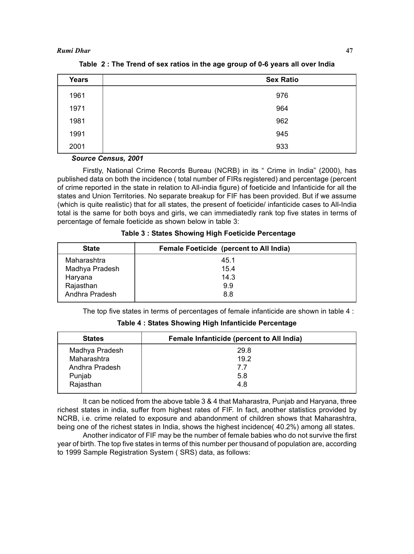| <b>Years</b> | <b>Sex Ratio</b> |
|--------------|------------------|
| 1961         | 976              |
| 1971         | 964              |
| 1981         | 962              |
| 1991         | 945              |
| 2001         | 933              |

**Table 2 : The Trend of sex ratios in the age group of 0-6 years all over India**

# *Source Census, 2001*

Firstly, National Crime Records Bureau (NCRB) in its " Crime in India" (2000), has published data on both the incidence ( total number of FIRs registered) and percentage (percent of crime reported in the state in relation to All-india figure) of foeticide and Infanticide for all the states and Union Territories. No separate breakup for FIF has been provided. But if we assume (which is quite realistic) that for all states, the present of foeticide/ infanticide cases to All-India total is the same for both boys and girls, we can immediatedly rank top five states in terms of percentage of female foeticide as shown below in table 3:

 **Table 3 : States Showing High Foeticide Percentage**

| <b>State</b>   | <b>Female Foeticide (percent to All India)</b> |
|----------------|------------------------------------------------|
| Maharashtra    | 45.1                                           |
| Madhya Pradesh | 15.4                                           |
| Haryana        | 14.3                                           |
| Rajasthan      | 9.9                                            |
| Andhra Pradesh | 8.8                                            |

The top five states in terms of percentages of female infanticide are shown in table 4 :

| <b>States</b>  | Female Infanticide (percent to All India) |
|----------------|-------------------------------------------|
| Madhya Pradesh | 29.8                                      |
| Maharashtra    | 19.2                                      |
| Andhra Pradesh | 7.7                                       |
| Punjab         | 5.8                                       |
| Rajasthan      | 4.8                                       |

**Table 4 : States Showing High Infanticide Percentage**

It can be noticed from the above table 3 & 4 that Maharastra, Punjab and Haryana, three richest states in india, suffer from highest rates of FIF. In fact, another statistics provided by NCRB, i.e. crime related to exposure and abandonment of children shows that Maharashtra, being one of the richest states in India, shows the highest incidence( 40.2%) among all states.

Another indicator of FIF may be the number of female babies who do not survive the first year of birth. The top five states in terms of this number per thousand of population are, according to 1999 Sample Registration System ( SRS) data, as follows: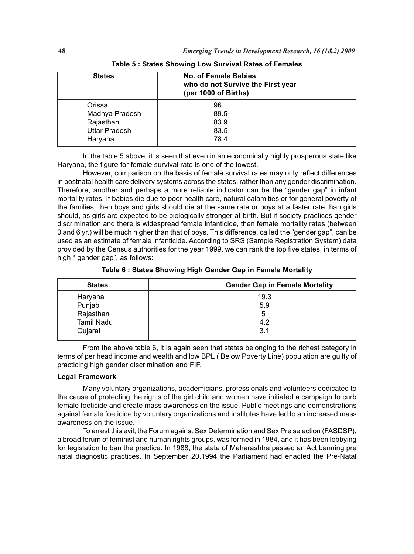| <b>States</b>        | No. of Female Babies<br>who do not Survive the First year<br>(per 1000 of Births) |
|----------------------|-----------------------------------------------------------------------------------|
| Orissa               | 96                                                                                |
| Madhya Pradesh       | 89.5                                                                              |
| Rajasthan            | 83.9                                                                              |
| <b>Uttar Pradesh</b> | 83.5                                                                              |
| Haryana              | 78.4                                                                              |

In the table 5 above, it is seen that even in an economically highly prosperous state like Haryana, the figure for female survival rate is one of the lowest.

However, comparison on the basis of female survival rates may only reflect differences in postnatal health care delivery systems across the states, rather than any gender discrimination. Therefore, another and perhaps a more reliable indicator can be the "gender gap" in infant mortality rates. If babies die due to poor health care, natural calamities or for general poverty of the families, then boys and girls should die at the same rate or boys at a faster rate than girls should, as girls are expected to be biologically stronger at birth. But if society practices gender discrimination and there is widespread female infanticide, then female mortality rates (between 0 and 6 yr.) will be much higher than that of boys. This difference, called the "gender gap", can be used as an estimate of female infanticide. According to SRS (Sample Registration System) data provided by the Census authorities for the year 1999, we can rank the top five states, in terms of high " gender gap", as follows:

**Table 6 : States Showing High Gender Gap in Female Mortality**

| <b>States</b>     | <b>Gender Gap in Female Mortality</b> |
|-------------------|---------------------------------------|
| Haryana           | 19.3                                  |
| Punjab            | 5.9                                   |
| Rajasthan         | 5                                     |
| <b>Tamil Nadu</b> | 4.2                                   |
| Gujarat           | 3.1                                   |

From the above table 6, it is again seen that states belonging to the richest category in terms of per head income and wealth and low BPL ( Below Poverty Line) population are guilty of practicing high gender discrimination and FIF.

# **Legal Framework**

Many voluntary organizations, academicians, professionals and volunteers dedicated to the cause of protecting the rights of the girl child and women have initiated a campaign to curb female foeticide and create mass awareness on the issue. Public meetings and demonstrations against female foeticide by voluntary organizations and institutes have led to an increased mass awareness on the issue.

To arrest this evil, the Forum against Sex Determination and Sex Pre selection (FASDSP), a broad forum of feminist and human rights groups, was formed in 1984, and it has been lobbying for legislation to ban the practice. In 1988, the state of Maharashtra passed an Act banning pre natal diagnostic practices. In September 20,1994 the Parliament had enacted the Pre-Natal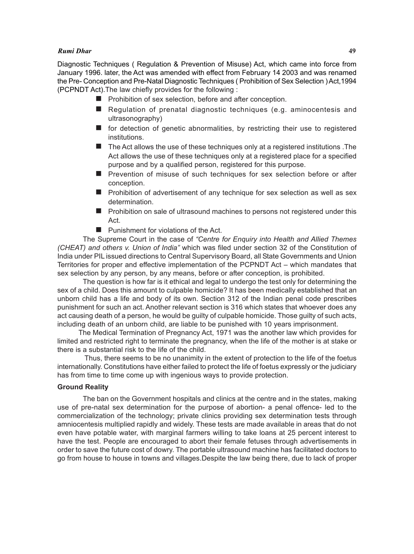## *Rumi Dhar* **49**

Diagnostic Techniques ( Regulation & Prevention of Misuse) Act, which came into force from January 1996. later, the Act was amended with effect from February 14 2003 and was renamed the Pre- Conception and Pre-Natal Diagnostic Techniques ( Prohibition of Sex Selection ) Act,1994 (PCPNDT Act).The law chiefly provides for the following :

- **Prohibition of sex selection, before and after conception.**
- Regulation of prenatal diagnostic techniques (e.g. aminocentesis and ultrasonography)
- **for detection of genetic abnormalities, by restricting their use to registered** institutions.
- $\blacksquare$  The Act allows the use of these techniques only at a registered institutions . The Act allows the use of these techniques only at a registered place for a specified purpose and by a qualified person, registered for this purpose.
- **Prevention of misuse of such techniques for sex selection before or after** conception.
- $\blacksquare$  Prohibition of advertisement of any technique for sex selection as well as sex determination.
- **Prohibition on sale of ultrasound machines to persons not registered under this** Act.
- **Punishment for violations of the Act.**

The Supreme Court in the case of *"Centre for Enquiry into Health and Allied Themes (CHEAT) and others v. Union of India"* which was filed under section 32 of the Constitution of India under PIL issued directions to Central Supervisory Board, all State Governments and Union Territories for proper and effective implementation of the PCPNDT Act – which mandates that sex selection by any person, by any means, before or after conception, is prohibited.

The question is how far is it ethical and legal to undergo the test only for determining the sex of a child. Does this amount to culpable homicide? It has been medically established that an unborn child has a life and body of its own. Section 312 of the Indian penal code prescribes punishment for such an act. Another relevant section is 316 which states that whoever does any act causing death of a person, he would be guilty of culpable homicide. Those guilty of such acts, including death of an unborn child, are liable to be punished with 10 years imprisonment.

 The Medical Termination of Pregnancy Act, 1971 was the another law which provides for limited and restricted right to terminate the pregnancy, when the life of the mother is at stake or there is a substantial risk to the life of the child.

 Thus, there seems to be no unanimity in the extent of protection to the life of the foetus internationally. Constitutions have either failed to protect the life of foetus expressly or the judiciary has from time to time come up with ingenious ways to provide protection.

# **Ground Reality**

The ban on the Government hospitals and clinics at the centre and in the states, making use of pre-natal sex determination for the purpose of abortion- a penal offence- led to the commercialization of the technology; private clinics providing sex determination tests through amniocentesis multiplied rapidly and widely. These tests are made available in areas that do not even have potable water, with marginal farmers willing to take loans at 25 percent interest to have the test. People are encouraged to abort their female fetuses through advertisements in order to save the future cost of dowry. The portable ultrasound machine has facilitated doctors to go from house to house in towns and villages.Despite the law being there, due to lack of proper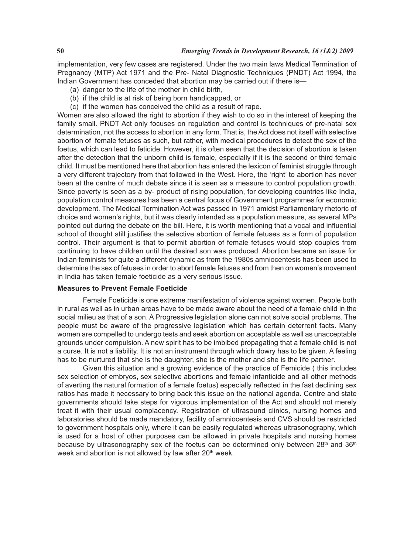implementation, very few cases are registered. Under the two main laws Medical Termination of Pregnancy (MTP) Act 1971 and the Pre- Natal Diagnostic Techniques (PNDT) Act 1994, the Indian Government has conceded that abortion may be carried out if there is—

- (a) danger to the life of the mother in child birth,
- (b) if the child is at risk of being born handicapped, or
- (c) if the women has conceived the child as a result of rape.

Women are also allowed the right to abortion if they wish to do so in the interest of keeping the family small. PNDT Act only focuses on regulation and control is techniques of pre-natal sex determination, not the access to abortion in any form. That is, the Act does not itself with selective abortion of female fetuses as such, but rather, with medical procedures to detect the sex of the foetus, which can lead to feticide. However, it is often seen that the decision of abortion is taken after the detection that the unborn child is female, especially if it is the second or third female child. It must be mentioned here that abortion has entered the lexicon of feminist struggle through a very different trajectory from that followed in the West. Here, the 'right' to abortion has never been at the centre of much debate since it is seen as a measure to control population growth. Since poverty is seen as a by- product of rising population, for developing countries like India, population control measures has been a central focus of Government programmes for economic development. The Medical Termination Act was passed in 1971 amidst Parliamentary rhetoric of choice and women's rights, but it was clearly intended as a population measure, as several MPs pointed out during the debate on the bill. Here, it is worth mentioning that a vocal and influential school of thought still justifies the selective abortion of female fetuses as a form of population control. Their argument is that to permit abortion of female fetuses would stop couples from continuing to have children until the desired son was produced. Abortion became an issue for Indian feminists for quite a different dynamic as from the 1980s amniocentesis has been used to determine the sex of fetuses in order to abort female fetuses and from then on women's movement in India has taken female foeticide as a very serious issue.

# **Measures to Prevent Female Foeticide**

Female Foeticide is one extreme manifestation of violence against women. People both in rural as well as in urban areas have to be made aware about the need of a female child in the social milieu as that of a son. A Progressive legislation alone can not solve social problems. The people must be aware of the progressive legislation which has certain deterrent facts. Many women are compelled to undergo tests and seek abortion on acceptable as well as unacceptable grounds under compulsion. A new spirit has to be imbibed propagating that a female child is not a curse. It is not a liability. It is not an instrument through which dowry has to be given. A feeling has to be nurtured that she is the daughter, she is the mother and she is the life partner.

Given this situation and a growing evidence of the practice of Femicide ( this includes sex selection of embryos, sex selective abortions and female infanticide and all other methods of averting the natural formation of a female foetus) especially reflected in the fast declining sex ratios has made it necessary to bring back this issue on the national agenda. Centre and state governments should take steps for vigorous implementation of the Act and should not merely treat it with their usual complacency. Registration of ultrasound clinics, nursing homes and laboratories should be made mandatory, facility of amniocentesis and CVS should be restricted to government hospitals only, where it can be easily regulated whereas ultrasonography, which is used for a host of other purposes can be allowed in private hospitals and nursing homes because by ultrasonography sex of the foetus can be determined only between  $28<sup>th</sup>$  and  $36<sup>th</sup>$ week and abortion is not allowed by law after 20<sup>th</sup> week.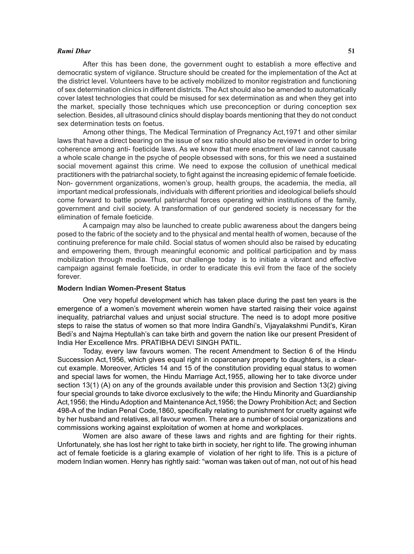#### *Rumi Dhar* **51**

After this has been done, the government ought to establish a more effective and democratic system of vigilance. Structure should be created for the implementation of the Act at the district level. Volunteers have to be actively mobilized to monitor registration and functioning of sex determination clinics in different districts. The Act should also be amended to automatically cover latest technologies that could be misused for sex determination as and when they get into the market, specially those techniques which use preconception or during conception sex selection. Besides, all ultrasound clinics should display boards mentioning that they do not conduct sex determination tests on foetus.

Among other things, The Medical Termination of Pregnancy Act,1971 and other similar laws that have a direct bearing on the issue of sex ratio should also be reviewed in order to bring coherence among anti- foeticide laws. As we know that mere enactment of law cannot causate a whole scale change in the psyche of people obsessed with sons, for this we need a sustained social movement against this crime. We need to expose the collusion of unethical medical practitioners with the patriarchal society, to fight against the increasing epidemic of female foeticide. Non- government organizations, women's group, health groups, the academia, the media, all important medical professionals, individuals with different priorities and ideological beliefs should come forward to battle powerful patriarchal forces operating within institutions of the family, government and civil society. A transformation of our gendered society is necessary for the elimination of female foeticide.

A campaign may also be launched to create public awareness about the dangers being posed to the fabric of the society and to the physical and mental health of women, because of the continuing preference for male child. Social status of women should also be raised by educating and empowering them, through meaningful economic and political participation and by mass mobilization through media. Thus, our challenge today is to initiate a vibrant and effective campaign against female foeticide, in order to eradicate this evil from the face of the society forever.

# **Modern Indian Women-Present Status**

One very hopeful development which has taken place during the past ten years is the emergence of a women's movement wherein women have started raising their voice against inequality, patriarchal values and unjust social structure. The need is to adopt more positive steps to raise the status of women so that more Indira Gandhi's, Vijayalakshmi Pundit's, Kiran Bedi's and Najma Heptullah's can take birth and govern the nation like our present President of India Her Excellence Mrs. PRATIBHA DEVI SINGH PATIL.

Today, every law favours women. The recent Amendment to Section 6 of the Hindu Succession Act,1956, which gives equal right in coparcenary property to daughters, is a clearcut example. Moreover, Articles 14 and 15 of the constitution providing equal status to women and special laws for women, the Hindu Marriage Act,1955, allowing her to take divorce under section 13(1) (A) on any of the grounds available under this provision and Section 13(2) giving four special grounds to take divorce exclusively to the wife; the Hindu Minority and Guardianship Act,1956; the Hindu Adoption and Maintenance Act,1956; the Dowry Prohibition Act; and Section 498-A of the Indian Penal Code,1860, specifically relating to punishment for cruelty against wife by her husband and relatives, all favour women. There are a number of social organizations and commissions working against exploitation of women at home and workplaces.

Women are also aware of these laws and rights and are fighting for their rights. Unfortunately, she has lost her right to take birth in society, her right to life. The growing inhuman act of female foeticide is a glaring example of violation of her right to life. This is a picture of modern Indian women. Henry has rightly said: "woman was taken out of man, not out of his head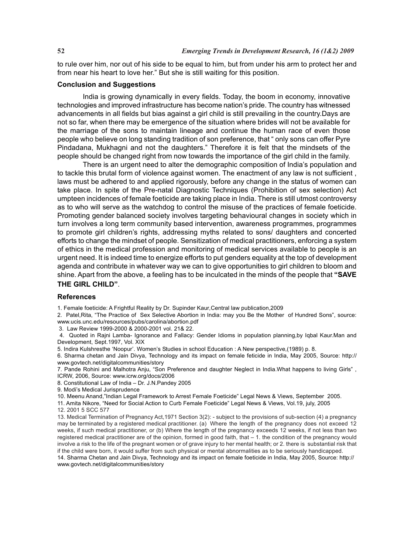to rule over him, nor out of his side to be equal to him, but from under his arm to protect her and from near his heart to love her." But she is still waiting for this position.

# **Conclusion and Suggestions**

India is growing dynamically in every fields. Today, the boom in economy, innovative technologies and improved infrastructure has become nation's pride. The country has witnessed advancements in all fields but bias against a girl child is still prevailing in the country.Days are not so far, when there may be emergence of the situation where brides will not be available for the marriage of the sons to maintain lineage and continue the human race of even those people who believe on long standing tradition of son preference, that " only sons can offer Pyre Pindadana, Mukhagni and not the daughters." Therefore it is felt that the mindsets of the people should be changed right from now towards the importance of the girl child in the family.

There is an urgent need to alter the demographic composition of India's population and to tackle this brutal form of violence against women. The enactment of any law is not sufficient , laws must be adhered to and applied rigorously, before any change in the status of women can take place. In spite of the Pre-natal Diagnostic Techniques (Prohibition of sex selection) Act umpteen incidences of female foeticide are taking place in India. There is still utmost controversy as to who will serve as the watchdog to control the misuse of the practices of female foeticide. Promoting gender balanced society involves targeting behavioural changes in society which in turn involves a long term community based intervention, awareness programmes, programmes to promote girl children's rights, addressing myths related to sons/ daughters and concerted efforts to change the mindset of people. Sensitization of medical practitioners, enforcing a system of ethics in the medical profession and monitoring of medical services available to people is an urgent need. It is indeed time to energize efforts to put genders equality at the top of development agenda and contribute in whatever way we can to give opportunities to girl children to bloom and shine. Apart from the above, a feeling has to be inculcated in the minds of the people that **"SAVE THE GIRL CHILD"**.

#### **References**

1. Female foeticide: A Frightful Reality by Dr. Supinder Kaur*,*Central law publication,2009

2. Patel,Rita, "The Practice of Sex Selective Abortion in India: may you Be the Mother of Hundred Sons", source: www.ucis.unc.edu/resources/pubs/carolina/abortion.pdf

3. Law Review 1999-2000 & 2000-2001 vol. 21& 22.

 4. Quoted in Rajni Lamba- Ignorance and Fallacy: Gender Idioms in population planning,by Iqbal Kaur.Man and Development, Sept.1997, Vol. XIX

5. Indira Kulshresthe 'Noopur'. Women's Studies in school Education : A New perspective,(1989) p. 8.

6. Sharma chetan and Jain Divya, Technology and its impact on female feticide in India, May 2005, Source: http:// www.govtech.net/digitalcommunities/story

7. Pande Rohini and Malhotra Anju, "Son Preference and daughter Neglect in India.What happens to living Girls" , ICRW, 2006, Source: www.icrw.org/docs/2006

8. Constitutional Law of India – Dr. J.N.Pandey 2005

9. Modi's Medical Jurisprudence

10. Meenu Anand,"Indian Legal Framework to Arrest Female Foeticide" Legal News & Views, September 2005.

11. Amita Nikore, "Need for Social Action to Curb Female Foeticide" Legal News & Views, Vol.19, july, 2005 12. 2001 5 SCC 577

13. Medical Termination of Pregnancy Act,1971 Section 3(2): - subject to the provisions of sub-section (4) a pregnancy may be terminated by a registered medical practitioner. (a) Where the length of the pregnancy does not exceed 12 weeks, if such medical practitioner, or (b) Where the length of the pregnancy exceeds 12 weeks, if not less than two registered medical practitioner are of the opinion, formed in good faith, that – 1. the condition of the pregnancy would involve a risk to the life of the pregnant women or of grave injury to her mental health; or 2. there is substantial risk that if the child were born, it would suffer from such physical or mental abnormalities as to be seriously handicapped. 14. Sharma Chetan and Jain Divya, Technology and its impact on female foeticide in India, May 2005, Source: http://

www.govtech.net/digitalcommunities/story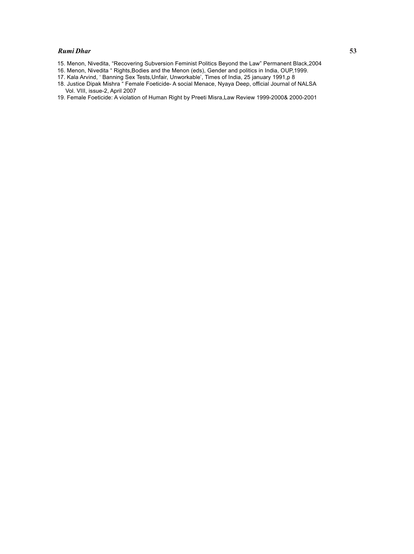#### *Rumi Dhar* **53**

- 15. Menon, Nivedita, "Recovering Subversion Feminist Politics Beyond the Law" Permanent Black,2004
- 16. Menon, Nivedita " Rights,Bodies and the Menon (eds), Gender and politics in India, OUP,1999.
- 17. Kala Arvind, ' Banning Sex Tests,Unfair, Unworkable', Times of India, 25 january 1991,p 8
- 18. Justice Dipak Mishra " Female Foeticide- A social Menace, Nyaya Deep, official Journal of NALSA Vol. VIII, issue-2, April 2007
- 19. Female Foeticide: A violation of Human Right by Preeti Misra,Law Review 1999-2000& 2000-2001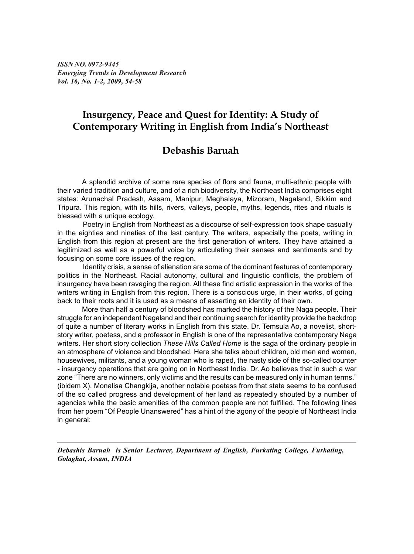*ISSN NO. 0972-9445 Emerging Trends in Development Research Vol. 16, No. 1-2, 2009, 54-58*

# **Insurgency, Peace and Quest for Identity: A Study of Contemporary Writing in English from India's Northeast**

# **Debashis Baruah**

A splendid archive of some rare species of flora and fauna, multi-ethnic people with their varied tradition and culture, and of a rich biodiversity, the Northeast India comprises eight states: Arunachal Pradesh, Assam, Manipur, Meghalaya, Mizoram, Nagaland, Sikkim and Tripura. This region, with its hills, rivers, valleys, people, myths, legends, rites and rituals is blessed with a unique ecology.

Poetry in English from Northeast as a discourse of self-expression took shape casually in the eighties and nineties of the last century. The writers, especially the poets, writing in English from this region at present are the first generation of writers. They have attained a legitimized as well as a powerful voice by articulating their senses and sentiments and by focusing on some core issues of the region.

Identity crisis, a sense of alienation are some of the dominant features of contemporary politics in the Northeast. Racial autonomy, cultural and linguistic conflicts, the problem of insurgency have been ravaging the region. All these find artistic expression in the works of the writers writing in English from this region. There is a conscious urge, in their works, of going back to their roots and it is used as a means of asserting an identity of their own.

More than half a century of bloodshed has marked the history of the Naga people. Their struggle for an independent Nagaland and their continuing search for identity provide the backdrop of quite a number of literary works in English from this state. Dr. Temsula Ao, a novelist, shortstory writer, poetess, and a professor in English is one of the representative contemporary Naga writers. Her short story collection *These Hills Called Home* is the saga of the ordinary people in an atmosphere of violence and bloodshed. Here she talks about children, old men and women, housewives, militants, and a young woman who is raped, the nasty side of the so-called counter - insurgency operations that are going on in Northeast India. Dr. Ao believes that in such a war zone "There are no winners, only victims and the results can be measured only in human terms." (ibidem X). Monalisa Changkija, another notable poetess from that state seems to be confused of the so called progress and development of her land as repeatedly shouted by a number of agencies while the basic amenities of the common people are not fulfilled. The following lines from her poem "Of People Unanswered" has a hint of the agony of the people of Northeast India in general:

*Debashis Baruah is Senior Lecturer, Department of English, Furkating College, Furkating, Golaghat, Assam, INDIA*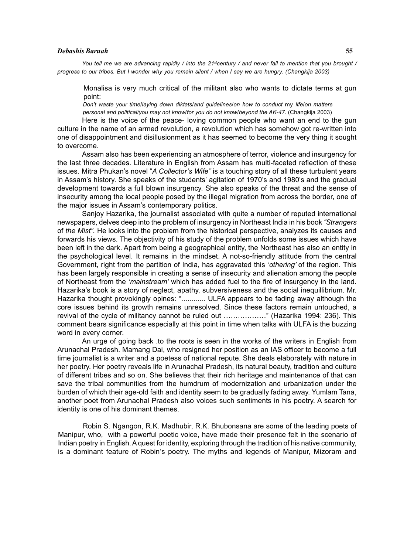# *Debashis Baruah* **55**

You tell me we are advancing rapidly / into the 21<sup>st</sup>century / and never fail to mention that you brought / *progress to our tribes. But I wonder why you remain silent / when I say we are hungry. (Changkija 2003)*

Monalisa is very much critical of the militant also who wants to dictate terms at gun point:

*Don't waste your time*/*laying down diktats*/*and guidelines*/*on how to conduct* my *life*/*on matters personal and political/you may not know*/*for you do not know*/*beyond the AK-47.* (Changkija 2003)

Here is the voice of the peace- loving common people who want an end to the gun culture in the name of an armed revolution, a revolution which has somehow got re-written into one of disappointment and disillusionment as it has seemed to become the very thing it sought to overcome.

Assam also has been experiencing an atmosphere of terror, violence and insurgency for the last three decades. Literature in English from Assam has multi-faceted reflection of these issues. Mitra Phukan's novel "*A Collector's Wife"* is a touching story of all these turbulent years in Assam's history. She speaks of the students' agitation of 1970's and 1980's and the gradual development towards a full blown insurgency. She also speaks of the threat and the sense of insecurity among the local people posed by the illegal migration from across the border, one of the major issues in Assam's contemporary politics.

Sanjoy Hazarika, the journalist associated with quite a number of reputed international newspapers, delves deep into the problem of insurgency in Northeast India in his book *"Strangers* of *the Mist".* He looks into the problem from the historical perspective, analyzes its causes and forwards his views. The objectivity of his study of the problem unfolds some issues which have been left in the dark. Apart from being a geographical entity, the Northeast has also an entity in the psychological level. It remains in the mindset. A not-so-friendly attitude from the central Government, right from the partition of India, has aggravated this *'othering'* of the region. This has been largely responsible in creating a sense of insecurity and alienation among the people of Northeast from the *'mainstream'* which has added fuel to the fire of insurgency in the land. Hazarika's book is a story of neglect, apathy, subversiveness and the social inequillibrium. Mr. Hazarika thought provokingly opines: "............ ULFA appears to be fading away although the core issues behind its growth remains unresolved. Since these factors remain untouched, a revival of the cycle of militancy cannot be ruled out ………………" (Hazarika 1994: 236). This comment bears significance especially at this point in time when talks with ULFA is the buzzing word in every corner.

An urge of going back .to the roots is seen in the works of the writers in English from Arunachal Pradesh. Mamang Dai, who resigned her position as an IAS officer to become a full time journalist is a writer and a poetess of national repute. She deals elaborately with nature in her poetry. Her poetry reveals life in Arunachal Pradesh, its natural beauty, tradition and culture of different tribes and so on. She believes that their rich heritage and maintenance of that can save the tribal communities from the humdrum of modernization and urbanization under the burden of which their age-old faith and identity seem to be gradually fading away. Yumlam Tana, another poet from Arunachal Pradesh also voices such sentiments in his poetry. A search for identity is one of his dominant themes.

Robin S. Ngangon, R.K. Madhubir, R.K. Bhubonsana are some of the leading poets of Manipur, who, with a powerful poetic voice, have made their presence felt in the scenario of Indian poetry in English. A quest for identity, exploring through the tradition of his native community, is a dominant feature of Robin's poetry. The myths and legends of Manipur, Mizoram and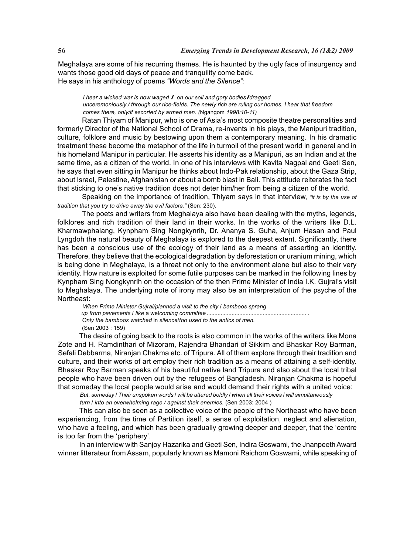Meghalaya are some of his recurring themes. He is haunted by the ugly face of insurgency and wants those good old days of peace and tranquility come back. He says in his anthology of poems *"Words and the Silence"*:

*I hear a wicked war is now waged I on our soil and gory bodiesIdragged unceremoniously / through our rice-fields. The newly rich are ruling our homes. I hear that freedom comes there, only/if escorted by armed men. (*Ngangom *1998:10-11)*

Ratan Thiyam of Manipur, who is one of Asia's most composite theatre personalities and formerly Director of the National School of Drama, re-invents in his plays, the Manipuri tradition, culture, folklore and music by bestowing upon them a contemporary meaning. In his dramatic treatment these become the metaphor of the life in turmoil of the present world in general and in his homeland Manipur in particular. He asserts his identity as a Manipuri, as an Indian and at the same time, as a citizen of the world. In one of his interviews with Kavita Nagpal and Geeti Sen, he says that even sitting in Manipur he thinks about Indo-Pak relationship, about the Gaza Strip, about Israel, Palestine, Afghanistan or about a bomb blast in Bali. This attitude reiterates the fact that sticking to one's native tradition does not deter him/her from being a citizen of the world.

Speaking on the importance of tradition, Thiyam says in that interview, *"it is by the use of tradition that you try to drive away the evil factors."* (Sen: 230).

The poets and writers from Meghalaya also have been dealing with the myths, legends, folklores and rich tradition of their land in their works. In the works of the writers like D.L. Kharmawphalang, Kynpham Sing Nongkynrih, Dr. Ananya S. Guha, Anjum Hasan and Paul Lyngdoh the natural beauty of Meghalaya is explored to the deepest extent. Significantly, there has been a conscious use of the ecology of their land as a means of asserting an identity. Therefore, they believe that the ecological degradation by deforestation or uranium mining, which is being done in Meghalaya, is a threat not only to the environment alone but also to their very identity. How nature is exploited for some futile purposes can be marked in the following lines by Kynpham Sing Nongkynrih on the occasion of the then Prime Minister of India I.K. Gujral's visit to Meghalaya. The underlying note of irony may also be an interpretation of the psyche of the Northeast:

*When Prime Minister Gujral/planned* a *visit to the city* / *bamboos sprang up from pavements* / *like* a wel*coming committee ................................................................* . *Only the bamboos watched* in *silence*/*too used to the antics of men.* (Sen 2003 : 159)

The desire of going back to the roots is also common in the works of the writers like Mona Zote and H. Ramdinthari of Mizoram, Rajendra Bhandari of Sikkim and Bhaskar Roy Barman, Sefali Debbarma, Niranjan Chakma etc. of Tripura. All of them explore through their tradition and culture, and their works of art employ their rich tradition as a means of attaining a self-identity. Bhaskar Roy Barman speaks of his beautiful native land Tripura and also about the local tribal people who have been driven out by the refugees of Bangladesh. Niranjan Chakma is hopeful that someday the local people would arise and would demand their rights with a united voice:

*But, someday* / *Their unspoken words* / *will be uttered boldly* / *when all their voices* / *will simultaneously turn* / *into an overwhelming rage / against their enemies.* (Sen 2003: 2004 )

This can also be seen as a collective voice of the people of the Northeast who have been experiencing, from the time of Partition itself, a sense of exploitation, neglect and alienation, who have a feeling, and which has been gradually growing deeper and deeper, that the 'centre is too far from the 'periphery'.

In an interview with Sanjoy Hazarika and Geeti Sen, Indira Goswami, the Jnanpeeth Award winner litterateur from Assam, popularly known as Mamoni Raichom Goswami, while speaking of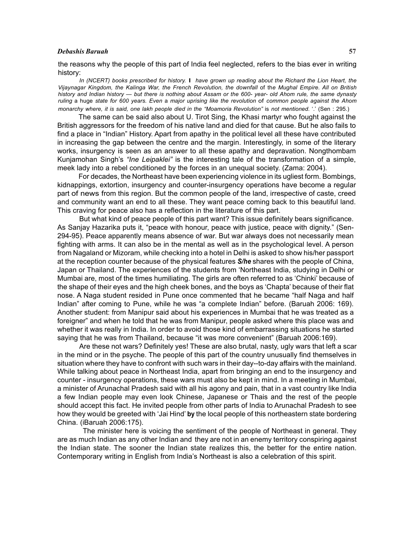#### *Debashis Baruah* **57**

the reasons why the people of this part of India feel neglected, refers to the bias ever in writing history:

*In (NCERT) books prescribed for history.* I *have grown up reading about the Richard the Lion Heart, the Vijaynagar Kingdom, the Kalinga War, the French Revolution, the downfall* of th*e Mughal Empire. All on British history and Indian history* — *but there is nothing about Assam or the 600- year- old Ahom rule, the same dynasty ruling* a huge *state for 600 years. Even* a *major uprising like the revolution* of *common people against the Ahom monarchy where, it is said, one lakh people died in the "Moamoria Revolution" is not mentioned. '.' (Sen : 295.)* 

The same can be said also about U. Tirot Sing, the Khasi martyr who fought against the British aggressors for the freedom of his native land and died for that cause. But he also fails to find a place in "Indian" History. Apart from apathy in the political level all these have contributed in increasing the gap between the centre and the margin. Interestingly, in some of the literary works, insurgency is seen as an answer to all these apathy and depravation. Nongthombam Kunjamohan Singh's *"Ine Leipaklei"* is the interesting tale of the transformation of a simple, meek lady into a rebel conditioned by the forces in an unequal society. (Zama: 2004).

For decades, the Northeast have been experiencing violence in its ugliest form. Bombings, kidnappings, extortion, insurgency and counter-insurgency operations have become a regular part of news from this region. But the common people of the land, irrespective of caste, creed and community want an end to all these. They want peace coming back to this beautiful land. This craving for peace also has a reflection in the literature of this part.

But what kind of peace people of this part want? This issue definitely bears significance. As Sanjay Hazarika puts it, "peace with honour, peace with justice, peace with dignity." (Sen-294-95). Peace apparently means absence of war. But war always does not necessarily mean fighting with arms. It can also be in the mental as well as in the psychological level. A person from Nagaland or Mizoram, while checking into a hotel in Delhi is asked to show his/her passport at the reception counter because of the physical features *S/he* shares with the people of China, Japan or Thailand. The experiences of the students from 'Northeast India, studying in Delhi or Mumbai are, most of the times humiliating. The girls are often referred to as 'Chinki' because of the shape of their eyes and the high cheek bones, and the boys as 'Chapta' because of their flat nose. A Naga student resided in Pune once commented that he became "half Naga and half Indian" after coming to Pune, while he was "a complete Indian" before. (Baruah 2006: 169). Another student: from Manipur said about his experiences in Mumbai that he was treated as a foreigner" and when he told that he was from Manipur, people asked where this place was and whether it was really in India. In order to avoid those kind of embarrassing situations he started saying that he was from Thailand, because "it was more convenient" (Baruah 2006:169).

Are these not wars? Definitely yes! These are also brutal, nasty, ugly wars that left a scar in the mind or in the psyche. The people of this part of the country unusually find themselves in situation where they have to confront with such wars in their day--to-day affairs with the mainland. While talking about peace in Northeast India, apart from bringing an end to the insurgency and counter - insurgency operations, these wars must also be kept in mind. In a meeting in Mumbai, a minister of Arunachal Pradesh said with all his agony and pain, that in a vast country like India a few Indian people may even look Chinese, Japanese or Thais and the rest of the people should accept this fact. He invited people from other parts of India to Arunachal Pradesh to see how they would be greeted with 'Jai Hind' **by** the local people of this northeastern state bordering China. (iBaruah 2006:175).

The minister here is voicing the sentiment of the people of Northeast in general. They are as much Indian as any other Indian and they are not in an enemy territory conspiring against the Indian state. The sooner the Indian state realizes this, the better for the entire nation. Contemporary writing in English from India's Northeast is also a celebration of this spirit.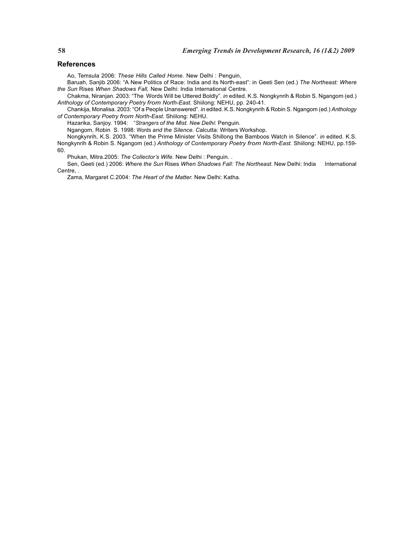## **References**

Ao, Temsula 2006: *These Hills Called Home*. New Delhi : Penguin,

Baruah, Sanjib 2006: "A New Politics of Race: India and its North-east": in Geeti Sen (ed.) *The Northeast: Where the Sun* Rises *When Shadows Fall,* New Delhi: India International Centre.

Chakma, Niranjan. 2003: "The Words Will be Uttered Boldly". *in* edited. K.S. Nongkynrih & Robin S. Ngangom (ed.) *Anthology of Contemporary Poetry from North-East.* Shiilong: NEHU, pp. 240-41.

Chankija, Monalisa. 2003: "Of a People Unanswered". *in* edited. K.S. Nongkynrih & Robin S. Ngangom (ed.) *Anthology of Contemporary Poetry from North-East.* Shiilong: NEHU.

Hazarika, Sanjoy. 1994: "*Strangers of the Mist. New Delhi*: Penguin.

Ngangom, Robin S. 1998: Words *and the Silence. C*alcutta: Writers Workshop.

Nongkynrih, K.S. 2003. "When the Prime Minister Visits Shillong the Bamboos Watch in Silence". *in* edited. K.S. Nongkynrih & Robin S. Ngangom (ed.) *Anthology of Contemporary Poetry from North-East.* Shiilong: NEHU, pp.159- 60.

Phukan, Mitra.2005: *The Collector's Wife.* New Delhi : Penguin. .

Sen, Geeti (ed.) 2006: *Where the Sun* Rises *When Shadows Fall: The Northeast.* New Delhi: India International Centre, .

Zama, Margaret C.2004: *The Heart of the Matter.* New Delhi: Katha.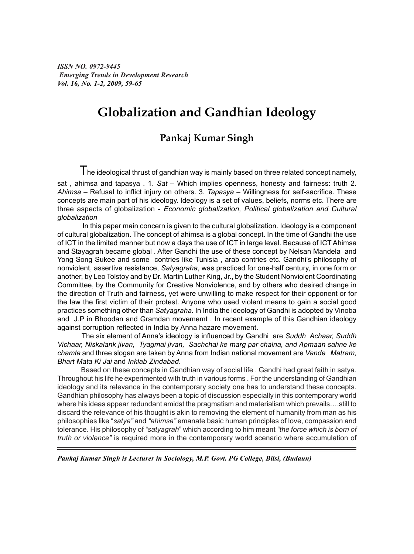*ISSN NO. 0972-9445 Emerging Trends in Development Research Vol. 16, No. 1-2, 2009, 59-65*

# **Globalization and Gandhian Ideology**

# **Pankaj Kumar Singh**

 $\mathsf T$ he ideological thrust of gandhian way is mainly based on three related concept namely, sat , ahimsa and tapasya . 1. *Sat –* Which implies openness, honesty and fairness: truth 2. *Ahimsa –* Refusal to inflict injury on others. 3. *Tapasya –* Willingness for self-sacrifice. These concepts are main part of his ideology. Ideology is a set of values, beliefs, norms etc. There are three aspects of globalization - *Economic globalization, Political globalization and Cultural globalization*

 In this paper main concern is given to the cultural globalization. Ideology is a component of cultural globalization. The concept of ahimsa is a global concept. In the time of Gandhi the use of ICT in the limited manner but now a days the use of ICT in large level. Because of ICT Ahimsa and Stayagrah became global . After Gandhi the use of these concept by Nelsan Mandela and Yong Song Sukee and some contries like Tunisia , arab contries etc. Gandhi's philosophy of nonviolent, assertive resistance, *Satyagraha*, was practiced for one-half century, in one form or another, by Leo Tolstoy and by Dr. Martin Luther King, Jr., by the Student Nonviolent Coordinating Committee, by the Community for Creative Nonviolence, and by others who desired change in the direction of Truth and fairness, yet were unwilling to make respect for their opponent or for the law the first victim of their protest. Anyone who used violent means to gain a social good practices something other than *Satyagraha.* In India the ideology of Gandhi is adopted by Vinoba and J.P in Bhoodan and Gramdan movememt . In recent example of this Gandhian ideology against corruption reflected in India by Anna hazare movement.

 The six element of Anna's ideology is influenced by Gandhi are *Suddh Achaar, Suddh Vichaar, Niskalank jivan, Tyagmai jivan, Sachchai ke marg par chalna, and Apmaan sahne ke chamta* and three slogan are taken by Anna from Indian national movement are *Vande Matram, Bhart Mata Ki Jai* and *Inklab Zindabad*.

 Based on these concepts in Gandhian way of social life . Gandhi had great faith in satya. Throughout his life he experimented with truth in various forms . For the understanding of Gandhian ideology and its relevance in the contemporary society one has to understand these concepts. Gandhian philosophy has always been a topic of discussion especially in this contemporary world where his ideas appear redundant amidst the pragmatism and materialism which prevails….still to discard the relevance of his thought is akin to removing the element of humanity from man as his philosophies like "*satya"* and *"ahimsa"* emanate basic human principles of love, compassion and tolerance. His philosophy of *"satyagrah*" which according to him meant *"the force which is born of truth or violence"* is required more in the contemporary world scenario where accumulation of

*Pankaj Kumar Singh is Lecturer in Sociology, M.P. Govt. PG College, Bilsi, (Budaun)*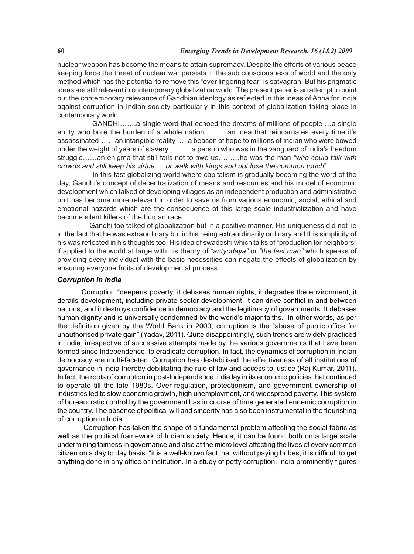nuclear weapon has become the means to attain supremacy. Despite the efforts of various peace keeping force the threat of nuclear war persists in the sub consciousness of world and the only method which has the potential to remove this "ever lingering fear" is satyagrah. But his prigmatic ideas are still relevant in contemporary globalization world. The present paper is an attempt to point out the contemporary relevance of Gandhian ideology as reflected in this ideas of Anna for India against corruption in Indian society particularly in this context of globalization taking place in contemporary world.

 GANDHI…….a single word that echoed the dreams of millions of people …a single entity who bore the burden of a whole nation………..an idea that reincarnates every time it's assassinated…….an intangible reality …..a beacon of hope to millions of Indian who were bowed under the weight of years of slavery……….a person who was in the vanguard of India's freedom struggle……an enigma that still fails not to awe us………he was the man *"who could talk with crowds and still keep his virtue…..or walk with kings and not lose the common touch*".

 In this fast globalizing world where capitalism is gradually becoming the word of the day, Gandhi's concept of decentralization of means and resources and his model of economic development which talked of developing villages as an independent production and administrative unit has become more relevant in order to save us from various economic, social, ethical and emotional hazards which are the consequence of this large scale industrialization and have become silent killers of the human race.

 Gandhi too talked of globalization but in a positive manner. His uniqueness did not lie in the fact that he was extraordinary but in his being extraordinarily ordinary and this simplicity of his was reflected in his thoughts too. His idea of swadeshi which talks of "production for neighbors" if applied to the world at large with his theory of *"antyodaya"* or *"the last man"* which speaks of providing every individual with the basic necessities can negate the effects of globalization by ensuring everyone fruits of developmental process.

# *Corruption in India*

 Corruption "deepens poverty, it debases human rights, it degrades the environment, it derails development, including private sector development, it can drive conflict in and between nations; and it destroys confidence in democracy and the legitimacy of governments. It debases human dignity and is universally condemned by the world's major faiths." In other words, as per the definition given by the World Bank in 2000, corruption is the "abuse of public office for unauthorised private gain" (Yadav, 2011). Quite disappointingly, such trends are widely practiced in India, irrespective of successive attempts made by the various governments that have been formed since Independence, to eradicate corruption. In fact, the dynamics of corruption in Indian democracy are multi-faceted. Corruption has destabilised the effectiveness of all institutions of governance in India thereby debilitating the rule of law and access to justice (Raj Kumar, 2011). In fact, the roots of corruption in post-Independence India lay in its economic policies that continued to operate till the late 1980s. Over-regulation, protectionism, and government ownership of industries led to slow economic growth, high unemployment, and widespread poverty. This system of bureaucratic control by the government has in course of time generated endemic corruption in the country. The absence of political will and sincerity has also been instrumental in the flourishing of corruption in India.

 Corruption has taken the shape of a fundamental problem affecting the social fabric as well as the political framework of Indian society. Hence, it can be found both on a large scale undermining fairness in governance and also at the micro level affecting the lives of every common citizen on a day to day basis. "it is a well-known fact that without paying bribes, it is difficult to get anything done in any office or institution. In a study of petty corruption, India prominently figures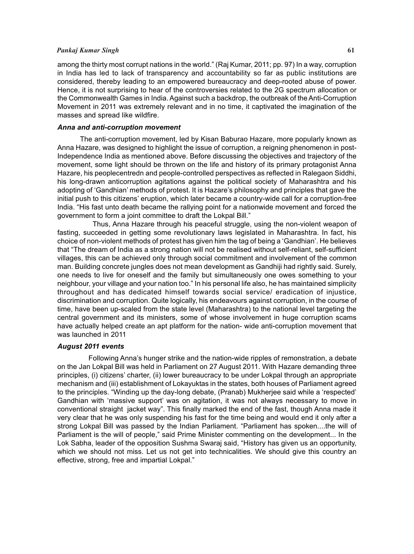# *Pankaj Kumar Singh* **61**

among the thirty most corrupt nations in the world." (Raj Kumar, 2011; pp. 97) In a way, corruption in India has led to lack of transparency and accountability so far as public institutions are considered, thereby leading to an empowered bureaucracy and deep-rooted abuse of power. Hence, it is not surprising to hear of the controversies related to the 2G spectrum allocation or the Commonwealth Games in India. Against such a backdrop, the outbreak of the Anti-Corruption Movement in 2011 was extremely relevant and in no time, it captivated the imagination of the masses and spread like wildfire.

## *Anna and anti-corruption movement*

 The anti-corruption movement, led by Kisan Baburao Hazare, more popularly known as Anna Hazare, was designed to highlight the issue of corruption, a reigning phenomenon in post-Independence India as mentioned above. Before discussing the objectives and trajectory of the movement, some light should be thrown on the life and history of its primary protagonist Anna Hazare, his peoplecentredn and people-controlled perspectives as reflected in Ralegaon Siddhi, his long-drawn anticorruption agitations against the political society of Maharashtra and his adopting of 'Gandhian' methods of protest. It is Hazare's philosophy and principles that gave the initial push to this citizens' eruption, which later became a country-wide call for a corruption-free India. "His fast unto death became the rallying point for a nationwide movement and forced the government to form a joint committee to draft the Lokpal Bill."

 Thus, Anna Hazare through his peaceful struggle, using the non-violent weapon of fasting, succeeded in getting some revolutionary laws legislated in Maharashtra. In fact, his choice of non-violent methods of protest has given him the tag of being a 'Gandhian'. He believes that "The dream of India as a strong nation will not be realised without self-reliant, self-sufficient villages, this can be achieved only through social commitment and involvement of the common man. Building concrete jungles does not mean development as Gandhiji had rightly said. Surely, one needs to live for oneself and the family but simultaneously one owes something to your neighbour, your village and your nation too." In his personal life also, he has maintained simplicity throughout and has dedicated himself towards social service/ eradication of injustice, discrimination and corruption. Quite logically, his endeavours against corruption, in the course of time, have been up-scaled from the state level (Maharashtra) to the national level targeting the central government and its ministers, some of whose involvement in huge corruption scams have actually helped create an apt platform for the nation- wide anti-corruption movement that was launched in 2011

# *August 2011 events*

 Following Anna's hunger strike and the nation-wide ripples of remonstration, a debate on the Jan Lokpal Bill was held in Parliament on 27 August 2011. With Hazare demanding three principles, (i) citizens' charter, (ii) lower bureaucracy to be under Lokpal through an appropriate mechanism and (iii) establishment of Lokayuktas in the states, both houses of Parliament agreed to the principles. "Winding up the day-long debate, (Pranab) Mukherjee said while a 'respected' Gandhian with 'massive support' was on agitation, it was not always necessary to move in conventional straight jacket way". This finally marked the end of the fast, though Anna made it very clear that he was only suspending his fast for the time being and would end it only after a strong Lokpal Bill was passed by the Indian Parliament. "Parliament has spoken....the will of Parliament is the will of people," said Prime Minister commenting on the development... In the Lok Sabha, leader of the opposition Sushma Swaraj said, "History has given us an opportunity, which we should not miss. Let us not get into technicalities. We should give this country an effective, strong, free and impartial Lokpal."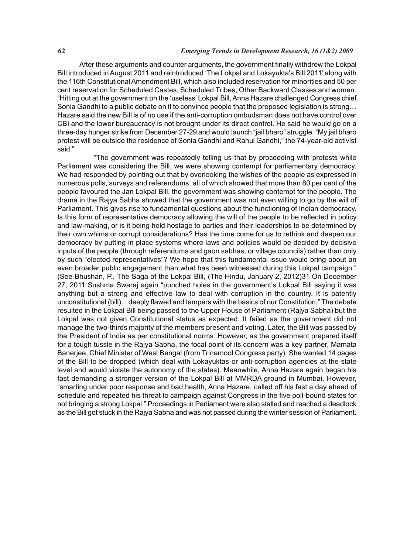After these arguments and counter arguments, the government finally withdrew the Lokpal Bill introduced in August 2011 and reintroduced 'The Lokpal and Lokayukta's Bill 2011' along with the 116th Constitutional Amendment Bill, which also included reservation for minorities and 50 per cent reservation for Scheduled Castes, Scheduled Tribes, Other Backward Classes and women. "Hitting out at the government on the 'useless' Lokpal Bill, Anna Hazare challenged Congress chief Sonia Gandhi to a public debate on it to convince people that the proposed legislation is strong… Hazare said the new Bill is of no use if the anti-corruption ombudsman does not have control over CBI and the lower bureaucracy is not brought under its direct control. He said he would go on a three-day hunger strike from December 27-29 and would launch "jail bharo" struggle. "My jail bharo protest will be outside the residence of Sonia Gandhi and Rahul Gandhi," the 74-year-old activist said."

 "The government was repeatedly telling us that by proceeding with protests while Parliament was considering the Bill, we were showing contempt for parliamentary democracy. We had responded by pointing out that by overlooking the wishes of the people as expressed in numerous polls, surveys and referendums, all of which showed that more than 80 per cent of the people favoured the Jan Lokpal Bill, the government was showing contempt for the people. The drama in the Rajya Sabha showed that the government was not even willing to go by the will of Parliament. This gives rise to fundamental questions about the functioning of Indian democracy. Is this form of representative democracy allowing the will of the people to be reflected in policy and law-making, or is it being held hostage to parties and their leaderships to be determined by their own whims or corrupt considerations? Has the time come for us to rethink and deepen our democracy by putting in place systems where laws and policies would be decided by decisive inputs of the people (through referendums and gaon sabhas, or village councils) rather than only by such "elected representatives"? We hope that this fundamental issue would bring about an even broader public engagement than what has been witnessed during this Lokpal campaign." (See Bhushan, P., The Saga of the Lokpal Bill, (The Hindu, January 2, 2012)31 On December 27, 2011 Sushma Swaraj again "punched holes in the government's Lokpal Bill saying it was anything but a strong and effective law to deal with corruption in the country. It is patently unconstitutional (bill)... deeply flawed and tampers with the basics of our Constitution," The debate resulted in the Lokpal Bill being passed to the Upper House of Parliament (Rajya Sabha) but the Lokpal was not given Constitutional status as expected. It failed as the government did not manage the two-thirds majority of the members present and voting. Later, the Bill was passed by the President of India as per constitutional norms. However, as the government prepared itself for a tough tussle in the Rajya Sabha, the focal point of its concern was a key partner, Mamata Banerjee, Chief Minister of West Bengal (from Trinamool Congress party). She wanted 14 pages of the Bill to be dropped (which deal with Lokayuktas or anti-corruption agencies at the state level and would violate the autonomy of the states). Meanwhile, Anna Hazare again began his fast demanding a stronger version of the Lokpal Bill at MMRDA ground in Mumbai. However, "smarting under poor response and bad health, Anna Hazare, called off his fast a day ahead of schedule and repeated his threat to campaign against Congress in the five poll-bound states for not bringing a strong Lokpal." Proceedings in Parliament were also stalled and reached a deadlock as the Bill got stuck in the Rajya Sabha and was not passed during the winter session of Parliament.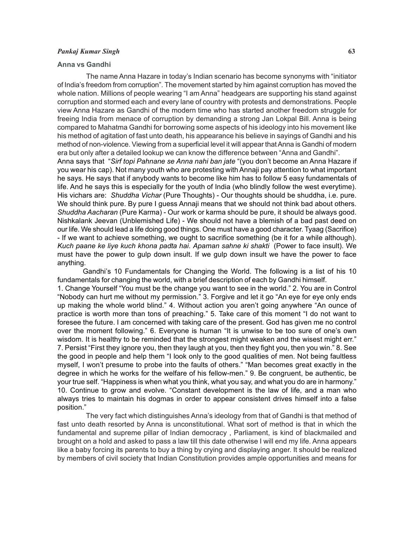### *Pankaj Kumar Singh* **63**

## **Anna vs Gandhi**

 The name Anna Hazare in today's Indian scenario has become synonyms with "initiator of India's freedom from corruption". The movement started by him against corruption has moved the whole nation. Millions of people wearing "I am Anna" headgears are supporting his stand against corruption and stormed each and every lane of country with protests and demonstrations. People view Anna Hazare as Gandhi of the modern time who has started another freedom struggle for freeing India from menace of corruption by demanding a strong Jan Lokpal Bill. Anna is being compared to Mahatma Gandhi for borrowing some aspects of his ideology into his movement like his method of agitation of fast unto death, his appearance his believe in sayings of Gandhi and his method of non-violence. Viewing from a superficial level it will appear that Anna is Gandhi of modern era but only after a detailed lookup we can know the difference between "Anna and Gandhi".

Anna says that "*Sirf topi Pahnane se Anna nahi ban jate* "(you don't become an Anna Hazare if you wear his cap). Not many youth who are protesting with Annaji pay attention to what important he says. He says that if anybody wants to become like him has to follow 5 easy fundamentals of life. And he says this is especially for the youth of India (who blindly follow the west everytime). His vichars are: *Shuddha Vichar* (Pure Thoughts) - Our thoughts should be shuddha, i.e. pure. We should think pure. By pure I quess Annaji means that we should not think bad about others. *Shuddha Aacharan* (Pure Karma) - Our work or karma should be pure, it should be always good. Nishkalank Jeevan (Unblemished Life) - We should not have a blemish of a bad past deed on our life. We should lead a life doing good things. One must have a good character. Tyaag (Sacrifice) - If we want to achieve something, we ought to sacrifice something (be it for a while although). *Kuch paane ke liye kuch khona padta hai*. *Apaman sahne ki shakti* (Power to face insult). We must have the power to gulp down insult. If we gulp down insult we have the power to face anything.

Gandhi's 10 Fundamentals for Changing the World. The following is a list of his 10 fundamentals for changing the world, with a brief description of each by Gandhi himself. 1. Change Yourself "You must be the change you want to see in the world." 2. You are in Control "Nobody can hurt me without my permission." 3. Forgive and let it go "An eye for eye only ends up making the whole world blind." 4. Without action you aren't going anywhere "An ounce of practice is worth more than tons of preaching." 5. Take care of this moment "I do not want to foresee the future. I am concerned with taking care of the present. God has given me no control over the moment following." 6. Everyone is human "It is unwise to be too sure of one's own wisdom. It is healthy to be reminded that the strongest might weaken and the wisest might err." 7. Persist "First they ignore you, then they laugh at you, then they fight you, then you win." 8. See the good in people and help them "I look only to the good qualities of men. Not being faultless myself, I won't presume to probe into the faults of others." "Man becomes great exactly in the degree in which he works for the welfare of his fellow-men." 9. Be congruent, be authentic, be your true self. "Happiness is when what you think, what you say, and what you do are in harmony." 10. Continue to grow and evolve. "Constant development is the law of life, and a man who always tries to maintain his dogmas in order to appear consistent drives himself into a false position."

 The very fact which distinguishes Anna's ideology from that of Gandhi is that method of fast unto death resorted by Anna is unconstitutional. What sort of method is that in which the fundamental and supreme pillar of Indian democracy , Parliament, is kind of blackmailed and brought on a hold and asked to pass a law till this date otherwise I will end my life. Anna appears like a baby forcing its parents to buy a thing by crying and displaying anger. It should be realized by members of civil society that Indian Constitution provides ample opportunities and means for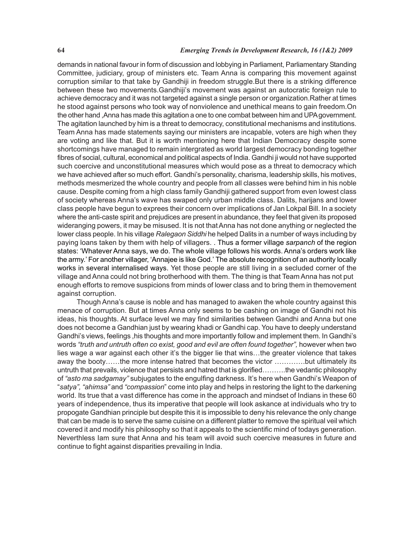# **64** *Emerging Trends in Development Research, 16 (1&2) 2009*

demands in national favour in form of discussion and lobbying in Parliament, Parliamentary Standing Committee, judiciary, group of ministers etc. Team Anna is comparing this movement against corruption similar to that take by Gandhiji in freedom struggle.But there is a striking difference between these two movements.Gandhiji's movement was against an autocratic foreign rule to achieve democracy and it was not targeted against a single person or organization.Rather at times he stood against persons who took way of nonviolence and unethical means to gain freedom.On the other hand ,Anna has made this agitation a one to one combat between him and UPA government. The agitation launched by him is a threat to democracy, constitutional mechanisms and institutions. Team Anna has made statements saying our ministers are incapable, voters are high when they are voting and like that. But it is worth mentioning here that Indian Democracy despite some shortcomings have managed to remain intergrated as world largest democracy bonding together fibres of social, cultural, economical and political aspects of India. Gandhi ji would not have supported such coercive and unconstitutional measures which would pose as a threat to democracy which we have achieved after so much effort. Gandhi's personality, charisma, leadership skills, his motives, methods mesmerized the whole country and people from all classes were behind him in his noble cause. Despite coming from a high class family Gandhiji gathered support from even lowest class of society whereas Anna's wave has swaped only urban middle class. Dalits, harijans and lower class people have begun to exprees their concern over implications of Jan Lokpal Bill. In a society where the anti-caste spirit and prejudices are present in abundance, they feel that given its proposed wideranging powers, it may be misused. It is not that Anna has not done anything or neglected the lower class people. In his village *Ralegaon Siddhi* he helped Dalits in a number of ways including by paying loans taken by them with help of villagers. . Thus a former village *sarpanch* of the region states: 'Whatever Anna says, we do. The whole village follows his words. Anna's orders work like the army.' For another villager, 'Annajee is like God.' The absolute recognition of an authority locally works in several internalised ways. Yet those people are still living in a secluded corner of the village and Anna could not bring brotherhood with them. The thing is that Team Anna has not put enough efforts to remove suspicions from minds of lower class and to bring them in themovement against corruption.

 Though Anna's cause is noble and has managed to awaken the whole country against this menace of corruption. But at times Anna only seems to be cashing on image of Gandhi not his ideas, his thoughts. At surface level we may find similarities between Gandhi and Anna but one does not become a Gandhian just by wearing khadi or Gandhi cap. You have to deeply understand Gandhi's views, feelings ,his thoughts and more importantly follow and implement them. In Gandhi's words "truth and untruth often co exist, good and evil are often found together", however when two lies wage a war against each other it's the bigger lie that wins…the greater violence that takes away the booty……the more intense hatred that becomes the victor ………….but ultimately its untruth that prevails, violence that persists and hatred that is glorified……….the vedantic philosophy of *"asto ma sadgamay"* subjugates to the engulfing darkness. It's here when Gandhi's Weapon of "*satya", "ahimsa"* and *"compassion*" come into play and helps in restoring the light to the darkening world. Its true that a vast difference has come in the approach and mindset of Indians in these 60 years of independence, thus its imperative that people will look askance at individuals who try to propogate Gandhian principle but despite this it is impossible to deny his relevance the only change that can be made is to serve the same cuisine on a different platter to remove the spiritual veil which covered it and modify his philosophy so that it appeals to the scientific mind of todays generation. Neverthless Iam sure that Anna and his team will avoid such coercive measures in future and continue to fight against disparities prevailing in India.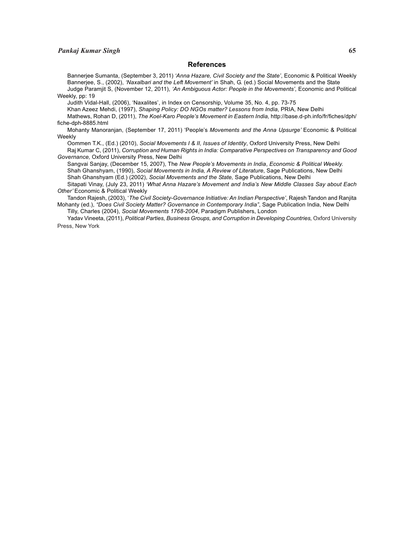## **References**

Bannerjee Sumanta, (September 3, 2011) *'Anna Hazare, Civil Society and the State'*, Economic & Political Weekly Bannerjee, S., (2002), *'Naxalbari and the Left Movement'* in Shah, G. (ed.) Social Movements and the State Judge Paramjit S, (November 12, 2011), *'An Ambiguous Actor: People in the Movements'*, Economic and Political Weekly, pp: 19

Judith Vidal-Hall, (2006), 'Naxalites', in Index on Censorship, Volume 35, No. 4, pp. 73-75

Khan Azeez Mehdi, (1997), *Shaping Policy: DO NGOs matter? Lessons from India*, PRIA, New Delhi

Mathews, Rohan D, (2011), *The Koel-Karo People's Movement in Eastern India,* http://base.d-ph.info/fr/fiches/dph/ fiche-dph-8885.html

Mohanty Manoranjan, (September 17, 2011) 'People's *Movements and the Anna Upsurge'* Economic & Political Weekly

Oommen T.K., (Ed.) (2010), *Social Movements I & II, Issues of Identity*, Oxford University Press, New Delhi

Raj Kumar C, (2011), *Corruption and Human Rights in India: Comparative Perspectives on Transparency and Good Governance,* Oxford University Press, New Delhi

Sangvai Sanjay, (December 15, 2007), The *New People's Movements in India*, *Economic & Political Weekly.* Shah Ghanshyam, (1990), *Social Movements in India, A Review of Literature*, Sage Publications, New Delhi Shah Ghanshyam (Ed.) (2002), *Social Movements and the State,* Sage Publications, New Delhi

Sitapati Vinay, (July 23, 2011) *'What Anna Hazare's Movement and India's New Middle Classes Say about Each* **Other' Economic & Political Weekly** 

Tandon Rajesh, (2003), '*The Civil Society-Governance Initiative: An Indian Perspective'*, Rajesh Tandon and Ranjita Mohanty (ed.), *"Does Civil Society Matter? Governance in Contemporary India"*, Sage Publication India, New Delhi Tilly, Charles (2004), *Social Movements 1768-2004*, Paradigm Publishers, London

Yadav Vineeta, (2011), *Political Parties, Business Groups, and Corruption in Developing Countries*, Oxford University Press, New York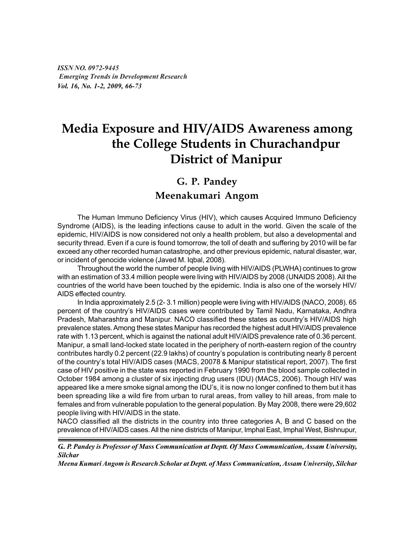*ISSN NO. 0972-9445 Emerging Trends in Development Research Vol. 16, No. 1-2, 2009, 66-73*

# **Media Exposure and HIV/AIDS Awareness among the College Students in Churachandpur District of Manipur**

# **G. P. Pandey**

# **Meenakumari Angom**

The Human Immuno Deficiency Virus (HIV), which causes Acquired Immuno Deficiency Syndrome (AIDS), is the leading infections cause to adult in the world. Given the scale of the epidemic, HIV/AIDS is now considered not only a health problem, but also a developmental and security thread. Even if a cure is found tomorrow, the toll of death and suffering by 2010 will be far exceed any other recorded human catastrophe, and other previous epidemic, natural disaster, war, or incident of genocide violence (Javed M. Iqbal, 2008).

Throughout the world the number of people living with HIV/AIDS (PLWHA) continues to grow with an estimation of 33.4 million people were living with HIV/AIDS by 2008 (UNAIDS 2008). All the countries of the world have been touched by the epidemic. India is also one of the worsely HIV/ AIDS effected country.

In India approximately 2.5 (2- 3.1 million) people were living with HIV/AIDS (NACO, 2008). 65 percent of the country's HIV/AIDS cases were contributed by Tamil Nadu, Karnataka, Andhra Pradesh, Maharashtra and Manipur. NACO classified these states as country's HIV/AIDS high prevalence states. Among these states Manipur has recorded the highest adult HIV/AIDS prevalence rate with 1.13 percent, which is against the national adult HIV/AIDS prevalence rate of 0.36 percent. Manipur, a small land-locked state located in the periphery of north-eastern region of the country contributes hardly 0.2 percent (22.9 lakhs) of country's population is contributing nearly 8 percent of the country's total HIV/AIDS cases (MACS, 20078 & Manipur statistical report, 2007). The first case of HIV positive in the state was reported in February 1990 from the blood sample collected in October 1984 among a cluster of six injecting drug users (IDU) (MACS, 2006). Though HIV was appeared like a mere smoke signal among the IDU's, it is now no longer confined to them but it has been spreading like a wild fire from urban to rural areas, from valley to hill areas, from male to females and from vulnerable population to the general population. By May 2008, there were 29,602 people living with HIV/AIDS in the state.

NACO classified all the districts in the country into three categories A, B and C based on the prevalence of HIV/AIDS cases. All the nine districts of Manipur, Imphal East, Imphal West, Bishnupur,

*G.. P. Pandey is Professor of Mass Communication at Deptt. Of Mass Communication, Assam University, Silchar*

*Meena Kumari Angom is Research Scholar at Deptt. of Mass Communication, Assam University, Silchar*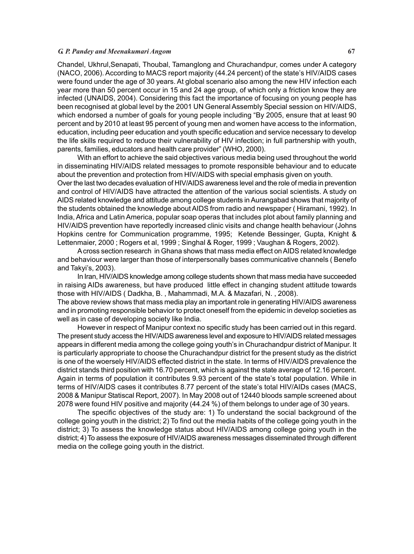#### *G. P. Pandey and Meenakumari Angom* **67**

Chandel, Ukhrul,Senapati, Thoubal, Tamanglong and Churachandpur, comes under A category (NACO, 2006). According to MACS report majority (44.24 percent) of the state's HIV/AIDS cases were found under the age of 30 years. At global scenario also among the new HIV infection each year more than 50 percent occur in 15 and 24 age group, of which only a friction know they are infected (UNAIDS, 2004). Considering this fact the importance of focusing on young people has been recognised at global level by the 2001 UN General Assembly Special session on HIV/AIDS, which endorsed a number of goals for young people including "By 2005, ensure that at least 90 percent and by 2010 at least 95 percent of young men and women have access to the information, education, including peer education and youth specific education and service necessary to develop the life skills required to reduce their vulnerability of HIV infection; in full partnership with youth, parents, families, educators and health care provider" (WHO, 2000).

With an effort to achieve the said objectives various media being used throughout the world in disseminating HIV/AIDS related messages to promote responsible behaviour and to educate about the prevention and protection from HIV/AIDS with special emphasis given on youth.

Over the last two decades evaluation of HIV/AIDS awareness level and the role of media in prevention and control of HIV/AIDS have attracted the attention of the various social scientists. A study on AIDS related knowledge and attitude among college students in Aurangabad shows that majority of the students obtained the knowledge about AIDS from radio and newspaper ( Hiramani, 1992). In India, Africa and Latin America, popular soap operas that includes plot about family planning and HIV/AIDS prevention have reportedly increased clinic visits and change health behaviour (Johns Hopkins centre for Communication programme, 1995; Ketende Bessinger, Gupta, Knight & Lettenmaier, 2000 ; Rogers et al, 1999 ; Singhal & Roger, 1999 ; Vaughan & Rogers, 2002).

A cross section research in Ghana shows that mass media effect on AIDS related knowledge and behaviour were larger than those of interpersonally bases communicative channels ( Benefo and Takyi's, 2003).

In Iran, HIV/AIDS knowledge among college students shown that mass media have succeeded in raising AIDs awareness, but have produced little effect in changing student attitude towards those with HIV/AIDS ( Dadkha, B. , Mahammadi, M.A. & Mazafari, N. , 2008).

The above review shows that mass media play an important role in generating HIV/AIDS awareness and in promoting responsible behavior to protect oneself from the epidemic in develop societies as well as in case of developing society like India.

However in respect of Manipur context no specific study has been carried out in this regard. The present study access the HIV/AIDS awareness level and exposure to HIV/AIDS related messages appears in different media among the college going youth's in Churachandpur district of Manipur. It is particularly appropriate to choose the Churachandpur district for the present study as the district is one of the woersely HIV/AIDS effected district in the state. In terms of HIV/AIDS prevalence the district stands third position with 16.70 percent, which is against the state average of 12.16 percent. Again in terms of population it contributes 9.93 percent of the state's total population. While in terms of HIV/AIDS cases it contributes 8.77 percent of the state's total HIV/AIDs cases (MACS, 2008 & Manipur Statiscal Report, 2007). In May 2008 out of 12440 bloods sample screened about 2078 were found HIV positive and majority (44.24 %) of them belongs to under age of 30 years.

The specific objectives of the study are: 1) To understand the social background of the college going youth in the district; 2) To find out the media habits of the college going youth in the district; 3) To assess the knowledge status about HIV/AIDS among college going youth in the district; 4) To assess the exposure of HIV/AIDS awareness messages disseminated through different media on the college going youth in the district.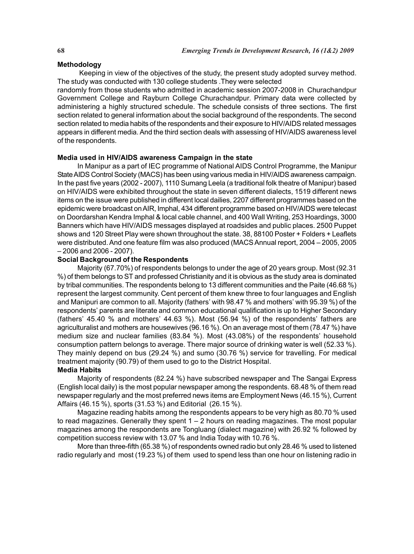# **Methodology**

Keeping in view of the objectives of the study, the present study adopted survey method. The study was conducted with 130 college students .They were selected

randomly from those students who admitted in academic session 2007-2008 in Churachandpur Government College and Rayburn College Churachandpur. Primary data were collected by administering a highly structured schedule. The schedule consists of three sections. The first section related to general information about the social background of the respondents. The second section related to media habits of the respondents and their exposure to HIV/AIDS related messages appears in different media. And the third section deals with assessing of HIV/AIDS awareness level of the respondents.

# **Media used in HIV/AIDS awareness Campaign in the state**

In Manipur as a part of IEC programme of National AIDS Control Programme, the Manipur State AIDS Control Society (MACS) has been using various media in HIV/AIDS awareness campaign. In the past five years (2002 - 2007), 1110 Sumang Leela (a traditional folk theatre of Manipur) based on HIV/AIDS were exhibited throughout the state in seven different dialects, 1519 different news items on the issue were published in different local dailies, 2207 different programmes based on the epidemic were broadcast on AIR, Imphal, 434 different programme based on HIV/AIDS were telecast on Doordarshan Kendra Imphal & local cable channel, and 400 Wall Writing, 253 Hoardings, 3000 Banners which have HIV/AIDS messages displayed at roadsides and public places. 2500 Puppet shows and 120 Street Play were shown throughout the state. 38, 88100 Poster + Folders + Leaflets were distributed. And one feature film was also produced (MACS Annual report, 2004 – 2005, 2005 – 2006 and 2006 - 2007).

# **Social Background of the Respondents**

Majority (67.70%) of respondents belongs to under the age of 20 years group. Most (92.31 %) of them belongs to ST and professed Christianity and it is obvious as the study area is dominated by tribal communities. The respondents belong to 13 different communities and the Paite (46.68 %) represent the largest community. Cent percent of them knew three to four languages and English and Manipuri are common to all. Majority (fathers' with 98.47 % and mothers' with 95.39 %) of the respondents' parents are literate and common educational qualification is up to Higher Secondary (fathers' 45.40 % and mothers' 44.63 %). Most (56.94 %) of the respondents' fathers are agriculturalist and mothers are housewives (96.16 %). On an average most of them (78.47 %) have medium size and nuclear families (83.84 %). Most (43.08%) of the respondents' household consumption pattern belongs to average. There major source of drinking water is well (52.33 %). They mainly depend on bus (29.24 %) and sumo (30.76 %) service for travelling. For medical treatment majority (90.79) of them used to go to the District Hospital.

# **Media Habits**

Majority of respondents (82.24 %) have subscribed newspaper and The Sangai Express (English local daily) is the most popular newspaper among the respondents. 68.48 % of them read newspaper regularly and the most preferred news items are Employment News (46.15 %), Current Affairs (46.15 %), sports (31.53 %) and Editorial (26.15 %).

Magazine reading habits among the respondents appears to be very high as 80.70 % used to read magazines. Generally they spent 1 – 2 hours on reading magazines. The most popular magazines among the respondents are Tongluang (dialect magazine) with 26.92 % followed by competition success review with 13.07 % and India Today with 10.76 %.

More than three-fifth (65.38 %) of respondents owned radio but only 28.46 % used to listened radio regularly and most (19.23 %) of them used to spend less than one hour on listening radio in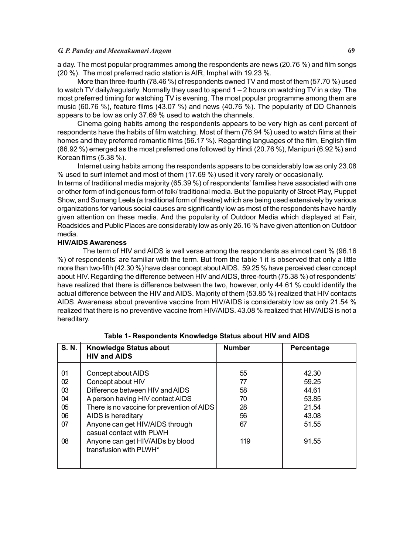# *G. P. Pandey and Meenakumari Angom* **69**

a day. The most popular programmes among the respondents are news (20.76 %) and film songs (20 %). The most preferred radio station is AIR, Imphal with 19.23 %.

More than three-fourth (78.46 %) of respondents owned TV and most of them (57.70 %) used to watch TV daily/regularly. Normally they used to spend 1 – 2 hours on watching TV in a day. The most preferred timing for watching TV is evening. The most popular programme among them are music (60.76 %), feature films (43.07 %) and news (40.76 %). The popularity of DD Channels appears to be low as only 37.69 % used to watch the channels.

Cinema going habits among the respondents appears to be very high as cent percent of respondents have the habits of film watching. Most of them (76.94 %) used to watch films at their homes and they preferred romantic films (56.17 %). Regarding languages of the film, English film (86.92 %) emerged as the most preferred one followed by Hindi (20.76 %), Manipuri (6.92 %) and Korean films (5.38 %).

Internet using habits among the respondents appears to be considerably low as only 23.08 % used to surf internet and most of them (17.69 %) used it very rarely or occasionally.

In terms of traditional media majority (65.39 %) of respondents' families have associated with one or other form of indigenous form of folk/ traditional media. But the popularity of Street Play, Puppet Show, and Sumang Leela (a traditional form of theatre) which are being used extensively by various organizations for various social causes are significantly low as most of the respondents have hardly given attention on these media. And the popularity of Outdoor Media which displayed at Fair, Roadsides and Public Places are considerably low as only 26.16 % have given attention on Outdoor media.

# **HIV/AIDS Awareness**

The term of HIV and AIDS is well verse among the respondents as almost cent % (96.16 %) of respondents' are familiar with the term. But from the table 1 it is observed that only a little more than two-fifth (42.30 %) have clear concept about AIDS. 59.25 % have perceived clear concept about HIV. Regarding the difference between HIV and AIDS, three-fourth (75.38 %) of respondents' have realized that there is difference between the two, however, only 44.61 % could identify the actual difference between the HIV and AIDS. Majority of them (53.85 %) realized that HIV contacts AIDS. Awareness about preventive vaccine from HIV/AIDS is considerably low as only 21.54 % realized that there is no preventive vaccine from HIV/AIDS. 43.08 % realized that HIV/AIDS is not a hereditary.

| S. N.                                        | <b>Knowledge Status about</b><br><b>HIV and AIDS</b>                                                                                                                                                                                                                                                            | <b>Number</b>                                 | Percentage                                                           |
|----------------------------------------------|-----------------------------------------------------------------------------------------------------------------------------------------------------------------------------------------------------------------------------------------------------------------------------------------------------------------|-----------------------------------------------|----------------------------------------------------------------------|
| 01<br>02<br>03<br>04<br>05<br>06<br>07<br>08 | Concept about AIDS<br>Concept about HIV<br>Difference between HIV and AIDS<br>A person having HIV contact AIDS<br>There is no vaccine for prevention of AIDS<br>AIDS is hereditary<br>Anyone can get HIV/AIDS through<br>casual contact with PLWH<br>Anyone can get HIV/AIDs by blood<br>transfusion with PLWH* | 55<br>77<br>58<br>70<br>28<br>56<br>67<br>119 | 42.30<br>59.25<br>44.61<br>53.85<br>21.54<br>43.08<br>51.55<br>91.55 |

# **Table 1- Respondents Knowledge Status about HIV and AIDS**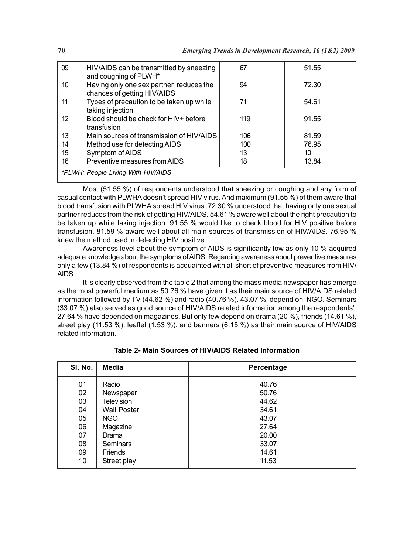| 09                                 | HIV/AIDS can be transmitted by sneezing<br>and coughing of PLWH*       | 67  | 51.55 |
|------------------------------------|------------------------------------------------------------------------|-----|-------|
| 10                                 | Having only one sex partner reduces the<br>chances of getting HIV/AIDS | 94  | 72.30 |
| 11                                 | Types of precaution to be taken up while<br>taking injection           | 71  | 54.61 |
| 12                                 | Blood should be check for HIV+ before<br>transfusion                   | 119 | 91.55 |
| 13                                 | Main sources of transmission of HIV/AIDS                               | 106 | 81.59 |
| 14                                 | Method use for detecting AIDS                                          | 100 | 76.95 |
| 15                                 | Symptom of AIDS                                                        | 13  | 10    |
| 16                                 | Preventive measures from AIDS                                          | 18  | 13.84 |
| *PLWH: People Living With HIV/AIDS |                                                                        |     |       |

Most (51.55 %) of respondents understood that sneezing or coughing and any form of casual contact with PLWHA doesn't spread HIV virus. And maximum (91.55 %) of them aware that blood transfusion with PLWHA spread HIV virus. 72.30 % understood that having only one sexual partner reduces from the risk of getting HIV/AIDS. 54.61 % aware well about the right precaution to be taken up while taking injection. 91.55 % would like to check blood for HIV positive before transfusion. 81.59 % aware well about all main sources of transmission of HIV/AIDS. 76.95 % knew the method used in detecting HIV positive.

Awareness level about the symptom of AIDS is significantly low as only 10 % acquired adequate knowledge about the symptoms of AIDS. Regarding awareness about preventive measures only a few (13.84 %) of respondents is acquainted with all short of preventive measures from HIV/ AIDS.

It is clearly observed from the table 2 that among the mass media newspaper has emerge as the most powerful medium as 50.76 % have given it as their main source of HIV/AIDS related information followed by TV (44.62 %) and radio (40.76 %). 43.07 % depend on NGO. Seminars (33.07 %) also served as good source of HIV/AIDS related information among the respondents'. 27.64 % have depended on magazines. But only few depend on drama (20 %), friends (14.61 %), street play (11.53 %), leaflet (1.53 %), and banners (6.15 %) as their main source of HIV/AIDS related information.

| SI. No. | Media              | Percentage |
|---------|--------------------|------------|
| 01      | Radio              | 40.76      |
| 02      | Newspaper          | 50.76      |
| 03      | <b>Television</b>  | 44.62      |
| 04      | <b>Wall Poster</b> | 34.61      |
| 05      | NGO                | 43.07      |
| 06      | Magazine           | 27.64      |
| 07      | Drama              | 20.00      |
| 08      | <b>Seminars</b>    | 33.07      |
| 09      | Friends            | 14.61      |
| 10      | Street play        | 11.53      |

**Table 2- Main Sources of HIV/AIDS Related Information**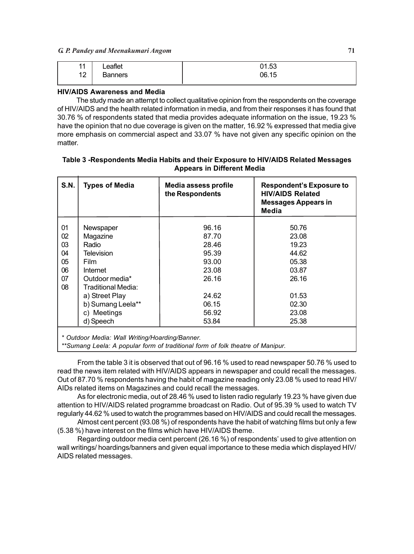| 44<br>ш | Leaflet | 01.53 |
|---------|---------|-------|
| 12      | Banners | 06.15 |

### **HIV/AIDS Awareness and Media**

The study made an attempt to collect qualitative opinion from the respondents on the coverage of HIV/AIDS and the health related information in media, and from their responses it has found that 30.76 % of respondents stated that media provides adequate information on the issue, 19.23 % have the opinion that no due coverage is given on the matter, 16.92 % expressed that media give more emphasis on commercial aspect and 33.07 % have not given any specific opinion on the matter.

| <b>S.N.</b> | <b>Types of Media</b> | Media assess profile<br>the Respondents | <b>Respondent's Exposure to</b><br><b>HIV/AIDS Related</b><br><b>Messages Appears in</b><br>Media |
|-------------|-----------------------|-----------------------------------------|---------------------------------------------------------------------------------------------------|
| 01          | Newspaper             | 96.16                                   | 50.76                                                                                             |
| 02          | Magazine              | 87.70                                   | 23.08                                                                                             |
| 03          | Radio                 | 28.46                                   | 19.23                                                                                             |
| 04          | <b>Television</b>     | 95.39                                   | 44.62                                                                                             |
| 05          | Film                  | 93.00                                   | 05.38                                                                                             |
| 06          | Internet              | 23.08                                   | 03.87                                                                                             |
| 07          | Outdoor media*        | 26.16                                   | 26.16                                                                                             |
| 08          | Traditional Media:    |                                         |                                                                                                   |
|             | a) Street Play        | 24.62                                   | 01.53                                                                                             |
|             | b) Sumang Leela**     | 06.15                                   | 02.30                                                                                             |
|             | c) Meetings           | 56.92                                   | 23.08                                                                                             |
|             | d) Speech             | 53.84                                   | 25.38                                                                                             |

### **Table 3 -Respondents Media Habits and their Exposure to HIV/AIDS Related Messages Appears in Different Media**

*\*\*Sumang Leela: A popular form of traditional form of folk theatre of Manipur.*

From the table 3 it is observed that out of 96.16 % used to read newspaper 50.76 % used to read the news item related with HIV/AIDS appears in newspaper and could recall the messages. Out of 87.70 % respondents having the habit of magazine reading only 23.08 % used to read HIV/ AIDs related items on Magazines and could recall the messages.

As for electronic media, out of 28.46 % used to listen radio regularly 19.23 % have given due attention to HIV/AIDS related programme broadcast on Radio. Out of 95.39 % used to watch TV regularly 44.62 % used to watch the programmes based on HIV/AIDS and could recall the messages.

Almost cent percent (93.08 %) of respondents have the habit of watching films but only a few (5.38 %) have interest on the films which have HIV/AIDS theme.

Regarding outdoor media cent percent (26.16 %) of respondents' used to give attention on wall writings/ hoardings/banners and given equal importance to these media which displayed HIV/ AIDS related messages.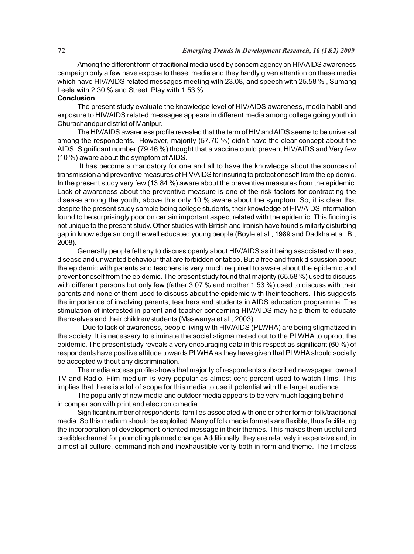Among the different form of traditional media used by concern agency on HIV/AIDS awareness campaign only a few have expose to these media and they hardly given attention on these media which have HIV/AIDS related messages meeting with 23.08, and speech with 25.58 % , Sumang Leela with 2.30 % and Street Play with 1.53 %.

#### **Conclusion**

The present study evaluate the knowledge level of HIV/AIDS awareness, media habit and exposure to HIV/AIDS related messages appears in different media among college going youth in Churachandpur district of Manipur.

The HIV/AIDS awareness profile revealed that the term of HIV and AIDS seems to be universal among the respondents. However, majority (57.70 %) didn't have the clear concept about the AIDS. Significant number (79.46 %) thought that a vaccine could prevent HIV/AIDS and Very few (10 %) aware about the symptom of AIDS.

 It has become a mandatory for one and all to have the knowledge about the sources of transmission and preventive measures of HIV/AIDS for insuring to protect oneself from the epidemic. In the present study very few (13.84 %) aware about the preventive measures from the epidemic. Lack of awareness about the preventive measure is one of the risk factors for contracting the disease among the youth, above this only 10 % aware about the symptom. So, it is clear that despite the present study sample being college students, their knowledge of HIV/AIDS information found to be surprisingly poor on certain important aspect related with the epidemic. This finding is not unique to the present study. Other studies with British and Iranish have found similarly disturbing gap in knowledge among the well educated young people (Boyle et al., 1989 and Dadkha et al. B., 2008).

Generally people felt shy to discuss openly about HIV/AIDS as it being associated with sex, disease and unwanted behaviour that are forbidden or taboo. But a free and frank discussion about the epidemic with parents and teachers is very much required to aware about the epidemic and prevent oneself from the epidemic. The present study found that majority (65.58 %) used to discuss with different persons but only few (father 3.07 % and mother 1.53 %) used to discuss with their parents and none of them used to discuss about the epidemic with their teachers. This suggests the importance of involving parents, teachers and students in AIDS education programme. The stimulation of interested in parent and teacher concerning HIV/AIDS may help them to educate themselves and their children/students (Maswanya et al., 2003).

Due to lack of awareness, people living with HIV/AIDS (PLWHA) are being stigmatized in the society. It is necessary to eliminate the social stigma meted out to the PLWHA to uproot the epidemic. The present study reveals a very encouraging data in this respect as significant (60 %) of respondents have positive attitude towards PLWHA as they have given that PLWHA should socially be accepted without any discrimination.

The media access profile shows that majority of respondents subscribed newspaper, owned TV and Radio. Film medium is very popular as almost cent percent used to watch films. This implies that there is a lot of scope for this media to use it potential with the target audience.

The popularity of new media and outdoor media appears to be very much lagging behind in comparison with print and electronic media.

Significant number of respondents' families associated with one or other form of folk/traditional media. So this medium should be exploited. Many of folk media formats are flexible, thus facilitating the incorporation of development-oriented message in their themes. This makes them useful and credible channel for promoting planned change. Additionally, they are relatively inexpensive and, in almost all culture, command rich and inexhaustible verity both in form and theme. The timeless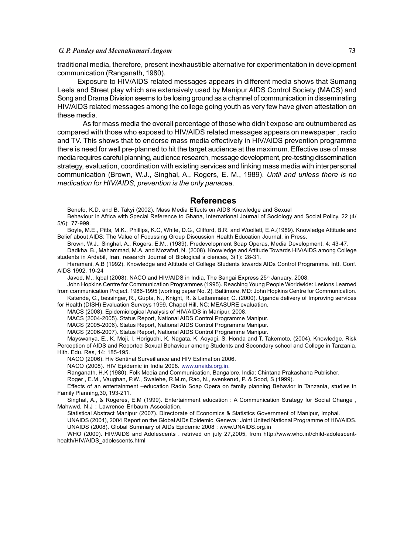### *G. P. Pandey and Meenakumari Angom* **73**

traditional media, therefore, present inexhaustible alternative for experimentation in development communication (Ranganath, 1980).

Exposure to HIV/AIDS related messages appears in different media shows that Sumang Leela and Street play which are extensively used by Manipur AIDS Control Society (MACS) and Song and Drama Division seems to be losing ground as a channel of communication in disseminating HIV/AIDS related messages among the college going youth as very few have given attestation on these media.

As for mass media the overall percentage of those who didn't expose are outnumbered as compared with those who exposed to HIV/AIDS related messages appears on newspaper , radio and TV. This shows that to endorse mass media effectively in HIV/AIDS prevention programme there is need for well pre-planned to hit the target audience at the maximum. Effective use of mass media requires careful planning, audience research, message development, pre-testing dissemination strategy, evaluation, coordination with existing services and linking mass media with interpersonal communication (Brown, W.J., Singhal, A., Rogers, E. M., 1989). *Until and unless there is no medication for HIV/AIDS, prevention is the only panacea.*

#### **References**

Benefo, K.D. and B. Takyi (2002). Mass Media Effects on AIDS Knowledge and Sexual

Behaviour in Africa with Special Reference to Ghana, International Journal of Sociology and Social Policy, 22 (4/ 5/6): 77-999.

Boyle, M.E., Pitts, M.K., Phillips, K.C, White, D.G., Clifford, B.R. and Woolletl, E.A.(1989). Knowledge Attitude and Belief about AIDS: The Value of Focussing Group Discussion Health Education Journal, in Press.

Brown, W.J., Singhal, A., Rogers, E.M., (1989). Predevelopment Soap Operas, Media Development, 4: 43-47.

Dadkha, B., Mahammad, M.A. and Mozafari, N. (2008). Knowledge and Attitude Towards HIV/AIDS among College students in Ardabil, Iran, research Journal of Biological s ciences, 3(1): 28-31.

Haramani, A.B (1992). Knowledge and Attitude of College Students towards AIDs Control Programme. Intt. Conf. AIDS 1992, 19-24

Javed, M., Iqbal (2008). NACO and HIV/AIDS in India, The Sangai Express 25<sup>th</sup> January, 2008.

John Hopkins Centre for Communication Programmes (1995). Reaching Young People Worldwide: Lesions Learned from communication Project, 1986-1995 (working paper No. 2). Baltimore, MD: John Hopkins Centre for Communication. Katende, C., bessinger, R., Gupta, N., Knight, R. & Lettenmaier, C. (2000). Uganda delivery of Improving services

for Health (DISH) Evaluation Surveys 1999, Chapel Hill, NC: MEASURE evaluation.

MACS (2008). Epidemiological Analysis of HIV/AIDS in Manipur, 2008.

MACS (2004-2005). Status Report, National AIDS Control Programme Manipur.

MACS (2005-2006). Status Report, National AIDS Control Programme Manipur.

MACS (2006-2007). Status Report, National AIDS Control Programme Manipur.

Mayswanya, E., K. Moji, I. Horiguchi, K. Nagata, K. Aoyagi, S. Honda and T. Takemoto, (2004). Knowledge, Risk Perception of AIDS and Reported Sexual Behaviour among Students and Secondary school and College in Tanzania. Hlth. Edu. Res, 14: 185-195.

NACO (2006). Hiv Sentinal Surveillance and HIV Estimation 2006.

NACO (2008). HIV Epidemic in India 2008. www.unaids.org.in.

Ranganath, H.K (1980). Folk Media and Communication. Bangalore, India: Chintana Prakashana Publisher.

Roger , E.M., Vaughan, P.W., Swalehe, R.M.m, Rao, N., svenkerud, P. & Sood, S (1999).

Effects of an entertainment –education Radio Soap Opera on family planning Behavior in Tanzania, studies in Family Planning,30, 193-211.

Singhal, A., & Rogeres, E.M (1999). Entertainment education : A Communication Strategy for Social Change , Mahwwd, N.J : Lawrence Erlbaum Association.

Statistical Abstract Manipur (2007). Directorate of Economics & Statistics Government of Manipur, Imphal.

UNAIDS (2004), 2004 Report on the Global AIDs Epidemic, Geneva : Joint United National Programme of HIV/AIDS.

UNAIDS (2008). Global Summary of AIDs Epidemic 2008 : www.UNAIDS.org.in

WHO (2000). HIV/AIDS and Adolescents . retrived on july 27,2005, from http://www.who.int/child-adolescenthealth/HIV/AIDS\_adolescents.html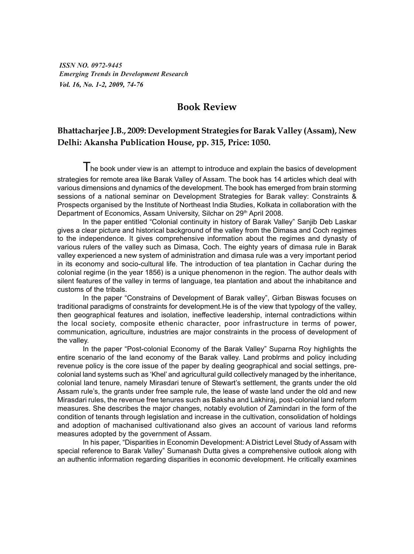*ISSN NO. 0972-9445 Emerging Trends in Development Research Vol. 16, No. 1-2, 2009, 74-76*

## **Book Review**

### **Bhattacharjee J.B., 2009: Development Strategies for Barak Valley (Assam), New Delhi: Akansha Publication House, pp. 315, Price: 1050.**

The book under view is an attempt to introduce and explain the basics of development strategies for remote area like Barak Valley of Assam. The book has 14 articles which deal with various dimensions and dynamics of the development. The book has emerged from brain storming sessions of a national seminar on Development Strategies for Barak valley: Constraints & Prospects organised by the Institute of Northeast India Studies, Kolkata in collaboration with the Department of Economics, Assam University, Silchar on 29<sup>th</sup> April 2008.

In the paper entitled "Colonial continuity in history of Barak Valley" Sanjib Deb Laskar gives a clear picture and historical background of the valley from the Dimasa and Coch regimes to the independence. It gives comprehensive information about the regimes and dynasty of various rulers of the valley such as Dimasa, Coch. The eighty years of dimasa rule in Barak valley experienced a new system of administration and dimasa rule was a very important period in its economy and socio-cultural life. The introduction of tea plantation in Cachar during the colonial regime (in the year 1856) is a unique phenomenon in the region. The author deals with silent features of the valley in terms of language, tea plantation and about the inhabitance and customs of the tribals.

In the paper "Constrains of Development of Barak valley", Girban Biswas focuses on traditional paradigms of constraints for development.He is of the view that typology of the valley, then geographical features and isolation, ineffective leadership, internal contradictions within the local society, composite ethenic character, poor infrastructure in terms of power, communication, agriculture, industries are major constraints in the process of development of the valley.

In the paper "Post-colonial Economy of the Barak Valley" Suparna Roy highlights the entire scenario of the land economy of the Barak valley. Land problrms and policy including revenue policy is the core issue of the paper by dealing geographical and social settings, precolonial land systems such as 'Khel' and agricultural guild collectively managed by the inheritance, colonial land tenure, namely Mirasdari tenure of Stewart's settlement, the grants under the old Assam rule's, the grants under free sample rule, the lease of waste land under the old and new Mirasdari rules, the revenue free tenures such as Baksha and Lakhiraj, post-colonial land reform measures. She describes the major changes, notably evolution of Zamindari in the form of the condition of tenants through legislation and increase in the cultivation, consolidation of holdings and adoption of machanised cultivationand also gives an account of various land reforms measures adopted by the government of Assam.

In his paper, "Disparities in Economin Development: A District Level Study of Assam with special reference to Barak Valley" Sumanash Dutta gives a comprehensive outlook along with an authentic information regarding disparities in economic development. He critically examines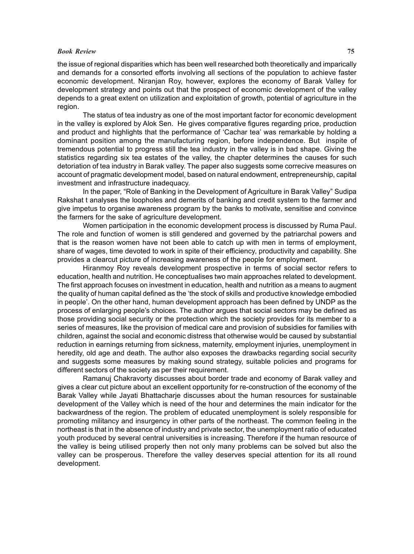#### *Book Review* **75**

the issue of regional disparities which has been well researched both theoretically and imparically and demands for a consorted efforts involving all sections of the population to achieve faster economic development. Niranjan Roy, however, explores the economy of Barak Valley for development strategy and points out that the prospect of economic development of the valley depends to a great extent on utilization and exploitation of growth, potential of agriculture in the region.

The status of tea industry as one of the most important factor for economic development in the valley is explored by Alok Sen. He gives comparative figures regarding price, production and product and highlights that the performance of 'Cachar tea' was remarkable by holding a dominant position among the manufacturing region, before independence. But inspite of tremendous potential to progress still the tea industry in the valley is in bad shape. Giving the statistics regarding six tea estates of the valley, the chapter determines the causes for such detoriation of tea industry in Barak valley. The paper also suggests some correcive measures on account of pragmatic development model, based on natural endowment, entrepreneurship, capital investment and infrastructure inadequacy.

In the paper, "Role of Banking in the Development of Agriculture in Barak Valley" Sudipa Rakshat t analyses the loopholes and demerits of banking and credit system to the farmer and give impetus to organise awareness program by the banks to motivate, sensitise and convince the farmers for the sake of agriculture development.

Women participation in the economic development process is discussed by Ruma Paul. The role and function of women is still gendered and governed by the patriarchal powers and that is the reason women have not been able to catch up with men in terms of employment, share of wages, time devoted to work in spite of their efficiency, productivity and capability. She provides a clearcut picture of increasing awareness of the people for employment.

Hiranmoy Roy reveals development prospective in terms of social sector refers to education, health and nutrition. He conceptualises two main approaches related to development. The first approach focuses on investment in education, health and nutrition as a means to augment the quality of human capital defined as the 'the stock of skills and productive knowledge embodied in people'. On the other hand, human development approach has been defined by UNDP as the process of enlarging people's choices. The author argues that social sectors may be defined as those providing social security or the protection which the society provides for its member to a series of measures, like the provision of medical care and provision of subsidies for families with children, against the social and economic distress that otherwise would be caused by substantial reduction in earnings returning from sickness, maternity, employment injuries, unemployment in heredity, old age and death. The author also exposes the drawbacks regarding social security and suggests some measures by making sound strategy, suitable policies and programs for different sectors of the society as per their requirement.

Ramanuj Chakravorty discusses about border trade and economy of Barak valley and gives a clear cut picture about an excellent opportunity for re-construction of the economy of the Barak Valley while Jayati Bhattacharje discusses about the human resources for sustainable development of the Valley which is need of the hour and determines the main indicator for the backwardness of the region. The problem of educated unemployment is solely responsible for promoting militancy and insurgency in other parts of the northeast. The common feeling in the northeast is that in the absence of industry and private sector, the unemployment ratio of educated youth produced by several central universities is increasing. Therefore if the human resource of the valley is being utilised properly then not only many problems can be solved but also the valley can be prosperous. Therefore the valley deserves special attention for its all round development.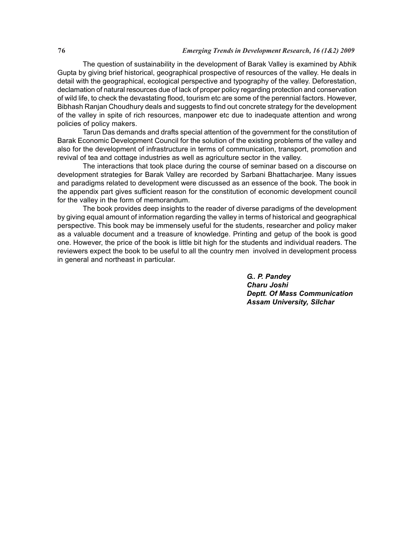### **76** *Emerging Trends in Development Research, 16 (1&2) 2009*

The question of sustainability in the development of Barak Valley is examined by Abhik Gupta by giving brief historical, geographical prospective of resources of the valley. He deals in detail with the geographical, ecological perspective and typography of the valley. Deforestation, declamation of natural resources due of lack of proper policy regarding protection and conservation of wild life, to check the devastating flood, tourism etc are some of the perennial factors. However, Bibhash Ranjan Choudhury deals and suggests to find out concrete strategy for the development of the valley in spite of rich resources, manpower etc due to inadequate attention and wrong policies of policy makers.

Tarun Das demands and drafts special attention of the government for the constitution of Barak Economic Development Council for the solution of the existing problems of the valley and also for the development of infrastructure in terms of communication, transport, promotion and revival of tea and cottage industries as well as agriculture sector in the valley.

The interactions that took place during the course of seminar based on a discourse on development strategies for Barak Valley are recorded by Sarbani Bhattacharjee. Many issues and paradigms related to development were discussed as an essence of the book. The book in the appendix part gives sufficient reason for the constitution of economic development council for the valley in the form of memorandum.

The book provides deep insights to the reader of diverse paradigms of the development by giving equal amount of information regarding the valley in terms of historical and geographical perspective. This book may be immensely useful for the students, researcher and policy maker as a valuable document and a treasure of knowledge. Printing and getup of the book is good one. However, the price of the book is little bit high for the students and individual readers. The reviewers expect the book to be useful to all the country men involved in development process in general and northeast in particular.

> *G.. P. Pandey Charu Joshi Deptt. Of Mass Communication Assam University, Silchar*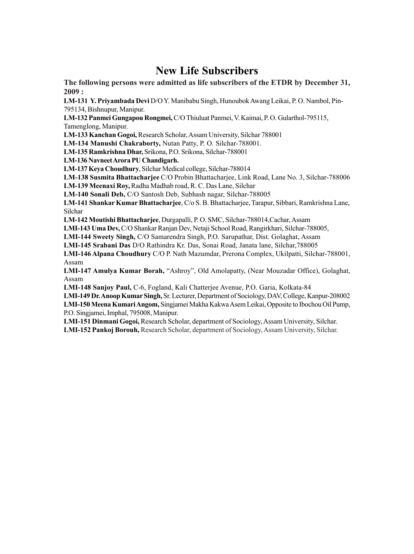# **New Life Subscribers**

**The following persons were admitted as life subscribers of the ETDR by December 31, 2009 :**

**LM-131 Y. Priyambada Devi** D/O Y. Manibabu Singh, Hunoubok Awang Leikai, P. O. Nambol, Pin-795134, Bishnupur, Manipur.

**LM-132 Panmei Gungapou Rongmei,** C/O Thiuluat Panmei, V. Kaimai, P. O. Gularthol-795115, Tamenglong, Manipur.

**LM-133 Kanchan Gogoi,** Research Scholar, Assam University, Silchar 788001

**LM-134 Manushi Chakraborty,** Nutan Patty, P. O. Silchar-788001.

**LM-135 Ramkrishna Dhar,** Srikona, P.O. Srikona, Silchar-788001

**LM-136 Navneet Arora PU Chandigarh.**

**LM-137 Keya Choudhury**, Silchar Medical college, Silchar-788014

**LM-138 Susmita Bhattacharjee** C/O Probin Bhattacharjee, Link Road, Lane No. 3, Silchar-788006 **LM-139 Meenaxi Roy,** Radha Madhab road, R. C. Das Lane, Silchar

**LM-140 Sonali Deb,** C/O Santosh Deb, Subhash nagar, Silchar-788005

**LM-141 Shankar Kumar Bhattacharjee**, C/o S. B. Bhattacharjee, Tarapur, Sibbari, Ramkrishna Lane, Silchar

**LM-142 Moutishi Bhattacharjee**, Durgapalli, P. O. SMC, Silchar-788014,Cachar, Assam

**LMI-143 Uma Dev,** C/O Shankar Ranjan Dev, Netaji School Road, Rangirkhari, Silchar-788005,

**LMI-144 Sweety Singh,** C/O Samarendra Singh, P.O. Sarupathar, Dist. Golaghat, Assam

**LMI-145 Srabani Das** D/O Rathindra Kr. Das, Sonai Road, Janata lane, Silchar,788005

**LMI-146 Alpana Choudhury** C/O P. Nath Mazumdar, Prerona Complex, Ukilpatti, Silchar-788001, Assam

**LMI-147 Amulya Kumar Borah,** "Ashroy", Old Amolapatty, (Near Mouzadar Office), Golaghat, Assam

**LMI-148 Sanjoy Paul,** C-6, Fogland, Kali Chatterjee Avenue, P.O. Garia, Kolkata-84

**LMI-149 Dr. Anoop Kumar Singh,** Sr. Lecturer, Department of Sociology, DAV, College, Kanpur-208002 **LMI-150 Meena Kumari Angom,** Singjamei Makha Kakwa Asem Leikai, Opposite to Ibochou Oil Pump, P.O. Singjamei, Imphal, 795008, Manipur.

**LMI-151 Dinmani Gogoi,** Research Scholar, department of Sociology, Assam University, Silchar. **LMI-152 Pankoj Borouh,** Research Scholar, department of Sociology, Assam University, Silchar.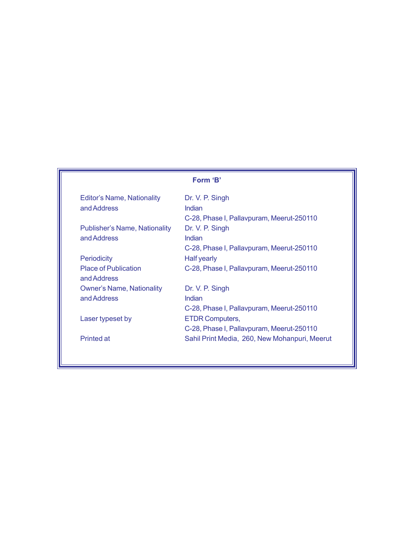| <b>Editor's Name, Nationality</b><br>and Address    | Dr. V. P. Singh<br>Indian<br>C-28, Phase I, Pallaypuram, Meerut-250110                     |
|-----------------------------------------------------|--------------------------------------------------------------------------------------------|
| <b>Publisher's Name, Nationality</b><br>and Address | Dr. V. P. Singh<br>Indian                                                                  |
| <b>Periodicity</b>                                  | C-28, Phase I, Pallavpuram, Meerut-250110<br>Half yearly                                   |
| <b>Place of Publication</b><br>and Address          | C-28, Phase I, Pallavpuram, Meerut-250110                                                  |
| <b>Owner's Name, Nationality</b><br>and Address     | Dr. V. P. Singh<br>Indian                                                                  |
| Laser typeset by                                    | C-28, Phase I, Pallavpuram, Meerut-250110<br><b>ETDR Computers,</b>                        |
| <b>Printed at</b>                                   | C-28, Phase I, Pallavpuram, Meerut-250110<br>Sahil Print Media, 260, New Mohanpuri, Meerut |